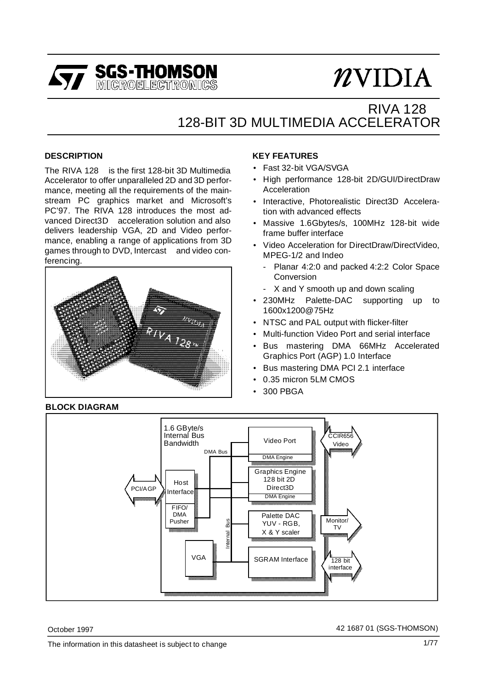

# RIVA 128TM 128-BIT 3D MULTIMEDIA ACCELERATOR

#### **DESCRIPTION**

The RIVA 128 $^{TM}$  is the first 128-bit 3D Multimedia Accelerator to offer unparalleled 2D and 3D performance, meeting all the requirements of the mainstream PC graphics market and Microsoft's PC'97. The RIVA 128 introduces the most advanced Direct3D™ acceleration solution and also delivers leadership VGA, 2D and Video performance, enabling a range of applications from 3D games through to DVD, Intercast $TM$  and video conferencing.



#### **KEY FEATURES**

- Fast 32-bit VGA/SVGA
- High performance 128-bit 2D/GUI/DirectDraw Acceleration
- Interactive, Photorealistic Direct3D Acceleration with advanced effects
- Massive 1.6Gbytes/s, 100MHz 128-bit wide frame buffer interface
- Video Acceleration for DirectDraw/DirectVideo, MPEG-1/2 and Indeo<sup>®</sup>
	- Planar 4:2:0 and packed 4:2:2 Color Space Conversion
	- X and Y smooth up and down scaling
- 230MHz Palette-DAC supporting up to 1600x1200@75Hz
- NTSC and PAL output with flicker-filter
- Multi-function Video Port and serial interface
- Bus mastering DMA 66MHz Accelerated Graphics Port (AGP) 1.0 Interface
- Bus mastering DMA PCI 2.1 interface
- 0.35 micron 5LM CMOS
- 300 PBGA



October 1997 42 1687 01 (SGS-THOMSON)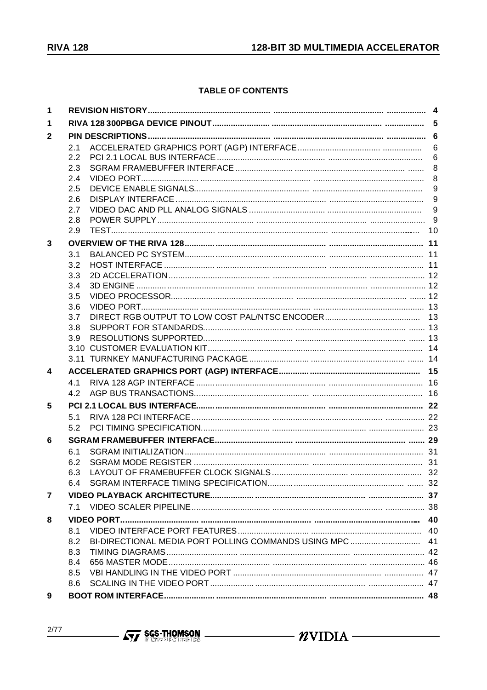### **TABLE OF CONTENTS**

| $\mathbf 1$ |     |                 |
|-------------|-----|-----------------|
| 1           |     |                 |
| 2           |     |                 |
|             | 2.1 | 6               |
|             | 2.2 | $6\phantom{1}6$ |
|             | 2.3 |                 |
|             | 2.4 | 8               |
|             | 2.5 | 9               |
|             | 2.6 |                 |
|             | 2.7 | 9               |
|             | 2.8 |                 |
|             | 2.9 |                 |
| 3           |     |                 |
|             | 3.1 |                 |
|             | 3.2 |                 |
|             | 3.3 |                 |
|             | 3.4 |                 |
|             | 3.5 |                 |
|             | 3.6 |                 |
|             | 3.7 |                 |
|             | 3.8 |                 |
|             | 3.9 |                 |
|             |     |                 |
|             |     |                 |
| 4           |     |                 |
|             | 4.1 |                 |
|             | 4.2 |                 |
| 5           |     |                 |
|             | 5.1 |                 |
|             | 5.2 |                 |
| 6           |     |                 |
|             | 6.1 |                 |
|             | 6.2 |                 |
|             | 6.3 |                 |
|             |     |                 |
| 7           |     |                 |
|             | 7.1 |                 |
| 8           |     | 40              |
|             | 8.1 |                 |
|             | 8.2 |                 |
|             | 8.3 |                 |
|             | 8.4 |                 |
|             | 8.5 |                 |
|             | 8.6 |                 |
| 9           |     |                 |
|             |     |                 |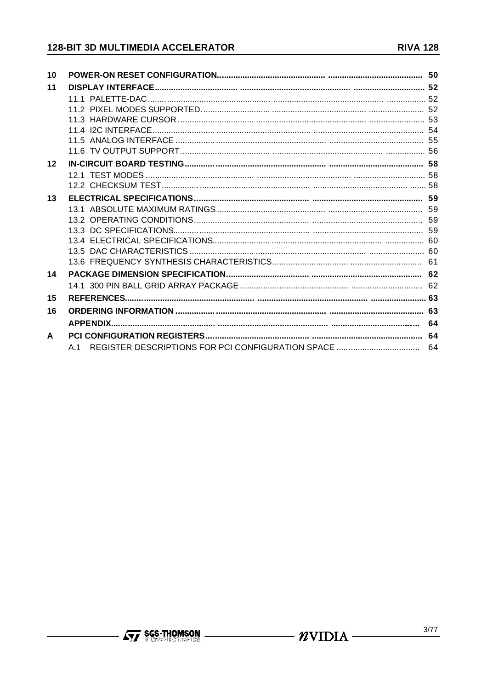# 128-BIT 3D MULTIMEDIA ACCELERATOR

| 10           |     |  |
|--------------|-----|--|
| 11           |     |  |
|              |     |  |
|              |     |  |
|              |     |  |
|              |     |  |
|              |     |  |
|              |     |  |
| 12           |     |  |
|              |     |  |
|              |     |  |
| 13           |     |  |
|              |     |  |
|              |     |  |
|              |     |  |
|              |     |  |
|              |     |  |
| 14           |     |  |
|              |     |  |
| 15           |     |  |
|              |     |  |
| 16           |     |  |
|              |     |  |
| $\mathbf{A}$ |     |  |
|              | A 1 |  |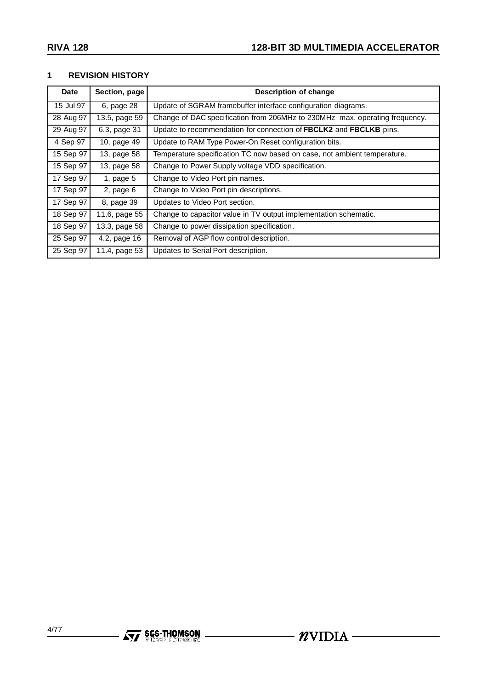#### **1 REVISION HISTORY**

| Date                  | Section, page  | <b>Description of change</b>                                                |
|-----------------------|----------------|-----------------------------------------------------------------------------|
| 15 Jul 97             | 6, page 28     | Update of SGRAM framebuffer interface configuration diagrams.               |
| 28 Aug 97             | 13.5, page 59  | Change of DAC specification from 206MHz to 230MHz max. operating frequency. |
| 29 Aug 97             | 6.3, page 31   | Update to recommendation for connection of FBCLK2 and FBCLKB pins.          |
| $\overline{4}$ Sep 97 | 10, page 49    | Update to RAM Type Power-On Reset configuration bits.                       |
| 15 Sep 97             | 13, page 58    | Temperature specification TC now based on case, not ambient temperature.    |
| 15 Sep 97             | 13, page 58    | Change to Power Supply voltage VDD specification.                           |
| 17 Sep 97             | 1, page $5$    | Change to Video Port pin names.                                             |
| 17 Sep 97             | $2$ , page $6$ | Change to Video Port pin descriptions.                                      |
| 17 Sep 97             | 8, page 39     | Updates to Video Port section.                                              |
| 18 Sep 97             | 11.6, page 55  | Change to capacitor value in TV output implementation schematic.            |
| 18 Sep 97             | 13.3, page 58  | Change to power dissipation specification.                                  |
| 25 Sep 97             | 4.2, page 16   | Removal of AGP flow control description.                                    |
| 25 Sep 97             | 11.4, page 53  | Updates to Serial Port description.                                         |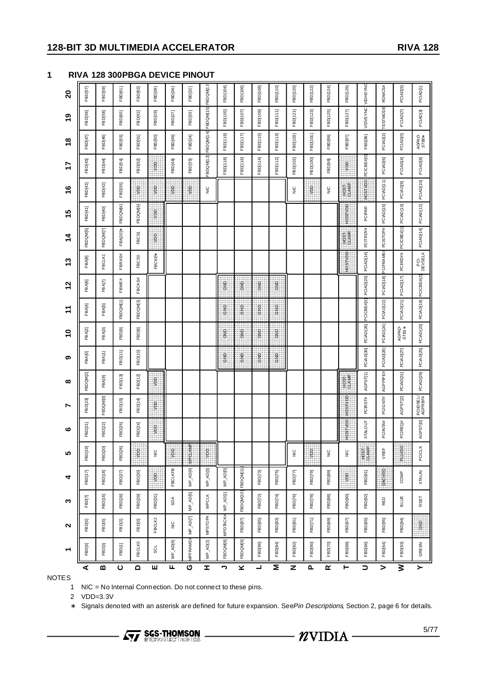#### **128-BIT 3D MULTIMEDIA ACCELERATOR RIVA 128**

**1 RIVA 128 300PBGA DEVICE PINOUT**

| ↽             | $\sim$                      | ω              | 4                   | ທ                  | ဖ                   | N                    | $\infty$       | ග         | $\tilde{e}$           | ᡓ                    | N<br>↽             | <u>ဇ</u>           | 4                     | 15                    | ဖ             | 7          | $\frac{8}{1}$        | ဇ္                   | 20              |
|---------------|-----------------------------|----------------|---------------------|--------------------|---------------------|----------------------|----------------|-----------|-----------------------|----------------------|--------------------|--------------------|-----------------------|-----------------------|---------------|------------|----------------------|----------------------|-----------------|
|               | FBD[6]                      | FBD[7]         | FBD[17]             | FBD[19]            | FBD[21]             | FBD[23]              | FBDQM[2]       | FBA[0]    | FBA <sub>[2]</sub>    | FBA[4]               | FBA[6]             | FBA[8]             | FBD QM [5]            | FBD[41]               | FBD[43]       | FBD[45]    | FBD[47]              | FBD[56]              | FBD[57]         |
| FBD[3]        | FBD[5]                      | FBD[16]        | FBD[18]             | FBD[20]            | FBD[22]             | <b>FBDQM[0]</b>      | FBA[9]         | FBA[1]    | FBA[3]                | FBA[5]               | <b>FBA[7]</b>      | FBCLK1             | FBD QM <sub>[7]</sub> | FBD[40]               | FBD[42]       | FBD[44]    | FBD[46]              | FBD[58]              | FBD[59]         |
| FBD[1]        | FBD[2]                      | <b>FBD[28]</b> | FBD[27]             | FBD[26]            | FBD[25]             | FBD[15]              | FBD[13]        | FBD[11]   | FBD[9]                | FBDQM[1]             | FBWE#              | FBRAS#             | FBA[10]*              | FBDQM[4]              | FBD[55]       | FBD[54]    | FBD[53]              | FBD[60]              | FBD[61]         |
| <b>FBCLKO</b> | <b>FBD[0]</b>               | FBD[29]        | FBD[30]             | ĝ                  | FBD[24]             | <b>FBD[14]</b>       | FBD[12]        | FBD[10]   | FBD[8]                | FBDQM[3]             | FBCA <sub>S#</sub> | FBCS0              | FBCS1                 | <b>FBDQM[6]</b>       | ğ             | FBD[52]    | <b>FBD[51]</b>       | <b>FBD[62]</b>       | FBD[63]         |
|               | FBCLK2                      | FBD[31]        | ğ                   | $\frac{C}{Z}$      | ğ                   | ğ                    | ğ              |           |                       |                      |                    | FBCKE <sup>*</sup> | Ş                     | ĝ                     | ğ             | ğ          | FBD[50]              | FBD[39]              | FBD[38]         |
| MP_AD[6]      | $\frac{0}{2}$               | SDA            | <b>FBCLKFB</b>      | ğ                  |                     |                      |                |           |                       |                      |                    |                    |                       |                       | ğ             | FBD[48]    | FBD[49]              | FBD[37]              | FBD[36]         |
|               | MP_AD[7]<br><b>IPFRAME#</b> | MP_AD[5]       | MP_AD[4]            | MPCLAMP            |                     |                      |                |           |                       |                      |                    |                    |                       |                       | ê             | FBD[35]    | FBD[34]              | FBD[33]              | FBD[32]         |
|               | MPSTOP#<br>MP_AD[2]         | <b>MPCLK</b>   | MP_AD[3]            | ğ                  |                     |                      |                |           |                       |                      |                    |                    |                       |                       | $\frac{C}{Z}$ | BDQM[12]   | FBDQM[14]            | FBDQM[15]            | FBDQM[13]       |
|               | <b>MPDTACK#</b><br>FBDQM[8] | MP_AD[1]       | MP_AD[0]            |                    |                     |                      |                | 응         | e<br>6                | o<br>So              | ទ្ធ<br>ចំ          |                    |                       |                       |               | FBD[118]   | FBD[119]             | FBD[105]             | FBD[104]        |
|               | FBD[87]<br>FBDQM[9]         |                | FBDQM[10] FBDQM[11] |                    |                     |                      |                | ទី<br>ទី  | o<br>6                | o<br>S               | င်<br>၁            |                    |                       |                       |               | FBD[116]   | FBD[117]             | FBD[107]             | <b>FBD[106]</b> |
| FBD[86]       | <b>FBD</b> [85]             | FBD[72]        | FBD[73]             |                    |                     |                      |                | ទ្ធ<br>ចំ | 9<br>6                | e<br>S               | 9<br>So            |                    |                       |                       |               | FBD[114]   | FBD[115]             | FBD[109]             | FBD[108]        |
| FBD[84]       | FBD[83]                     | <b>FBD[74]</b> | FBD[75]             |                    |                     |                      |                | ۽<br>6    | ទ<br>ចំ               | e<br>S               | 웋                  |                    |                       |                       |               | FBD[112]   | FBD[113]             | FBD[111]             | FBD[110]        |
| FBD[82]       | FBD[81]                     | FBD[76]        | <b>FBD[77]</b>      | $\frac{C}{Z}$      |                     |                      |                |           |                       |                      |                    |                    |                       |                       | $\frac{C}{Z}$ | FBD[102]   | FBD[103]             | FBD[121]             | FBD[120]        |
|               | FBD[71]<br>FBD[80]          | FBD[78]        | FBD[79]             | ğ                  |                     |                      |                |           |                       |                      |                    |                    |                       |                       | ĝ             | FBD[100]   | FBD[101]             | FBD[123]             | FBD[122]        |
|               | FBD[69]<br>FBD[70]          | <b>FBD[88]</b> | FBD[89]             | $\frac{0}{2}$      |                     |                      |                |           |                       |                      |                    |                    |                       |                       | $\frac{C}{Z}$ | FBD[98]    | FBD[99]              | FBD[125]             | FBD[124]        |
| FBD[68]       | FBD[67]                     | FBD[90]        | g                   | $\frac{C}{Z}$      | HOSTVDD             | HOSTVDD              | $\frac{6}{10}$ |           |                       |                      |                    | FOSTVOD            | HÓÃI <sub>P</sub>     | HOSTVDD               | 등<br>오종       | ĝ          | FBD[97]              | FBD[127]             | FBD[126]        |
| FBD[66]       | FBD[65]                     | FBD[92]        | FBD[91]             | ទី<br>ទី           | <b>XTALOUT</b>      | PCIRST#              | AGPST[1]       | PCIAD[30] | PCIAD <sub>[26]</sub> | PCICBE#[3]           | PCIAD[20]          | PCIAD[16]          | PCITRDY#              | PCIPAR                | HOSTVDD       | PCICBE#[0] | FBD[96]              | VIDVSYNC             | <b>VIDHSYNO</b> |
| FBD[64]       | FBD[95]                     | RED            | DAC VED             | VREF               | PCIINTA#            | PCIGNT#              | AGPPIPE#       | PCIAD[28] | PCIAD[24]             | PCIAD[22]            | PCIAD[18]          | PCIFRAME#          | PCISTOP#              | PCIAD[15]             | PCIAD[11]     | PCIAD[6]   | PCIAD[2]             | TESTMODE             | ROMCS#          |
| FBD[93]       | FBD[94]                     | BLUE           | COMP                | $\circ$<br>ā<br>Li | PCIRE <sub>C#</sub> | AGPST[2]             | PCIAD[31]      | PCIAD[27] | AGPAD-<br>STB1*       | PCIAD[21]            | PCIAD[17]          | PCIRDY#            | PCICBE#[1]            | PCIAD <sub>[13]</sub> | PCIAD[9]      | PCIAD[4]   | PCIAD <sub>[0]</sub> | PCIAD <sub>[7]</sub> | PCIAD[5]        |
|               | ទ្ធ<br>ចំ<br>GREEN          | RSET           | <b>XTALIN</b>       | ×<br>PCICLI        | AGPST[0]            | PCIIDSEL/<br>AGPRBF# | PCIAD[29]      | PCIAD[25] | PCIAD[23]             | PCIAD[19] PCICBE#[2] |                    | PCI-<br>DEVSEL#    | PCIAD[14]             | PCIAD[12]             | PCIAD[10]     | PCIAD[8]   | AGPAD-<br>STB0*      | PCIAD <sub>[3]</sub> | PCIAD[1]        |
|               |                             |                |                     |                    |                     |                      |                |           |                       |                      |                    |                    |                       |                       |               |            |                      |                      |                 |

NOTES

1 NIC = No Internal Connection. Do not connect to these pins.

2 VDD=3.3V

∗ Signals denoted with an asterisk are defined for future expansion. SeePin Descriptions, Section 2, page 6 for details.

**Formation SGS-THOMSON**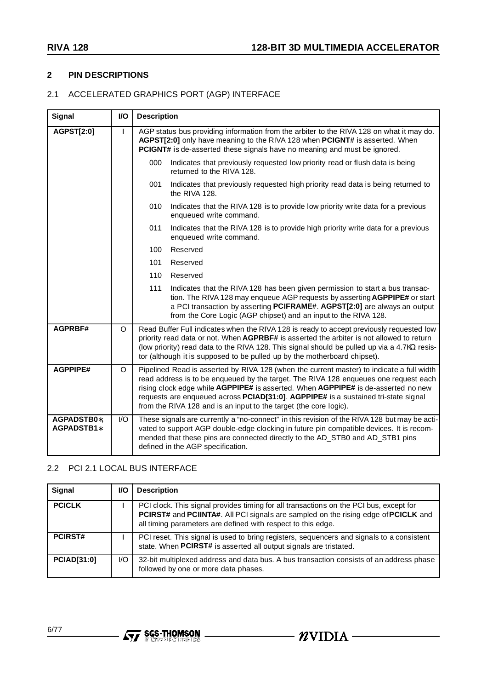#### **2 PIN DESCRIPTIONS**

# 2.1 ACCELERATED GRAPHICS PORT (AGP) INTERFACE

| <b>Signal</b>             | I/O | <b>Description</b>                                                                                                                                                                                                                                                                                                                                                                                                                |
|---------------------------|-----|-----------------------------------------------------------------------------------------------------------------------------------------------------------------------------------------------------------------------------------------------------------------------------------------------------------------------------------------------------------------------------------------------------------------------------------|
| <b>AGPST[2:0]</b>         | L   | AGP status bus providing information from the arbiter to the RIVA 128 on what it may do.<br>AGPST[2:0] only have meaning to the RIVA 128 when PCIGNT# is asserted. When<br>PCIGNT# is de-asserted these signals have no meaning and must be ignored.                                                                                                                                                                              |
|                           |     | 000<br>Indicates that previously requested low priority read or flush data is being<br>returned to the RIVA 128.                                                                                                                                                                                                                                                                                                                  |
|                           |     | Indicates that previously requested high priority read data is being returned to<br>001<br>the RIVA 128.                                                                                                                                                                                                                                                                                                                          |
|                           |     | Indicates that the RIVA 128 is to provide low priority write data for a previous<br>010<br>enqueued write command.                                                                                                                                                                                                                                                                                                                |
|                           |     | 011<br>Indicates that the RIVA 128 is to provide high priority write data for a previous<br>enqueued write command.                                                                                                                                                                                                                                                                                                               |
|                           |     | Reserved<br>100                                                                                                                                                                                                                                                                                                                                                                                                                   |
|                           |     | 101<br>Reserved                                                                                                                                                                                                                                                                                                                                                                                                                   |
|                           |     | 110<br>Reserved                                                                                                                                                                                                                                                                                                                                                                                                                   |
|                           |     | 111<br>Indicates that the RIVA 128 has been given permission to start a bus transac-<br>tion. The RIVA 128 may enqueue AGP requests by asserting AGPPIPE# or start<br>a PCI transaction by asserting PCIFRAME#. AGPST[2:0] are always an output<br>from the Core Logic (AGP chipset) and an input to the RIVA 128.                                                                                                                |
| AGPRBF#                   | O   | Read Buffer Full indicates when the RIVA 128 is ready to accept previously requested low<br>priority read data or not. When AGPRBF# is asserted the arbiter is not allowed to return<br>(low priority) read data to the RIVA 128. This signal should be pulled up via a 4.7KΩ resis-<br>tor (although it is supposed to be pulled up by the motherboard chipset).                                                                 |
| <b>AGPPIPE#</b>           | O   | Pipelined Read is asserted by RIVA 128 (when the current master) to indicate a full width<br>read address is to be enqueued by the target. The RIVA 128 enqueues one request each<br>rising clock edge while AGPPIPE# is asserted. When AGPPIPE# is de-asserted no new<br>requests are enqueued across PCIAD[31:0]. AGPPIPE# is a sustained tri-state signal<br>from the RIVA 128 and is an input to the target (the core logic). |
| AGPADSTB0*,<br>AGPADSTB1* | I/O | These signals are currently a "no-connect" in this revision of the RIVA 128 but may be acti-<br>vated to support AGP double-edge clocking in future pin compatible devices. It is recom-<br>mended that these pins are connected directly to the AD_STB0 and AD_STB1 pins<br>defined in the AGP specification.                                                                                                                    |

# 2.2 PCI 2.1 LOCAL BUS INTERFACE

| Signal             | <b>VO</b> | <b>Description</b>                                                                                                                                                                                                                           |
|--------------------|-----------|----------------------------------------------------------------------------------------------------------------------------------------------------------------------------------------------------------------------------------------------|
| <b>PCICLK</b>      |           | PCI clock. This signal provides timing for all transactions on the PCI bus, except for<br>PCIRST# and PCIINTA#. All PCI signals are sampled on the rising edge of PCICLK and<br>all timing parameters are defined with respect to this edge. |
| <b>PCIRST#</b>     |           | PCI reset. This signal is used to bring registers, sequencers and signals to a consistent<br>state. When PCIRST# is asserted all output signals are tristated.                                                                               |
| <b>PCIAD[31:0]</b> | I/O       | 32-bit multiplexed address and data bus. A bus transaction consists of an address phase<br>followed by one or more data phases.                                                                                                              |

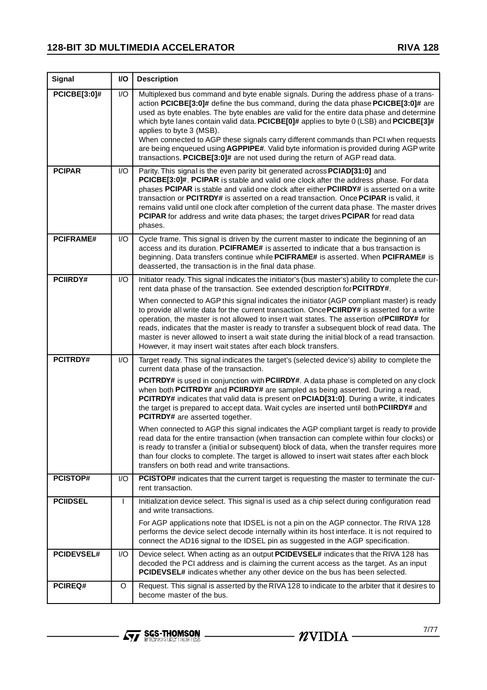| <b>Signal</b>       | I/O | <b>Description</b>                                                                                                                                                                                                                                                                                                                                                                                                                                                                                                                                                                                                                                                    |
|---------------------|-----|-----------------------------------------------------------------------------------------------------------------------------------------------------------------------------------------------------------------------------------------------------------------------------------------------------------------------------------------------------------------------------------------------------------------------------------------------------------------------------------------------------------------------------------------------------------------------------------------------------------------------------------------------------------------------|
| <b>PCICBE[3:0]#</b> | I/O | Multiplexed bus command and byte enable signals. During the address phase of a trans-<br>action PCICBE[3:0]# define the bus command, during the data phase PCICBE[3:0]# are<br>used as byte enables. The byte enables are valid for the entire data phase and determine<br>which byte lanes contain valid data. PCICBE $[0]$ # applies to byte 0 (LSB) and PCICBE $[3]$ #<br>applies to byte 3 (MSB).<br>When connected to AGP these signals carry different commands than PCI when requests<br>are being enqueued using AGPPIPE#. Valid byte information is provided during AGP write<br>transactions. PCICBE[3:0]# are not used during the return of AGP read data. |
| <b>PCIPAR</b>       | I/O | Parity. This signal is the even parity bit generated across PCIAD[31:0] and<br>PCICBE[3:0]#. PCIPAR is stable and valid one clock after the address phase. For data<br>phases PCIPAR is stable and valid one clock after either PCIIRDY# is asserted on a write<br>transaction or PCITRDY# is asserted on a read transaction. Once PCIPAR is valid, it<br>remains valid until one clock after completion of the current data phase. The master drives<br>PCIPAR for address and write data phases; the target drives PCIPAR for read data<br>phases.                                                                                                                  |
| <b>PCIFRAME#</b>    | I/O | Cycle frame. This signal is driven by the current master to indicate the beginning of an<br>access and its duration. PCIFRAME# is asserted to indicate that a bus transaction is<br>beginning. Data transfers continue while PCIFRAME# is asserted. When PCIFRAME# is<br>deasserted, the transaction is in the final data phase.                                                                                                                                                                                                                                                                                                                                      |
| <b>PCIIRDY#</b>     | I/O | Initiator ready. This signal indicates the initiator's (bus master's) ability to complete the cur-<br>rent data phase of the transaction. See extended description for PCITRDY#.                                                                                                                                                                                                                                                                                                                                                                                                                                                                                      |
|                     |     | When connected to AGP this signal indicates the initiator (AGP compliant master) is ready<br>to provide all write data for the current transaction. Once PCIIRDY# is asserted for a write<br>operation, the master is not allowed to insert wait states. The assertion of <b>PCIIRDY#</b> for<br>reads, indicates that the master is ready to transfer a subsequent block of read data. The<br>master is never allowed to insert a wait state during the initial block of a read transaction.<br>However, it may insert wait states after each block transfers.                                                                                                       |
| <b>PCITRDY#</b>     | I/O | Target ready. This signal indicates the target's (selected device's) ability to complete the<br>current data phase of the transaction.                                                                                                                                                                                                                                                                                                                                                                                                                                                                                                                                |
|                     |     | <b>PCITRDY#</b> is used in conjunction with <b>PCIIRDY#</b> . A data phase is completed on any clock<br>when both PCITRDY# and PCIIRDY# are sampled as being asserted. During a read,<br>PCITRDY# indicates that valid data is present on PCIAD[31:0]. During a write, it indicates<br>the target is prepared to accept data. Wait cycles are inserted until both PCIIRDY# and<br>PCITRDY# are asserted together.                                                                                                                                                                                                                                                     |
|                     |     | When connected to AGP this signal indicates the AGP compliant target is ready to provide<br>read data for the entire transaction (when transaction can complete within four clocks) or<br>is ready to transfer a (initial or subsequent) block of data, when the transfer requires more<br>than four clocks to complete. The target is allowed to insert wait states after each block<br>transfers on both read and write transactions.                                                                                                                                                                                                                               |
| <b>PCISTOP#</b>     | I/O | <b>PCISTOP#</b> indicates that the current target is requesting the master to terminate the cur-<br>rent transaction.                                                                                                                                                                                                                                                                                                                                                                                                                                                                                                                                                 |
| <b>PCIIDSEL</b>     | L   | Initialization device select. This signal is used as a chip select during configuration read<br>and write transactions.                                                                                                                                                                                                                                                                                                                                                                                                                                                                                                                                               |
|                     |     | For AGP applications note that IDSEL is not a pin on the AGP connector. The RIVA 128<br>performs the device select decode internally within its host interface. It is not required to<br>connect the AD16 signal to the IDSEL pin as suggested in the AGP specification.                                                                                                                                                                                                                                                                                                                                                                                              |
| <b>PCIDEVSEL#</b>   | I/O | Device select. When acting as an output PCIDEVSEL# indicates that the RIVA 128 has<br>decoded the PCI address and is claiming the current access as the target. As an input<br>PCIDEVSEL# indicates whether any other device on the bus has been selected.                                                                                                                                                                                                                                                                                                                                                                                                            |
| PCIREQ#             | O   | Request. This signal is asserted by the RIVA 128 to indicate to the arbiter that it desires to<br>become master of the bus.                                                                                                                                                                                                                                                                                                                                                                                                                                                                                                                                           |

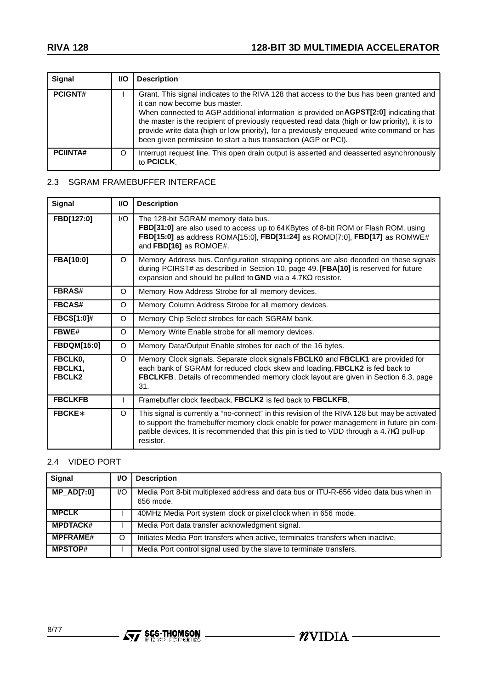| Signal          | <b>VO</b> | <b>Description</b>                                                                                                                                                                                                                                                                                                                                                                                                                                                                   |
|-----------------|-----------|--------------------------------------------------------------------------------------------------------------------------------------------------------------------------------------------------------------------------------------------------------------------------------------------------------------------------------------------------------------------------------------------------------------------------------------------------------------------------------------|
| <b>PCIGNT#</b>  |           | Grant. This signal indicates to the RIVA 128 that access to the bus has been granted and<br>it can now become bus master.<br>When connected to AGP additional information is provided on AGPST[2:0] indicating that<br>the master is the recipient of previously requested read data (high or low priority), it is to<br>provide write data (high or low priority), for a previously enqueued write command or has<br>been given permission to start a bus transaction (AGP or PCI). |
| <b>PCIINTA#</b> | O         | Interrupt request line. This open drain output is asserted and deasserted asynchronously<br>to <b>PCICLK</b> .                                                                                                                                                                                                                                                                                                                                                                       |

### 2.3 SGRAM FRAMEBUFFER INTERFACE

| Signal                              | <b>VO</b> | <b>Description</b>                                                                                                                                                                                                                                                                                      |
|-------------------------------------|-----------|---------------------------------------------------------------------------------------------------------------------------------------------------------------------------------------------------------------------------------------------------------------------------------------------------------|
| FBD[127:0]                          | 1/O       | The 128-bit SGRAM memory data bus.<br>FBD[31:0] are also used to access up to 64KBytes of 8-bit ROM or Flash ROM, using<br>FBD[15:0] as address ROMA[15:0], FBD[31:24] as ROMD[7:0], FBD[17] as ROMWE#<br>and FBD[16] as ROMOE#.                                                                        |
| FBA[10:0]                           | $\Omega$  | Memory Address bus. Configuration strapping options are also decoded on these signals<br>during PCIRST# as described in Section 10, page 49. [FBA[10] is reserved for future<br>expansion and should be pulled to GND via a 4.7K $\Omega$ resistor.                                                     |
| <b>FBRAS#</b>                       | O         | Memory Row Address Strobe for all memory devices.                                                                                                                                                                                                                                                       |
| <b>FBCAS#</b>                       | O         | Memory Column Address Strobe for all memory devices.                                                                                                                                                                                                                                                    |
| <b>FBCS[1:0]#</b>                   | O         | Memory Chip Select strobes for each SGRAM bank.                                                                                                                                                                                                                                                         |
| <b>FBWE#</b>                        | O         | Memory Write Enable strobe for all memory devices.                                                                                                                                                                                                                                                      |
| <b>FBDQM[15:0]</b>                  | O         | Memory Data/Output Enable strobes for each of the 16 bytes.                                                                                                                                                                                                                                             |
| FBCLK0,<br>FBCLK1,<br><b>FBCLK2</b> | $\Omega$  | Memory Clock signals. Separate clock signals FBCLK0 and FBCLK1 are provided for<br>each bank of SGRAM for reduced clock skew and loading. FBCLK2 is fed back to<br>FBCLKFB. Details of recommended memory clock layout are given in Section 6.3, page<br>31.                                            |
| <b>FBCLKFB</b>                      | L         | Framebuffer clock feedback. FBCLK2 is fed back to FBCLKFB.                                                                                                                                                                                                                                              |
| <b>FBCKE</b> *                      | O         | This signal is currently a "no-connect" in this revision of the RIVA 128 but may be activated<br>to support the framebuffer memory clock enable for power management in future pin com-<br>patible devices. It is recommended that this pin is tied to VDD through a 4.7K $\Omega$ pull-up<br>resistor. |

# 2.4 VIDEO PORT

| Signal            | <b>VO</b> | <b>Description</b>                                                                                 |
|-------------------|-----------|----------------------------------------------------------------------------------------------------|
| <b>MP_AD[7:0]</b> | 1/O       | Media Port 8-bit multiplexed address and data bus or ITU-R-656 video data bus when in<br>656 mode. |
| <b>MPCLK</b>      |           | 40MHz Media Port system clock or pixel clock when in 656 mode.                                     |
| <b>MPDTACK#</b>   |           | Media Port data transfer acknowledgment signal.                                                    |
| <b>MPFRAME#</b>   | O         | Initiates Media Port transfers when active, terminates transfers when inactive.                    |
| <b>MPSTOP#</b>    |           | Media Port control signal used by the slave to terminate transfers.                                |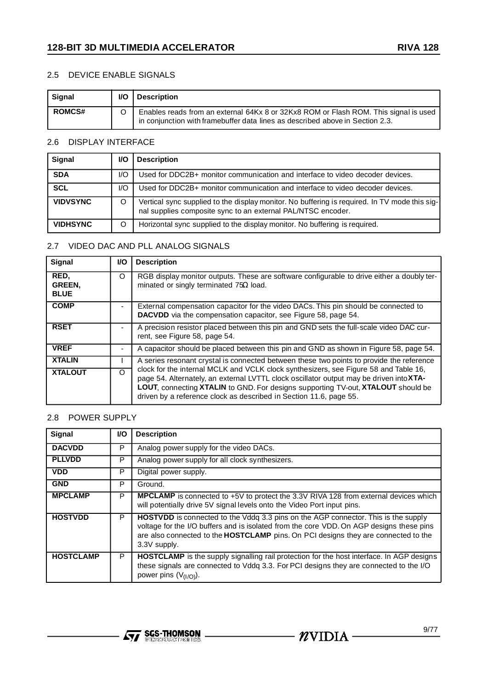#### 2.5 DEVICE ENABLE SIGNALS

| Signal        | I/O | <b>Description</b>                                                                                                                                                    |
|---------------|-----|-----------------------------------------------------------------------------------------------------------------------------------------------------------------------|
| <b>ROMCS#</b> |     | Enables reads from an external 64Kx 8 or 32Kx8 ROM or Flash ROM. This signal is used<br>in conjunction with framebuffer data lines as described above in Section 2.3. |

# 2.6 DISPLAY INTERFACE

| Signal          | V.  | <b>Description</b>                                                                                                                                            |
|-----------------|-----|---------------------------------------------------------------------------------------------------------------------------------------------------------------|
| <b>SDA</b>      | I/O | Used for DDC2B+ monitor communication and interface to video decoder devices.                                                                                 |
| <b>SCL</b>      | I/O | Used for DDC2B+ monitor communication and interface to video decoder devices.                                                                                 |
| <b>VIDVSYNC</b> |     | Vertical sync supplied to the display monitor. No buffering is required. In TV mode this sig-<br>nal supplies composite sync to an external PAL/NTSC encoder. |
| <b>VIDHSYNC</b> |     | Horizontal sync supplied to the display monitor. No buffering is required.                                                                                    |

#### 2.7 VIDEO DAC AND PLL ANALOG SIGNALS

| Signal                        | VO.      | <b>Description</b>                                                                                                                                                                                                                                                                                                                               |
|-------------------------------|----------|--------------------------------------------------------------------------------------------------------------------------------------------------------------------------------------------------------------------------------------------------------------------------------------------------------------------------------------------------|
| RED,<br>GREEN,<br><b>BLUE</b> | O        | RGB display monitor outputs. These are software configurable to drive either a doubly ter-<br>minated or singly terminated $75\Omega$ load.                                                                                                                                                                                                      |
| <b>COMP</b>                   | ٠        | External compensation capacitor for the video DACs. This pin should be connected to<br>DACVDD via the compensation capacitor, see Figure 58, page 54.                                                                                                                                                                                            |
| <b>RSET</b>                   | ٠        | A precision resistor placed between this pin and GND sets the full-scale video DAC cur-<br>rent, see Figure 58, page 54.                                                                                                                                                                                                                         |
| <b>VREF</b>                   |          | A capacitor should be placed between this pin and GND as shown in Figure 58, page 54.                                                                                                                                                                                                                                                            |
| <b>XTALIN</b>                 |          | A series resonant crystal is connected between these two points to provide the reference                                                                                                                                                                                                                                                         |
| <b>XTALOUT</b>                | $\Omega$ | clock for the internal MCLK and VCLK clock synthesizers, see Figure 58 and Table 16,<br>page 54. Alternately, an external LVTTL clock oscillator output may be driven into <b>XTA-</b><br>LOUT, connecting XTALIN to GND. For designs supporting TV-out, XTALOUT should be<br>driven by a reference clock as described in Section 11.6, page 55. |

# 2.8 POWER SUPPLY

| Signal           | VO. | <b>Description</b>                                                                                                                                                                                                                                                                          |
|------------------|-----|---------------------------------------------------------------------------------------------------------------------------------------------------------------------------------------------------------------------------------------------------------------------------------------------|
| <b>DACVDD</b>    | P   | Analog power supply for the video DACs.                                                                                                                                                                                                                                                     |
| <b>PLLVDD</b>    | P   | Analog power supply for all clock synthesizers.                                                                                                                                                                                                                                             |
| <b>VDD</b>       | P   | Digital power supply.                                                                                                                                                                                                                                                                       |
| <b>GND</b>       | P   | Ground.                                                                                                                                                                                                                                                                                     |
| <b>MPCLAMP</b>   | P   | MPCLAMP is connected to +5V to protect the 3.3V RIVA 128 from external devices which<br>will potentially drive 5V signal levels onto the Video Port input pins.                                                                                                                             |
| <b>HOSTVDD</b>   | P   | <b>HOSTVDD</b> is connected to the Vddq 3.3 pins on the AGP connector. This is the supply<br>voltage for the I/O buffers and is isolated from the core VDD. On AGP designs these pins<br>are also connected to the HOSTCLAMP pins. On PCI designs they are connected to the<br>3.3V supply. |
| <b>HOSTCLAMP</b> | P   | <b>HOSTCLAMP</b> is the supply signalling rail protection for the host interface. In AGP designs<br>these signals are connected to Vddq 3.3. For PCI designs they are connected to the I/O<br>power pins $(V_{(1/O)})$ .                                                                    |

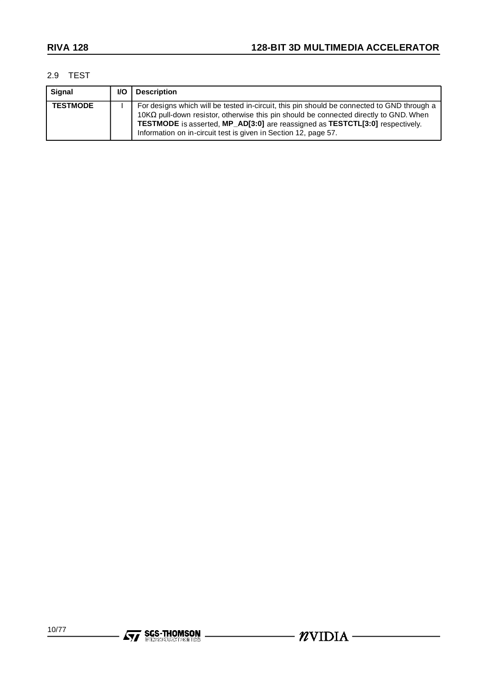#### 2.9 TEST

| Signal          | I/O | <b>Description</b>                                                                                                                                                                                                                                                                                                                             |
|-----------------|-----|------------------------------------------------------------------------------------------------------------------------------------------------------------------------------------------------------------------------------------------------------------------------------------------------------------------------------------------------|
| <b>TESTMODE</b> |     | For designs which will be tested in-circuit, this pin should be connected to GND through a<br>$10K\Omega$ pull-down resistor, otherwise this pin should be connected directly to GND. When<br>TESTMODE is asserted, MP_AD[3:0] are reassigned as TESTCTL[3:0] respectively.<br>Information on in-circuit test is given in Section 12, page 57. |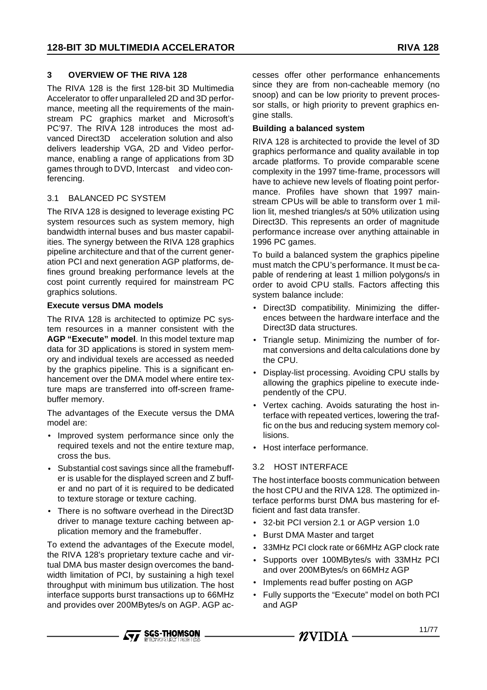#### **3 OVERVIEW OF THE RIVA 128**

The RIVA 128 is the first 128-bit 3D Multimedia Accelerator to offer unparalleled 2D and 3D performance, meeting all the requirements of the mainstream PC graphics market and Microsoft's PC'97. The RIVA 128 introduces the most advanced Direct3D™ acceleration solution and also delivers leadership VGA, 2D and Video performance, enabling a range of applications from 3D games through to DVD, Intercast™ and video conferencing.

#### 3.1 BALANCED PC SYSTEM

The RIVA 128 is designed to leverage existing PC system resources such as system memory, high bandwidth internal buses and bus master capabilities. The synergy between the RIVA 128 graphics pipeline architecture and that of the current generation PCI and next generation AGP platforms, defines ground breaking performance levels at the cost point currently required for mainstream PC graphics solutions.

#### **Execute versus DMA models**

The RIVA 128 is architected to optimize PC system resources in a manner consistent with the **AGP "Execute" model**. In this model texture map data for 3D applications is stored in system memory and individual texels are accessed as needed by the graphics pipeline. This is a significant enhancement over the DMA model where entire texture maps are transferred into off-screen framebuffer memory.

The advantages of the Execute versus the DMA model are:

- Improved system performance since only the required texels and not the entire texture map, cross the bus.
- Substantial cost savings since all the framebuffer is usable for the displayed screen and Z buffer and no part of it is required to be dedicated to texture storage or texture caching.
- There is no software overhead in the Direct3D driver to manage texture caching between application memory and the framebuffer.

To extend the advantages of the Execute model, the RIVA 128's proprietary texture cache and virtual DMA bus master design overcomes the bandwidth limitation of PCI, by sustaining a high texel throughput with minimum bus utilization. The host interface supports burst transactions up to 66MHz and provides over 200MBytes/s on AGP. AGP accesses offer other performance enhancements since they are from non-cacheable memory (no snoop) and can be low priority to prevent processor stalls, or high priority to prevent graphics engine stalls.

#### **Building a balanced system**

RIVA 128 is architected to provide the level of 3D graphics performance and quality available in top arcade platforms. To provide comparable scene complexity in the 1997 time-frame, processors will have to achieve new levels of floating point performance. Profiles have shown that 1997 mainstream CPUs will be able to transform over 1 million lit, meshed triangles/s at 50% utilization using Direct3D. This represents an order of magnitude performance increase over anything attainable in 1996 PC games.

To build a balanced system the graphics pipeline must match the CPU's performance. It must be capable of rendering at least 1 million polygons/s in order to avoid CPU stalls. Factors affecting this system balance include:

- Direct3D compatibility. Minimizing the differences between the hardware interface and the Direct3D data structures.
- Triangle setup. Minimizing the number of format conversions and delta calculations done by the CPU.
- Display-list processing. Avoiding CPU stalls by allowing the graphics pipeline to execute independently of the CPU.
- Vertex caching. Avoids saturating the host interface with repeated vertices, lowering the traffic on the bus and reducing system memory collisions.
- Host interface performance.

#### 3.2 HOST INTERFACE

The host interface boosts communication between the host CPU and the RIVA 128. The optimized interface performs burst DMA bus mastering for efficient and fast data transfer.

- 32-bit PCI version 2.1 or AGP version 1.0
- Burst DMA Master and target
- 33MHz PCI clock rate or 66MHz AGP clock rate
- Supports over 100MBytes/s with 33MHz PCI and over 200MBytes/s on 66MHz AGP
- Implements read buffer posting on AGP
- Fully supports the "Execute" model on both PCI and AGP



- NVIDIA -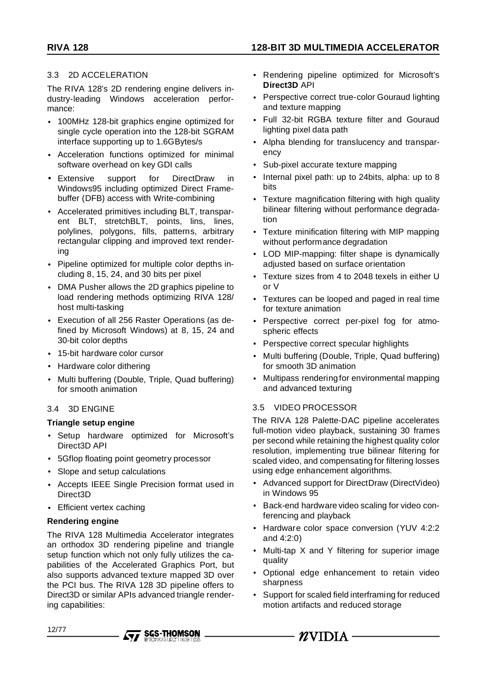#### 3.3 2D ACCELERATION

The RIVA 128's 2D rendering engine delivers industry-leading Windows acceleration performance:

- 100MHz 128-bit graphics engine optimized for single cycle operation into the 128-bit SGRAM interface supporting up to 1.6GBytes/s
- Acceleration functions optimized for minimal software overhead on key GDI calls
- Extensive support for DirectDraw in Windows95 including optimized Direct Framebuffer (DFB) access with Write-combining
- Accelerated primitives including BLT, transparent BLT, stretchBLT, points, lins, lines, polylines, polygons, fills, patterns, arbitrary rectangular clipping and improved text rendering
- Pipeline optimized for multiple color depths including 8, 15, 24, and 30 bits per pixel
- DMA Pusher allows the 2D graphics pipeline to load rendering methods optimizing RIVA 128/ host multi-tasking
- Execution of all 256 Raster Operations (as defined by Microsoft Windows) at 8, 15, 24 and 30-bit color depths
- 15-bit hardware color cursor
- Hardware color dithering
- Multi buffering (Double, Triple, Quad buffering) for smooth animation

### 3.4 3D ENGINE

#### **Triangle setup engine**

- Setup hardware optimized for Microsoft's Direct3D API
- 5Gflop floating point geometry processor
- Slope and setup calculations
- Accepts IEEE Single Precision format used in Direct3D
- Efficient vertex caching

#### **Rendering engine**

The RIVA 128 Multimedia Accelerator integrates an orthodox 3D rendering pipeline and triangle setup function which not only fully utilizes the capabilities of the Accelerated Graphics Port, but also supports advanced texture mapped 3D over the PCI bus. The RIVA 128 3D pipeline offers to Direct3D or similar APIs advanced triangle rendering capabilities:

- Rendering pipeline optimized for Microsoft's **Direct3D** API
- Perspective correct true-color Gouraud lighting and texture mapping
- Full 32-bit RGBA texture filter and Gouraud lighting pixel data path
- Alpha blending for translucency and transparency
- Sub-pixel accurate texture mapping
- Internal pixel path: up to 24bits, alpha: up to 8 bits
- Texture magnification filtering with high quality bilinear filtering without performance degradation
- Texture minification filtering with MIP mapping without performance degradation
- LOD MIP-mapping: filter shape is dynamically adjusted based on surface orientation
- Texture sizes from 4 to 2048 texels in either U or V
- Textures can be looped and paged in real time for texture animation
- Perspective correct per-pixel fog for atmospheric effects
- Perspective correct specular highlights
- Multi buffering (Double, Triple, Quad buffering) for smooth 3D animation
- Multipass rendering for environmental mapping and advanced texturing

### 3.5 VIDEO PROCESSOR

The RIVA 128 Palette-DAC pipeline accelerates full-motion video playback, sustaining 30 frames per second while retaining the highest quality color resolution, implementing true bilinear filtering for scaled video, and compensating for filtering losses using edge enhancement algorithms.

- Advanced support for DirectDraw (DirectVideo) in Windows 95
- Back-end hardware video scaling for video conferencing and playback
- Hardware color space conversion (YUV 4:2:2 and 4:2:0)
- Multi-tap X and Y filtering for superior image quality
- Optional edge enhancement to retain video sharpness
- Support for scaled field interframing for reduced motion artifacts and reduced storage

- NVIDIA -

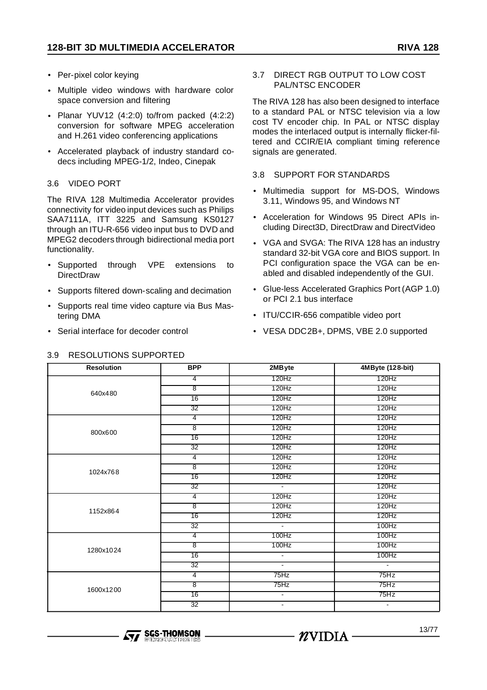- Per-pixel color keying
- Multiple video windows with hardware color space conversion and filtering
- Planar YUV12 (4:2:0) to/from packed (4:2:2) conversion for software MPEG acceleration and H.261 video conferencing applications
- Accelerated playback of industry standard codecs including MPEG-1/2, Indeo, Cinepak

#### 3.6 VIDEO PORT

The RIVA 128 Multimedia Accelerator provides connectivity for video input devices such as Philips SAA7111A, ITT 3225 and Samsung KS0127 through an ITU-R-656 video input bus to DVD and MPEG2 decoders through bidirectional media port functionality.

- Supported through VPE extensions to **DirectDraw**
- Supports filtered down-scaling and decimation
- Supports real time video capture via Bus Mastering DMA
- Serial interface for decoder control

#### 3.7 DIRECT RGB OUTPUT TO LOW COST PAL/NTSC ENCODER

The RIVA 128 has also been designed to interface to a standard PAL or NTSC television via a low cost TV encoder chip. In PAL or NTSC display modes the interlaced output is internally flicker-filtered and CCIR/EIA compliant timing reference signals are generated.

#### 3.8 SUPPORT FOR STANDARDS

- Multimedia support for MS-DOS, Windows 3.11, Windows 95, and Windows NT
- Acceleration for Windows 95 Direct APIs including Direct3D, DirectDraw and DirectVideo
- VGA and SVGA: The RIVA 128 has an industry standard 32-bit VGA core and BIOS support. In PCI configuration space the VGA can be enabled and disabled independently of the GUI.
- Glue-less Accelerated Graphics Port (AGP 1.0) or PCI 2.1 bus interface
- ITU/CCIR-656 compatible video port
- VESA DDC2B+, DPMS, VBE 2.0 supported

| <b>Resolution</b> | <b>BPP</b>              | 2MB yte                                | 4MByte (128-bit) |
|-------------------|-------------------------|----------------------------------------|------------------|
|                   | $\overline{4}$          | 120Hz                                  | 120Hz            |
| 640x480           | ह                       | 120Hz                                  | 120Hz            |
|                   | $\overline{16}$         | 120Hz                                  | 120Hz            |
|                   | 32                      | 120Hz                                  | 120Hz            |
|                   | $\overline{4}$          | 120Hz                                  | 120Hz            |
| 800x600           | $\overline{\mathbf{8}}$ | 120Hz                                  | 120Hz            |
|                   | 16                      | 120Hz                                  | 120Hz            |
|                   | $\overline{32}$         | 120Hz                                  | 120Hz            |
|                   | $\overline{4}$          | 120Hz                                  | 120Hz            |
| 1024x768          | $\overline{8}$          | 120Hz                                  | 120Hz            |
|                   | $\overline{16}$         | 120Hz                                  | 120Hz            |
|                   | 32                      | $\overline{\mathcal{L}_{\mathcal{C}}}$ | 120Hz            |
|                   | $\overline{4}$          | 120Hz                                  | 120Hz            |
| 1152x864          | $\overline{8}$          | 120Hz                                  | 120Hz            |
|                   | 16                      | 120Hz                                  | 120Hz            |
|                   | $\overline{32}$         | $\mathcal{L}^{\mathcal{L}}$            | 100Hz            |
|                   | $\overline{4}$          | 100Hz                                  | 100Hz            |
| 1280x1024         | $\overline{\mathbf{8}}$ | 100Hz                                  | 100Hz            |
|                   | 16                      | $\mathbf{r}$                           | 100Hz            |
|                   | $\overline{32}$         | $\sim$                                 | $\sim$           |
|                   | $\overline{4}$          | 75Hz                                   | 75Hz             |
| 1600x1200         | $\overline{8}$          | 75Hz                                   | 75Hz             |
|                   | 16                      | $\sim$                                 | 75Hz             |
|                   | 32                      | $\blacksquare$                         | $\blacksquare$   |

#### 3.9 RESOLUTIONS SUPPORTED

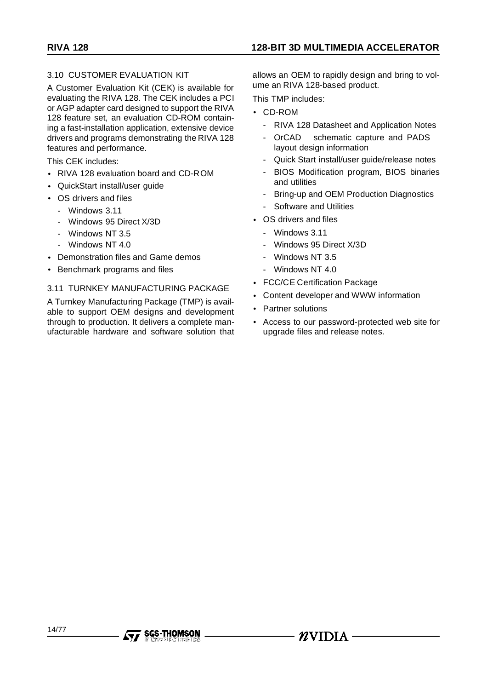# 3.10 CUSTOMER EVALUATION KIT

A Customer Evaluation Kit (CEK) is available for evaluating the RIVA 128. The CEK includes a PCI or AGP adapter card designed to support the RIVA 128 feature set, an evaluation CD-ROM containing a fast-installation application, extensive device drivers and programs demonstrating the RIVA 128 features and performance.

This CEK includes:

- RIVA 128 evaluation board and CD-ROM
- QuickStart install/user guide
- OS drivers and files
	- Windows 3.11
	- Windows 95 Direct X/3D
	- Windows NT 3.5
	- Windows NT 4.0
- Demonstration files and Game demos
- Benchmark programs and files

#### 3.11 TURNKEY MANUFACTURING PACKAGE

A Turnkey Manufacturing Package (TMP) is available to support OEM designs and development through to production. It delivers a complete manufacturable hardware and software solution that

**SGS-THOMSON** 

allows an OEM to rapidly design and bring to volume an RIVA 128-based product.

This TMP includes:

- CD-ROM
	- RIVA 128 Datasheet and Application Notes
	- OrCAD<sup>TM</sup> schematic capture and PADS<sup>TM</sup> layout design information
	- Quick Start install/user guide/release notes
	- BIOS Modification program, BIOS binaries and utilities
	- Bring-up and OEM Production Diagnostics
	- Software and Utilities
- OS drivers and files
	- Windows 3.11
	- Windows 95 Direct X/3D
	- Windows NT 3.5
	- Windows NT 4.0
- FCC/CE Certification Package
- Content developer and WWW information

 $\mathbf Z$ vidia -

- Partner solutions
- Access to our password-protected web site for upgrade files and release notes.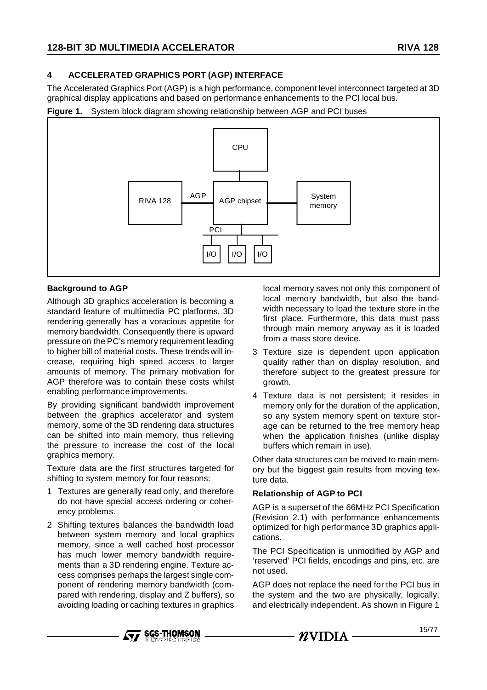# **4 ACCELERATED GRAPHICS PORT (AGP) INTERFACE**

The Accelerated Graphics Port (AGP) is a high performance, component level interconnect targeted at 3D graphical display applications and based on performance enhancements to the PCI local bus.

**Figure 1.** System block diagram showing relationship between AGP and PCI buses



### **Background to AGP**

Although 3D graphics acceleration is becoming a standard feature of multimedia PC platforms, 3D rendering generally has a voracious appetite for memory bandwidth. Consequently there is upward pressure on the PC's memory requirement leading to higher bill of material costs. These trends will increase, requiring high speed access to larger amounts of memory. The primary motivation for AGP therefore was to contain these costs whilst enabling performance improvements.

By providing significant bandwidth improvement between the graphics accelerator and system memory, some of the 3D rendering data structures can be shifted into main memory, thus relieving the pressure to increase the cost of the local graphics memory.

Texture data are the first structures targeted for shifting to system memory for four reasons:

- 1 Textures are generally read only, and therefore do not have special access ordering or coherency problems.
- 2 Shifting textures balances the bandwidth load between system memory and local graphics memory, since a well cached host processor has much lower memory bandwidth requirements than a 3D rendering engine. Texture access comprises perhaps the largest single component of rendering memory bandwidth (compared with rendering, display and Z buffers), so avoiding loading or caching textures in graphics

local memory saves not only this component of local memory bandwidth, but also the bandwidth necessary to load the texture store in the first place. Furthermore, this data must pass through main memory anyway as it is loaded from a mass store device.

- 3 Texture size is dependent upon application quality rather than on display resolution, and therefore subject to the greatest pressure for growth.
- 4 Texture data is not persistent; it resides in memory only for the duration of the application, so any system memory spent on texture storage can be returned to the free memory heap when the application finishes (unlike display buffers which remain in use).

Other data structures can be moved to main memory but the biggest gain results from moving texture data.

### **Relationship of AGP to PCI**

AGP is a superset of the 66MHz PCI Specification (Revision 2.1) with performance enhancements optimized for high performance 3D graphics applications.

The PCI Specification is unmodified by AGP and 'reserved' PCI fields, encodings and pins, etc. are not used.

AGP does not replace the need for the PCI bus in the system and the two are physically, logically, and electrically independent. As shown in Figure 1



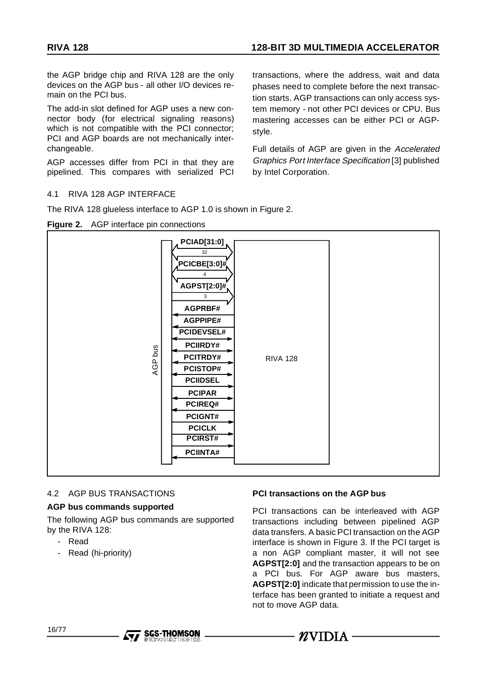the AGP bridge chip and RIVA 128 are the only devices on the AGP bus - all other I/O devices remain on the PCI bus.

The add-in slot defined for AGP uses a new connector body (for electrical signaling reasons) which is not compatible with the PCI connector; PCI and AGP boards are not mechanically interchangeable.

AGP accesses differ from PCI in that they are pipelined. This compares with serialized PCI

#### 4.1 RIVA 128 AGP INTERFACE

The RIVA 128 glueless interface to AGP 1.0 is shown in Figure 2.

#### **Figure 2.** AGP interface pin connections

transactions, where the address, wait and data phases need to complete before the next transaction starts. AGP transactions can only access system memory - not other PCI devices or CPU. Bus mastering accesses can be either PCI or AGPstyle.

Full details of AGP are given in the Accelerated Graphics Port Interface Specification [3] published by Intel Corporation.



#### 4.2 AGP BUS TRANSACTIONS

#### **AGP bus commands supported**

The following AGP bus commands are supported by the RIVA 128:

- Read
- Read (hi-priority)

#### **PCI transactions on the AGP bus**

PCI transactions can be interleaved with AGP transactions including between pipelined AGP data transfers. A basic PCI transaction on the AGP interface is shown in Figure 3. If the PCI target is a non AGP compliant master, it will not see **AGPST[2:0]** and the transaction appears to be on a PCI bus. For AGP aware bus masters, **AGPST[2:0]** indicate that permission to use the interface has been granted to initiate a request and not to move AGP data.





 $- \mathbf{\mathcal{R}}$ vidia -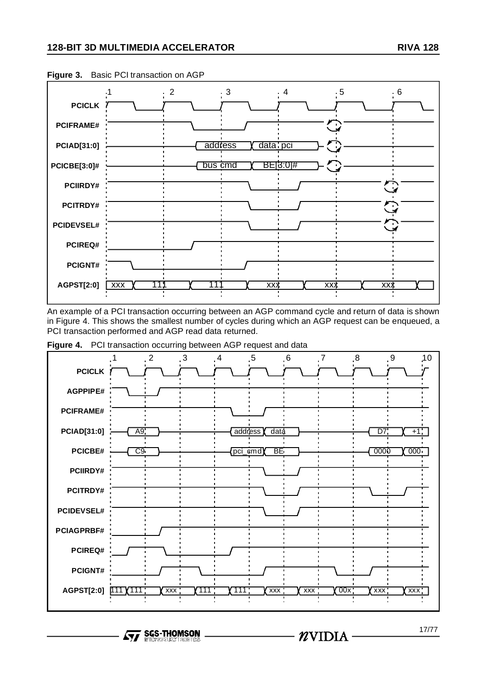

**Figure 3.** Basic PCI transaction on AGP

An example of a PCI transaction occurring between an AGP command cycle and return of data is shown in Figure 4. This shows the smallest number of cycles during which an AGP request can be enqueued, a PCI transaction performed and AGP read data returned.



**Figure 4.** PCI transaction occurring between AGP request and data

**SGS-THOMSON**  $\sqrt{M}$ 

17/77

 $-*n*VIDIA$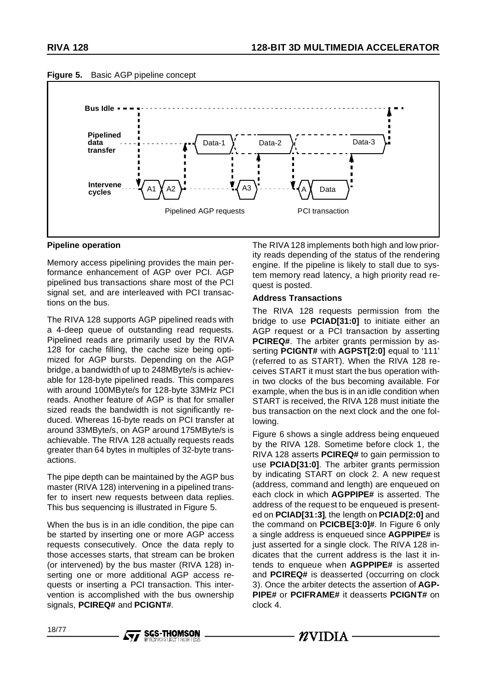



#### **Pipeline operation**

Memory access pipelining provides the main performance enhancement of AGP over PCI. AGP pipelined bus transactions share most of the PCI signal set, and are interleaved with PCI transactions on the bus.

The RIVA 128 supports AGP pipelined reads with a 4-deep queue of outstanding read requests. Pipelined reads are primarily used by the RIVA 128 for cache filling, the cache size being optimized for AGP bursts. Depending on the AGP bridge, a bandwidth of up to 248MByte/s is achievable for 128-byte pipelined reads. This compares with around 100MByte/s for 128-byte 33MHz PCI reads. Another feature of AGP is that for smaller sized reads the bandwidth is not significantly reduced. Whereas 16-byte reads on PCI transfer at around 33MByte/s, on AGP around 175MByte/s is achievable. The RIVA 128 actually requests reads greater than 64 bytes in multiples of 32-byte transactions.

The pipe depth can be maintained by the AGP bus master (RIVA 128) intervening in a pipelined transfer to insert new requests between data replies. This bus sequencing is illustrated in Figure 5.

When the bus is in an idle condition, the pipe can be started by inserting one or more AGP access requests consecutively. Once the data reply to those accesses starts, that stream can be broken (or intervened) by the bus master (RIVA 128) inserting one or more additional AGP access requests or inserting a PCI transaction. This intervention is accomplished with the bus ownership signals, **PCIREQ#** and **PCIGNT#**.

**SGS-THOMSON** 

The RIVA 128 implements both high and low priority reads depending of the status of the rendering engine. If the pipeline is likely to stall due to system memory read latency, a high priority read request is posted.

#### **Address Transactions**

The RIVA 128 requests permission from the bridge to use **PCIAD[31:0]** to initiate either an AGP request or a PCI transaction by asserting **PCIREQ#**. The arbiter grants permission by asserting **PCIGNT#** with **AGPST[2:0]** equal to '111' (referred to as START). When the RIVA 128 receives START it must start the bus operation within two clocks of the bus becoming available. For example, when the bus is in an idle condition when START is received, the RIVA 128 must initiate the bus transaction on the next clock and the one following.

Figure 6 shows a single address being enqueued by the RIVA 128. Sometime before clock 1, the RIVA 128 asserts **PCIREQ#** to gain permission to use **PCIAD[31:0]**. The arbiter grants permission by indicating START on clock 2. A new request (address, command and length) are enqueued on each clock in which **AGPPIPE#** is asserted. The address of the request to be enqueued is presented on **PCIAD[31:3]**, the length on **PCIAD[2:0]** and the command on **PCICBE[3:0]#**. In Figure 6 only a single address is enqueued since **AGPPIPE#** is just asserted for a single clock. The RIVA 128 indicates that the current address is the last it intends to enqueue when **AGPPIPE#** is asserted and **PCIREQ#** is deasserted (occurring on clock 3). Once the arbiter detects the assertion of **AGP-PIPE#** or **PCIFRAME#** it deasserts **PCIGNT#** on clock 4.

 $\mathbf Z$ VIDIA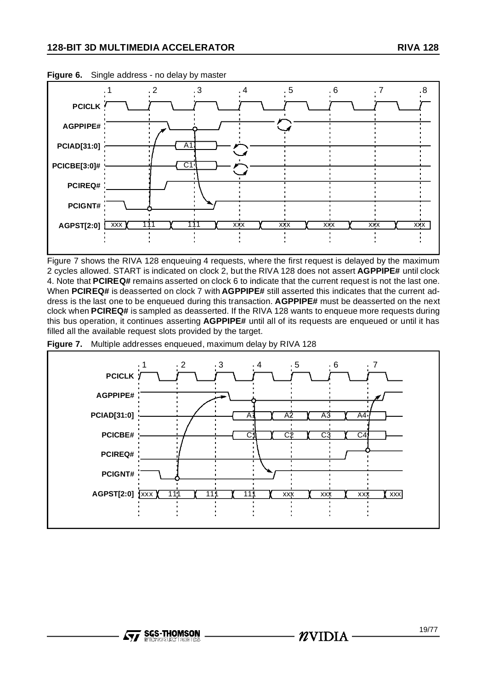

**Figure 6.** Single address - no delay by master

Figure 7 shows the RIVA 128 enqueuing 4 requests, where the first request is delayed by the maximum 2 cycles allowed. START is indicated on clock 2, but the RIVA 128 does not assert **AGPPIPE#** until clock 4. Note that **PCIREQ#** remains asserted on clock 6 to indicate that the current request is not the last one. When **PCIREQ#** is deasserted on clock 7 with **AGPPIPE#** still asserted this indicates that the current address is the last one to be enqueued during this transaction. **AGPPIPE#** must be deasserted on the next clock when **PCIREQ#** is sampled as deasserted. If the RIVA 128 wants to enqueue more requests during this bus operation, it continues asserting **AGPPIPE#** until all of its requests are enqueued or until it has filled all the available request slots provided by the target.



**Figure 7.** Multiple addresses enqueued, maximum delay by RIVA 128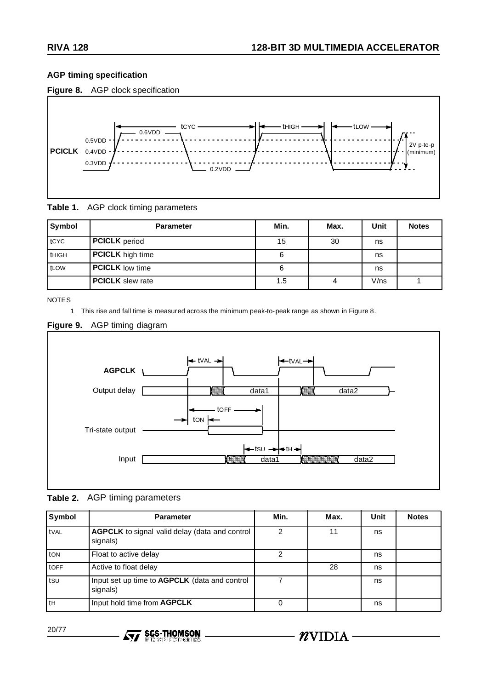# **AGP timing specification**





**Table 1.** AGP clock timing parameters

| Symbol       | <b>Parameter</b>        | Min. | Max. | Unit | <b>Notes</b> |
|--------------|-------------------------|------|------|------|--------------|
| tCYC         | <b>PCICLK</b> period    | 15   | 30   | ns   |              |
| <b>tHIGH</b> | <b>PCICLK</b> high time | 6    |      | ns   |              |
| tLOW         | <b>PCICLK</b> low time  | 6    |      | ns   |              |
|              | <b>PCICLK</b> slew rate | 1.5  | 4    | V/ns |              |

**NOTES** 

1 This rise and fall time is measured across the minimum peak-to-peak range as shown in Figure 8.

# **Figure 9.** AGP timing diagram



# **Table 2.** AGP timing parameters

| Symbol       | <b>Parameter</b>                                                  | Min. | Max. | Unit | <b>Notes</b> |
|--------------|-------------------------------------------------------------------|------|------|------|--------------|
| <b>t</b> VAL | <b>AGPCLK</b> to signal valid delay (data and control<br>signals) | 2    | 11   | ns   |              |
| ton          | Float to active delay                                             | 2    |      | ns   |              |
| tOFF         | Active to float delay                                             |      | 28   | ns   |              |
| tsu          | Input set up time to AGPCLK (data and control<br>signals)         |      |      | ns   |              |
| l th         | Input hold time from AGPCLK                                       | 0    |      | ns   |              |

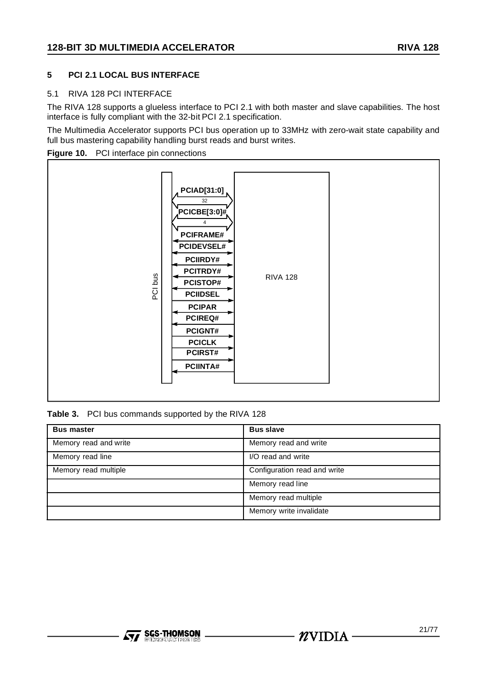# **5 PCI 2.1 LOCAL BUS INTERFACE**

#### 5.1 RIVA 128 PCI INTERFACE

The RIVA 128 supports a glueless interface to PCI 2.1 with both master and slave capabilities. The host interface is fully compliant with the 32-bit PCI 2.1 specification.

The Multimedia Accelerator supports PCI bus operation up to 33MHz with zero-wait state capability and full bus mastering capability handling burst reads and burst writes.





**Table 3.** PCI bus commands supported by the RIVA 128

| <b>Bus master</b>     | <b>Bus slave</b>             |
|-----------------------|------------------------------|
| Memory read and write | Memory read and write        |
| Memory read line      | I/O read and write           |
| Memory read multiple  | Configuration read and write |
|                       | Memory read line             |
|                       | Memory read multiple         |
|                       | Memory write invalidate      |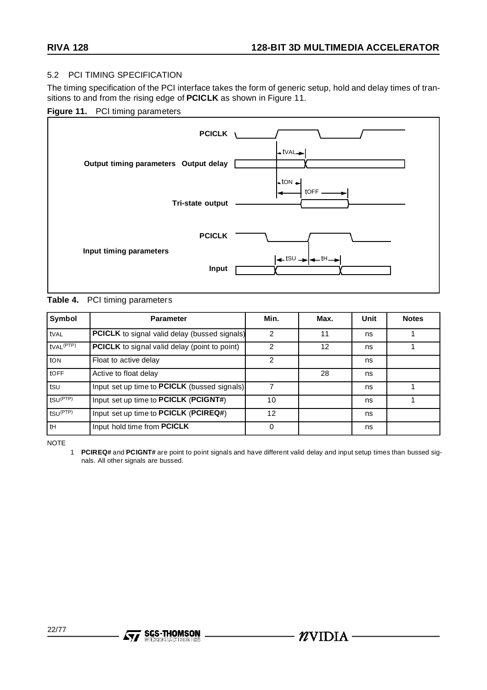#### 5.2 PCI TIMING SPECIFICATION

The timing specification of the PCI interface takes the form of generic setup, hold and delay times of transitions to and from the rising edge of **PCICLK** as shown in Figure 11.

#### **Figure 11.** PCI timing parameters



### **Table 4.** PCI timing parameters

| Symbol                | <b>Parameter</b>                                     | Min.          | Max. | Unit | <b>Notes</b> |
|-----------------------|------------------------------------------------------|---------------|------|------|--------------|
| tval                  | <b>PCICLK</b> to signal valid delay (bussed signals) | $\mathcal{P}$ | 11   | ns   |              |
| tVAL <sup>(PTP)</sup> | <b>PCICLK</b> to signal valid delay (point to point) | 2             | 12   | ns   |              |
| ton                   | Float to active delay                                | 2             |      | ns   |              |
| <b>tOFF</b>           | Active to float delay                                |               | 28   | ns   |              |
| tsu                   | Input set up time to <b>PCICLK</b> (bussed signals)  |               |      | ns   |              |
| fSU <sup>(PTP)</sup>  | Input set up time to PCICLK (PCIGNT#)                | 10            |      | ns   |              |
| $t$ SU $(PTP)$        | Input set up time to PCICLK (PCIREQ#)                | 12            |      | ns   |              |
| tH                    | Input hold time from PCICLK                          | 0             |      | ns   |              |

NOTE

1 **PCIREQ#** and **PCIGNT#** are point to point signals and have different valid delay and input setup times than bussed signals. All other signals are bussed.

 $\mathbf{Z}$ VIDIA -

**SGS-THOMSON** 

AV I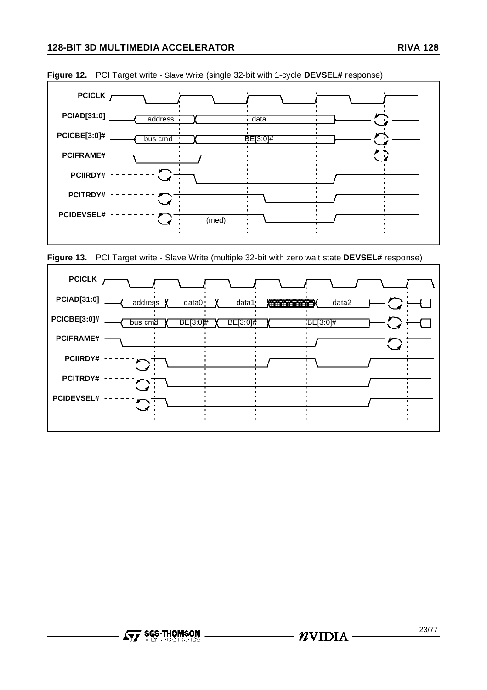





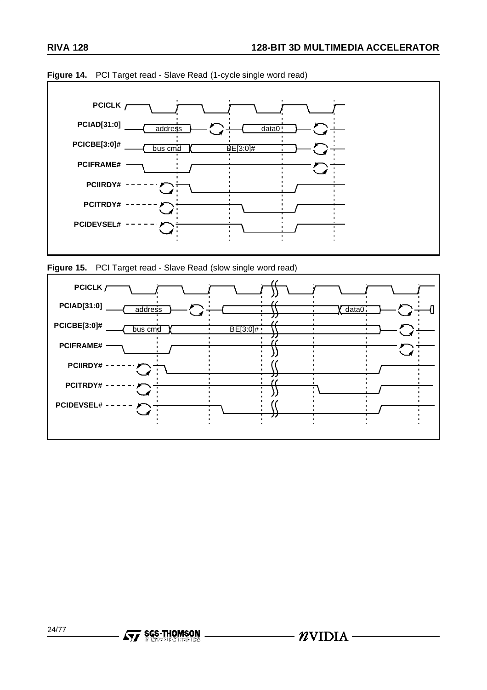

**Figure 14.** PCI Target read - Slave Read (1-cycle single word read)



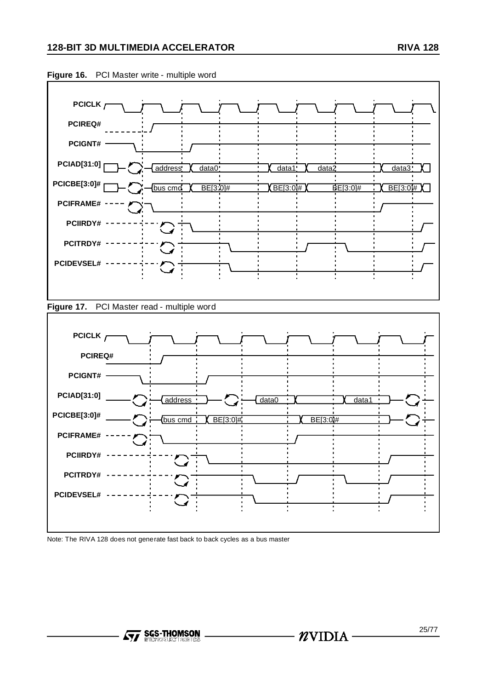

#### **Figure 16.** PCI Master write - multiple word





Note: The RIVA 128 does not generate fast back to back cycles as a bus master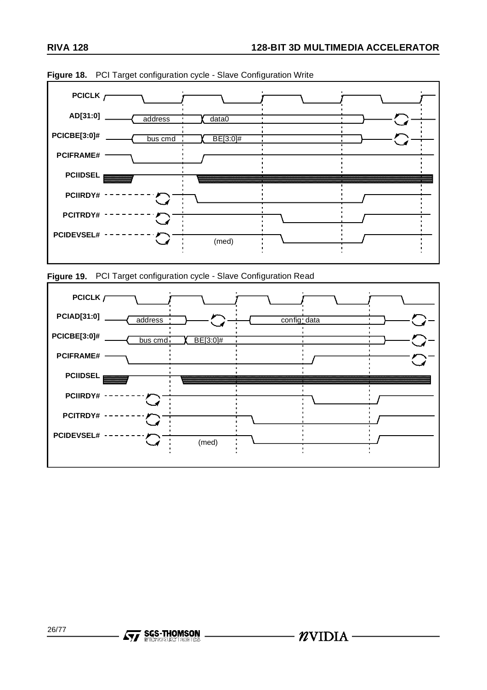





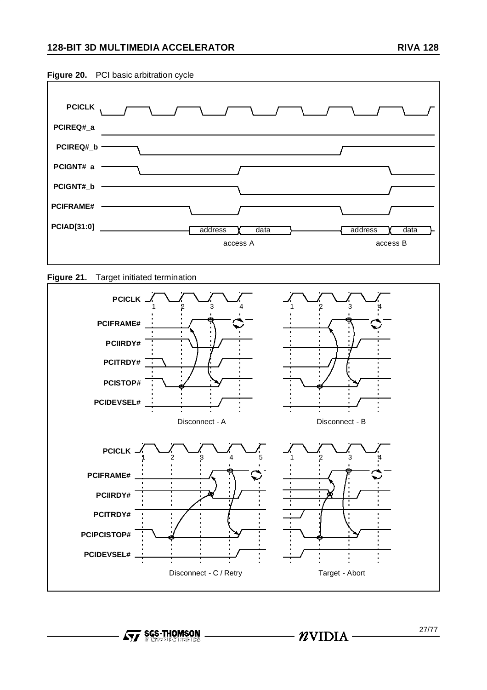

**Figure 21.** Target initiated termination



**Formal SGS-THOMSON**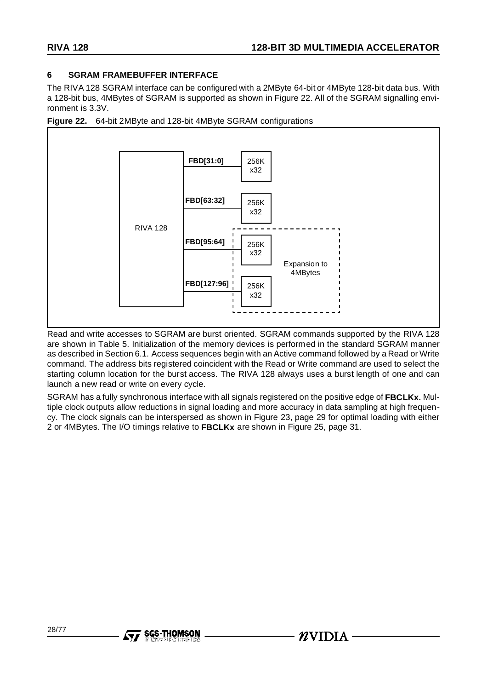## **6 SGRAM FRAMEBUFFER INTERFACE**

The RIVA 128 SGRAM interface can be configured with a 2MByte 64-bit or 4MByte 128-bit data bus. With a 128-bit bus, 4MBytes of SGRAM is supported as shown in Figure 22. All of the SGRAM signalling environment is 3.3V.





Read and write accesses to SGRAM are burst oriented. SGRAM commands supported by the RIVA 128 are shown in Table 5. Initialization of the memory devices is performed in the standard SGRAM manner as described in Section 6.1. Access sequences begin with an Active command followed by a Read or Write command. The address bits registered coincident with the Read or Write command are used to select the starting column location for the burst access. The RIVA 128 always uses a burst length of one and can launch a new read or write on every cycle.

SGRAM has a fully synchronous interface with all signals registered on the positive edge of **FBCLKx.** Multiple clock outputs allow reductions in signal loading and more accuracy in data sampling at high frequency. The clock signals can be interspersed as shown in Figure 23, page 29 for optimal loading with either 2 or 4MBytes. The I/O timings relative to **FBCLKx** are shown in Figure 25, page 31.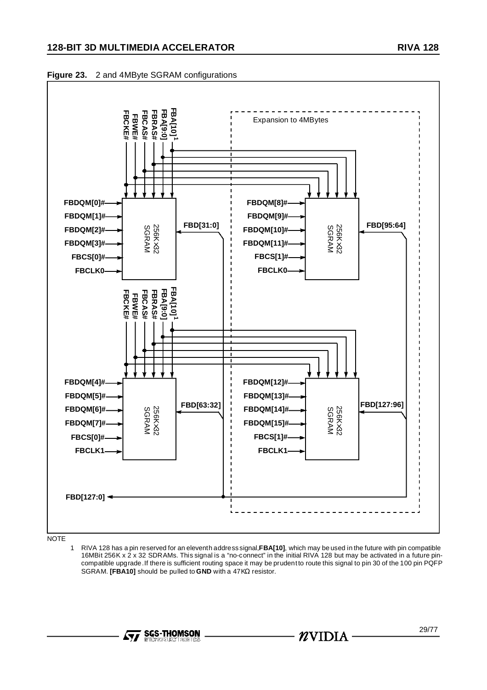# **128-BIT 3D MULTIMEDIA ACCELERATOR RIVA 128**





**NOTE** 

1 RIVA 128 has a pin reserved for an eleventh address signal,**FBA[10]**, which may be used in the future with pin compatible 16MBit 256K x 2 x 32 SDRAMs. This signal is a "no-connect" in the initial RIVA 128 but may be activated in a future pincompatible upgrade.If there is sufficient routing space it may be prudentto route this signal to pin 30 of the 100 pin PQFP SGRAM. **[FBA10]** should be pulled to **GND** with a 47KΩ resistor.



-  $n$ vidia -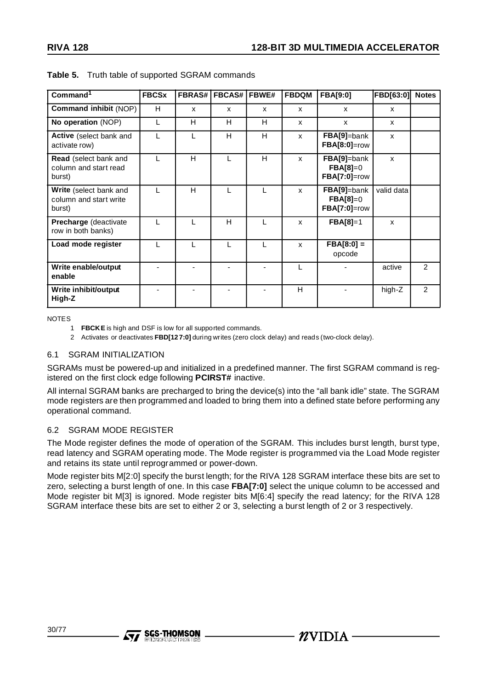| Command <sup>1</sup>                                              | <b>FBCSx</b> | <b>FBRAS#</b> | <b>FBCAS#   FBWE#</b> |   | <b>FBDQM</b> | <b>FBA[9:0]</b>                                  | <b>FBD[63:0]</b> | <b>Notes</b> |
|-------------------------------------------------------------------|--------------|---------------|-----------------------|---|--------------|--------------------------------------------------|------------------|--------------|
| <b>Command inhibit (NOP)</b>                                      | н            | X             | $\mathsf{x}$          | X | X            | $\mathsf{x}$                                     | X                |              |
| No operation (NOP)                                                |              | н             | н                     | н | X            | X                                                | X                |              |
| Active (select bank and<br>activate row)                          |              |               | H                     | H | $\mathsf{x}$ | FBA[9]=bank<br><b>FBA[8:0]=row</b>               | X                |              |
| Read (select bank and<br>column and start read<br>burst)          |              | H             |                       | H | X            | FBA[9]=bank<br>$FBA[8]=0$<br>$FBA[7:0]$ =row     | X                |              |
| <b>Write</b> (select bank and<br>column and start write<br>burst) |              | н             |                       |   | X            | FBA[9]=bank<br>$FBA[8]=0$<br><b>FBA[7:0]=row</b> | valid data       |              |
| <b>Precharge</b> (deactivate<br>row in both banks)                |              |               | н                     |   | X            | $FBA[8]=1$                                       | X                |              |
| Load mode register                                                |              |               |                       |   | X            | $FBA[8:0] =$<br>opcode                           |                  |              |
| Write enable/output<br>enable                                     |              |               |                       |   |              |                                                  | active           | 2            |
| Write inhibit/output<br>High-Z                                    |              |               |                       |   | н            |                                                  | high-Z           | 2            |

**Table 5.** Truth table of supported SGRAM commands

NOTES

**Ayy SGS-THOMSON** 

2 Activates or deactivates **FBD[12 7:0]** during writes (zero clock delay) and reads (two-clock delay).

### 6.1 SGRAM INITIALIZATION

SGRAMs must be powered-up and initialized in a predefined manner. The first SGRAM command is registered on the first clock edge following **PCIRST#** inactive.

All internal SGRAM banks are precharged to bring the device(s) into the "all bank idle" state. The SGRAM mode registers are then programmed and loaded to bring them into a defined state before performing any operational command.

### 6.2 SGRAM MODE REGISTER

The Mode register defines the mode of operation of the SGRAM. This includes burst length, burst type, read latency and SGRAM operating mode. The Mode register is programmed via the Load Mode register and retains its state until reprogrammed or power-down.

Mode register bits M[2:0] specify the burst length; for the RIVA 128 SGRAM interface these bits are set to zero, selecting a burst length of one. In this case **FBA[7:0]** select the unique column to be accessed and Mode register bit M[3] is ignored. Mode register bits M[6:4] specify the read latency; for the RIVA 128 SGRAM interface these bits are set to either 2 or 3, selecting a burst length of 2 or 3 respectively.

 $\mathbf{Z}$ VIDIA

<sup>1</sup> **FBCKE** is high and DSF is low for all supported commands.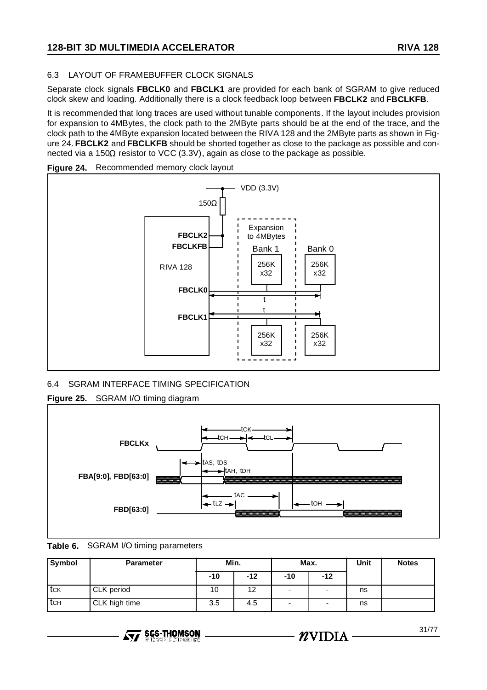# 6.3 LAYOUT OF FRAMEBUFFER CLOCK SIGNALS

Separate clock signals **FBCLK0** and **FBCLK1** are provided for each bank of SGRAM to give reduced clock skew and loading. Additionally there is a clock feedback loop between **FBCLK2** and **FBCLKFB**.

It is recommended that long traces are used without tunable components. If the layout includes provision for expansion to 4MBytes, the clock path to the 2MByte parts should be at the end of the trace, and the clock path to the 4MByte expansion located between the RIVA 128 and the 2MByte parts as shown in Figure 24. **FBCLK2** and **FBCLKFB** should be shorted together as close to the package as possible and connected via a 150Ω resistor to VCC (3.3V), again as close to the package as possible.





# 6.4 SGRAM INTERFACE TIMING SPECIFICATION

**Figure 25.** SGRAM I/O timing diagram



**Table 6.** SGRAM I/O timing parameters

| Symbol | <b>Parameter</b> | Min.  |       | Max.                     |       | <b>Unit</b> | <b>Notes</b> |
|--------|------------------|-------|-------|--------------------------|-------|-------------|--------------|
|        |                  | $-10$ | $-12$ | -10                      | $-12$ |             |              |
| tck    | CLK period       | 10    | 12    | $\overline{\phantom{a}}$ | ۰     | ns          |              |
| . tсн  | CLK high time    | 3.5   | 4.5   | $\overline{\phantom{0}}$ |       | ns          |              |

- NVIDIA -

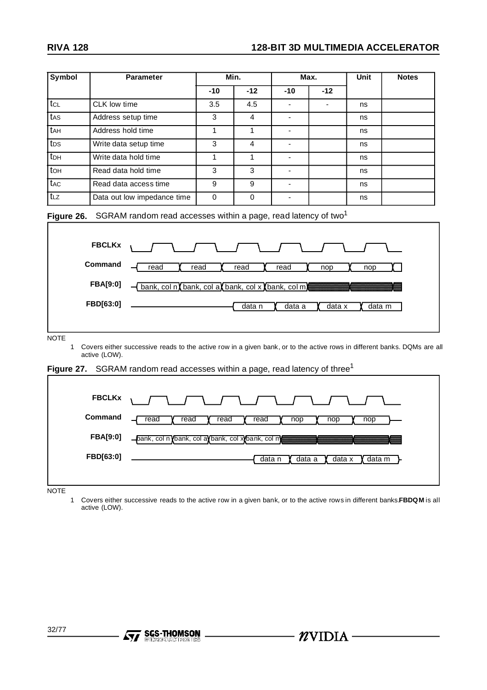| <b>Symbol</b>                                                                                                                                                            | <b>Parameter</b>                                                             | Min.     |                | Max.                     |                | <b>Unit</b> | <b>Notes</b> |
|--------------------------------------------------------------------------------------------------------------------------------------------------------------------------|------------------------------------------------------------------------------|----------|----------------|--------------------------|----------------|-------------|--------------|
|                                                                                                                                                                          |                                                                              | $-10$    | $-12$          | $-10$                    | $-12$          |             |              |
| tcL                                                                                                                                                                      | CLK low time                                                                 | 3.5      | 4.5            |                          | $\blacksquare$ | ns          |              |
| tas                                                                                                                                                                      | Address setup time                                                           | 3        | $\overline{4}$ |                          |                | ns          |              |
| t <sub>AH</sub>                                                                                                                                                          | Address hold time                                                            | 1        | $\mathbf{1}$   | $\blacksquare$           |                | ns          |              |
| tps                                                                                                                                                                      | Write data setup time                                                        | 3        | $\overline{4}$ | $\blacksquare$           |                | ns          |              |
| t <sub>DH</sub>                                                                                                                                                          | Write data hold time                                                         | 1        | $\mathbf{1}$   | $\overline{\phantom{a}}$ |                | ns          |              |
| toh                                                                                                                                                                      | Read data hold time                                                          | 3        | 3              | $\blacksquare$           |                | ns          |              |
| t <sub>AC</sub>                                                                                                                                                          | Read data access time                                                        | 9        | 9              |                          |                | ns          |              |
| $t_{LZ}$                                                                                                                                                                 | Data out low impedance time                                                  | $\Omega$ | $\Omega$       | $\blacksquare$           |                | ns          |              |
| <b>FBA[9:0]</b><br>- bank, col n bank, col a bank, col x bank, col m)<br>FBD[63:0]<br>data n<br>data a<br>data x<br>data m                                               |                                                                              |          |                |                          |                |             |              |
| <b>NOTE</b><br>Covers either successive reads to the active row in a given bank, or to the active rows in different banks. DQMs are all<br>$\mathbf{1}$<br>active (LOW). |                                                                              |          |                |                          |                |             |              |
| Figure 27.                                                                                                                                                               | SGRAM random read accesses within a page, read latency of three <sup>1</sup> |          |                |                          |                |             |              |
|                                                                                                                                                                          | <b>FBCLKx</b>                                                                |          |                |                          |                |             |              |
|                                                                                                                                                                          | Command<br>read<br>read                                                      | read     | read           | nop                      | nop            | nop         |              |

**NOTE** 

**FBA[9:0]**

**FBD[63:0]**

1 Covers either successive reads to the active row in a given bank, or to the active rows in different banks.**FBDQM** is all active (LOW).

-bank, col n bank, col a bank, col x bank, col m

**Ayy SGS-THOMSON** 

data n

data a **(data x (data m** 

 $n$ VIDIA  $-$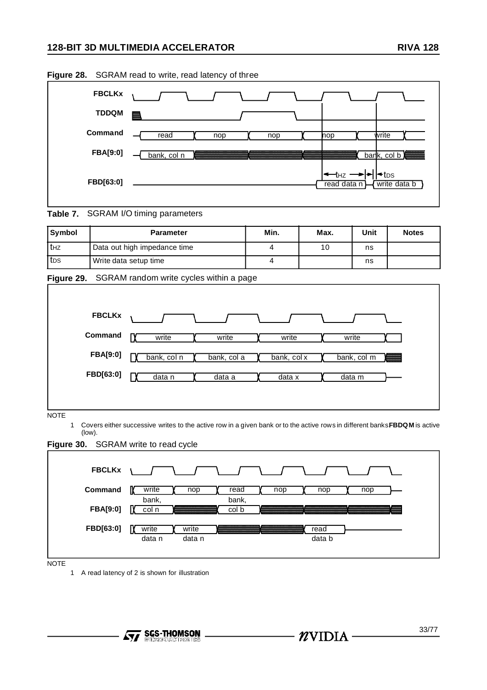# **128-BIT 3D MULTIMEDIA ACCELERATOR RIVA 128**

|                 | <b>Figure 20.</b> OCIVAINTIBRATION WITH THE RIGHTLY OF LITTLE                 |
|-----------------|-------------------------------------------------------------------------------|
| <b>FBCLKx</b>   |                                                                               |
| <b>TDDQM</b>    | 羉                                                                             |
| Command         | write<br>read<br>nop<br>nop<br>nop                                            |
| <b>FBA[9:0]</b> | bank, col b<br>bank, col n                                                    |
| FBD[63:0]       | l <del>≺</del> tps<br><del>&lt; t</del> нz<br>write data b<br>read data $n$ } |

**Figure 28.** SGRAM read to write, read latency of three

**Table 7.** SGRAM I/O timing parameters

| <b>Symbol</b> | <b>Parameter</b>             | Min. | Max. | Unit | <b>Notes</b> |
|---------------|------------------------------|------|------|------|--------------|
| thz           | Data out high impedance time |      | 10   | ns   |              |
| tps           | Write data setup time        |      |      | ns   |              |



| <b>FBCLKx</b>   |             |             |             |             |  |
|-----------------|-------------|-------------|-------------|-------------|--|
| Command         | write       | write       | write       | write       |  |
| <b>FBA[9:0]</b> | bank, col n | bank, col a | bank, col x | bank, col m |  |
| FBD[63:0]       | data n      | data a      | data x      | data m      |  |

(low).

**Figure 30.** SGRAM write to read cycle



 $\boldsymbol{\mathcal{U}}$ vidia -

NOTE

1 A read latency of 2 is shown for illustration

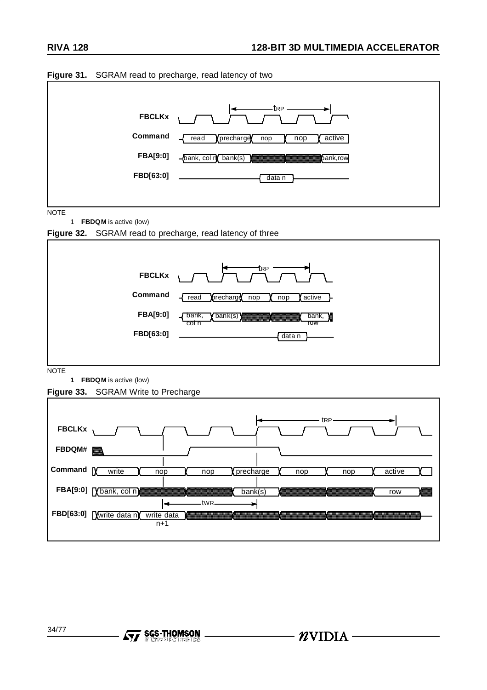- NVIDIA –



**Figure 31.** SGRAM read to precharge, read latency of two

34/77

**AVA** SGS-THOMSON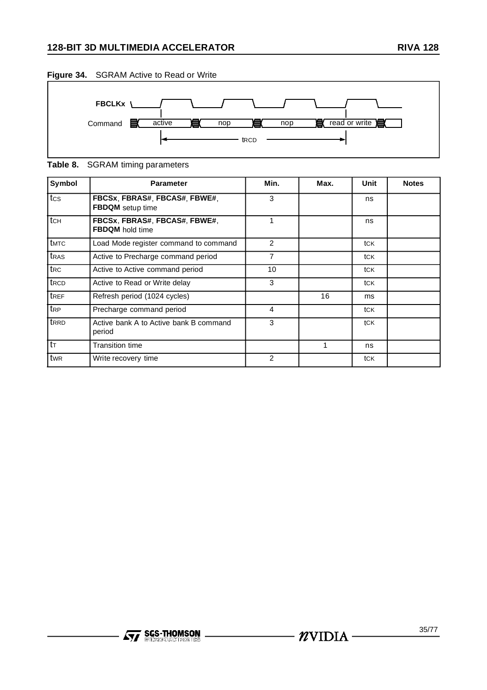# **128-BIT 3D MULTIMEDIA ACCELERATOR RIVA 128**



**Table 8.** SGRAM timing parameters

| Symbol           | <b>Parameter</b>                                        | Min. | Max. | <b>Unit</b> | <b>Notes</b> |
|------------------|---------------------------------------------------------|------|------|-------------|--------------|
| tcs              | FBCSx, FBRAS#, FBCAS#, FBWE#,<br>FBDQM setup time       | 3    |      | ns          |              |
| tch              | FBCSx, FBRAS#, FBCAS#, FBWE#,<br><b>FBDQM</b> hold time | 1    |      | ns          |              |
| t <sub>MTC</sub> | Load Mode register command to command                   | 2    |      | tck         |              |
| t <sub>RAS</sub> | Active to Precharge command period                      | 7    |      | tck         |              |
| trc              | Active to Active command period                         | 10   |      | tck         |              |
| t <sub>RCD</sub> | Active to Read or Write delay                           | 3    |      | tck         |              |
| tref             | Refresh period (1024 cycles)                            |      | 16   | ms          |              |
| t <sub>RP</sub>  | Precharge command period                                | 4    |      | tck         |              |
| t <sub>RRD</sub> | Active bank A to Active bank B command<br>period        | 3    |      | tCK         |              |
| $t_{\text{T}}$   | <b>Transition time</b>                                  |      |      | ns          |              |
| twr              | Write recovery time                                     | 2    |      | tck         |              |

# **Ayy SGS-THOMSON**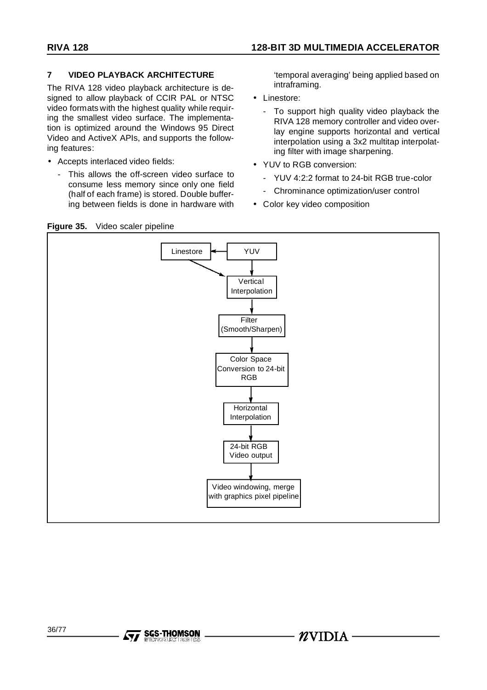# **7 VIDEO PLAYBACK ARCHITECTURE**

The RIVA 128 video playback architecture is designed to allow playback of CCIR PAL or NTSC video formats with the highest quality while requiring the smallest video surface. The implementation is optimized around the Windows 95 Direct Video and ActiveX APIs, and supports the following features:

- Accepts interlaced video fields:
	- This allows the off-screen video surface to consume less memory since only one field (half of each frame) is stored. Double buffering between fields is done in hardware with

'temporal averaging' being applied based on intraframing.

- Linestore:
	- To support high quality video playback the RIVA 128 memory controller and video overlay engine supports horizontal and vertical interpolation using a 3x2 multitap interpolating filter with image sharpening.
- YUV to RGB conversion:
	- YUV 4:2:2 format to 24-bit RGB true-color
	- Chrominance optimization/user control
- Color key video composition

### **Figure 35.** Video scaler pipeline

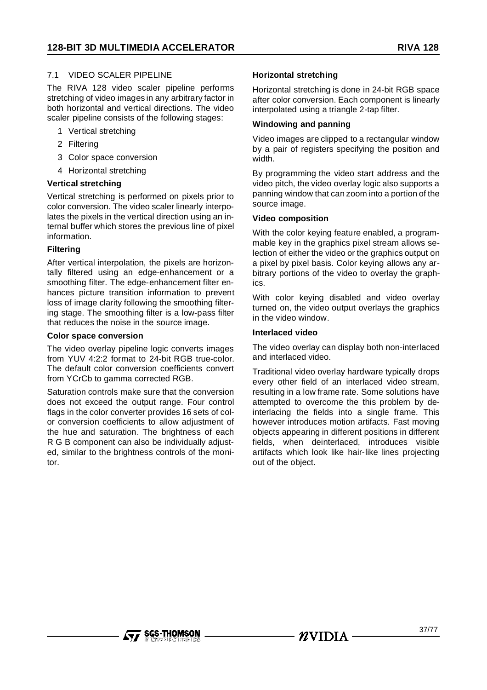## 7.1 VIDEO SCALER PIPELINE

The RIVA 128 video scaler pipeline performs stretching of video images in any arbitrary factor in both horizontal and vertical directions. The video scaler pipeline consists of the following stages:

- 1 Vertical stretching
- 2 Filtering
- 3 Color space conversion
- 4 Horizontal stretching

### **Vertical stretching**

Vertical stretching is performed on pixels prior to color conversion. The video scaler linearly interpolates the pixels in the vertical direction using an internal buffer which stores the previous line of pixel information.

#### **Filtering**

After vertical interpolation, the pixels are horizontally filtered using an edge-enhancement or a smoothing filter. The edge-enhancement filter enhances picture transition information to prevent loss of image clarity following the smoothing filtering stage. The smoothing filter is a low-pass filter that reduces the noise in the source image.

#### **Color space conversion**

The video overlay pipeline logic converts images from YUV 4:2:2 format to 24-bit RGB true-color. The default color conversion coefficients convert from YCrCb to gamma corrected RGB.

Saturation controls make sure that the conversion does not exceed the output range. Four control flags in the color converter provides 16 sets of color conversion coefficients to allow adjustment of the hue and saturation. The brightness of each R G B component can also be individually adjusted, similar to the brightness controls of the monitor.

#### **Horizontal stretching**

Horizontal stretching is done in 24-bit RGB space after color conversion. Each component is linearly interpolated using a triangle 2-tap filter.

#### **Windowing and panning**

Video images are clipped to a rectangular window by a pair of registers specifying the position and width.

By programming the video start address and the video pitch, the video overlay logic also supports a panning window that can zoom into a portion of the source image.

#### **Video composition**

With the color keying feature enabled, a programmable key in the graphics pixel stream allows selection of either the video or the graphics output on a pixel by pixel basis. Color keying allows any arbitrary portions of the video to overlay the graphics.

With color keying disabled and video overlay turned on, the video output overlays the graphics in the video window.

#### **Interlaced video**

The video overlay can display both non-interlaced and interlaced video.

Traditional video overlay hardware typically drops every other field of an interlaced video stream, resulting in a low frame rate. Some solutions have attempted to overcome the this problem by deinterlacing the fields into a single frame. This however introduces motion artifacts. Fast moving objects appearing in different positions in different fields, when deinterlaced, introduces visible artifacts which look like hair-like lines projecting out of the object.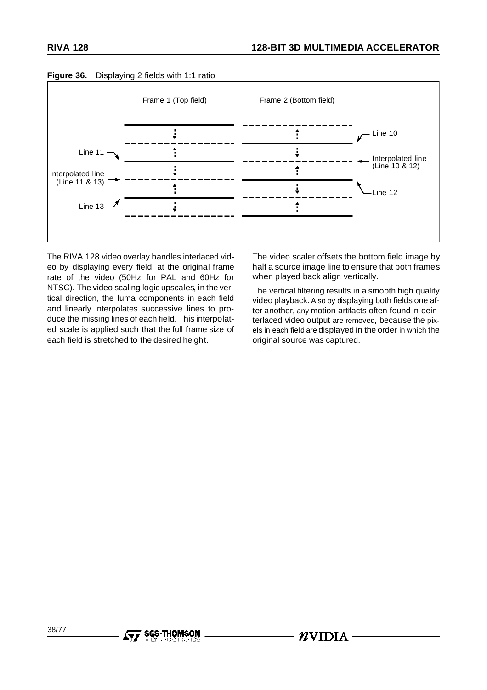

# **Figure 36.** Displaying 2 fields with 1:1 ratio

The RIVA 128 video overlay handles interlaced video by displaying every field, at the original frame rate of the video (50Hz for PAL and 60Hz for NTSC). The video scaling logic upscales, in the vertical direction, the luma components in each field and linearly interpolates successive lines to produce the missing lines of each field. This interpolated scale is applied such that the full frame size of each field is stretched to the desired height.

**SGS-THOMSON** 

The video scaler offsets the bottom field image by half a source image line to ensure that both frames when played back align vertically.

The vertical filtering results in a smooth high quality video playback. Also by displaying both fields one after another, any motion artifacts often found in deinterlaced video output are removed, because the pixels in each field are displayed in the order in which the original source was captured.

 $\mathbfcalU}$ VIDIA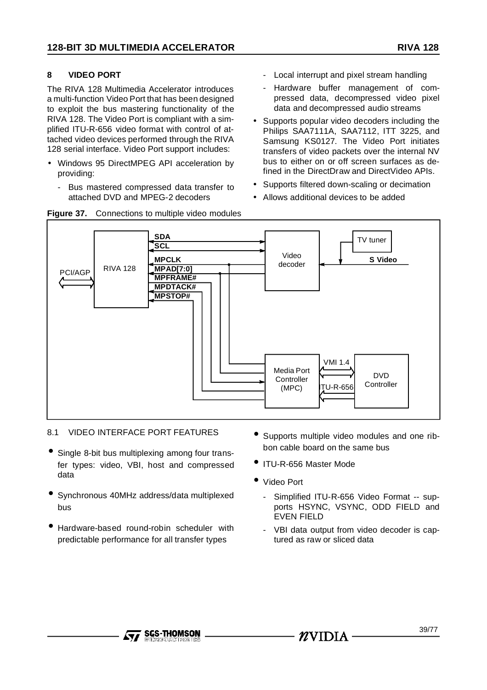# **8 VIDEO PORT**

The RIVA 128 Multimedia Accelerator introduces a multi-function Video Port that has been designed to exploit the bus mastering functionality of the RIVA 128. The Video Port is compliant with a simplified ITU-R-656 video format with control of attached video devices performed through the RIVA 128 serial interface. Video Port support includes:

- Windows 95 DirectMPEG API acceleration by providing:
	- Bus mastered compressed data transfer to attached DVD and MPEG-2 decoders
- Local interrupt and pixel stream handling
- Hardware buffer management of compressed data, decompressed video pixel data and decompressed audio streams
- Supports popular video decoders including the Philips SAA7111A, SAA7112, ITT 3225, and Samsung KS0127. The Video Port initiates transfers of video packets over the internal NV bus to either on or off screen surfaces as defined in the DirectDraw and DirectVideo APIs.
- Supports filtered down-scaling or decimation
- Allows additional devices to be added



# 8.1 VIDEO INTERFACE PORT FEATURES

- Single 8-bit bus multiplexing among four transfer types: video, VBI, host and compressed data
- Synchronous 40MHz address/data multiplexed bus
- Hardware-based round-robin scheduler with predictable performance for all transfer types
- Supports multiple video modules and one ribbon cable board on the same bus
- ITU-R-656 Master Mode
- Video Port
	- Simplified ITU-R-656 Video Format -- supports HSYNC, VSYNC, ODD FIELD and EVEN FIELD
	- VBI data output from video decoder is captured as raw or sliced data

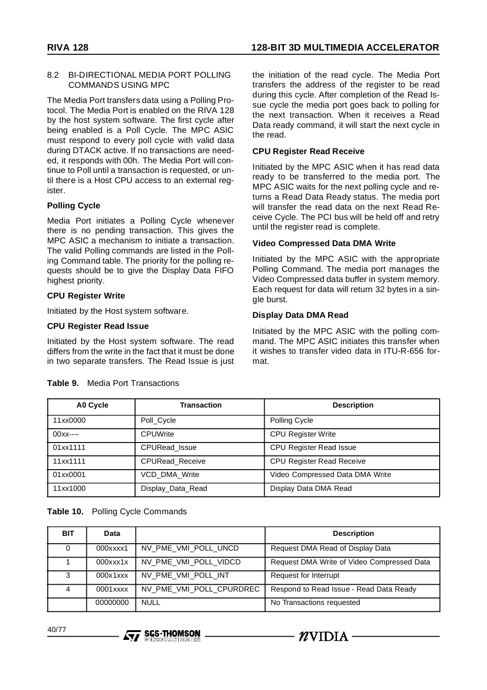#### 8.2 BI-DIRECTIONAL MEDIA PORT POLLING COMMANDS USING MPC

The Media Port transfers data using a Polling Protocol. The Media Port is enabled on the RIVA 128 by the host system software. The first cycle after being enabled is a Poll Cycle. The MPC ASIC must respond to every poll cycle with valid data during DTACK active. If no transactions are needed, it responds with 00h. The Media Port will continue to Poll until a transaction is requested, or until there is a Host CPU access to an external register.

# **Polling Cycle**

Media Port initiates a Polling Cycle whenever there is no pending transaction. This gives the MPC ASIC a mechanism to initiate a transaction. The valid Polling commands are listed in the Polling Command table. The priority for the polling requests should be to give the Display Data FIFO highest priority.

# **CPU Register Write**

Initiated by the Host system software.

# **CPU Register Read Issue**

Initiated by the Host system software. The read differs from the write in the fact that it must be done in two separate transfers. The Read Issue is just the initiation of the read cycle. The Media Port transfers the address of the register to be read during this cycle. After completion of the Read Issue cycle the media port goes back to polling for the next transaction. When it receives a Read Data ready command, it will start the next cycle in the read.

# **CPU Register Read Receive**

Initiated by the MPC ASIC when it has read data ready to be transferred to the media port. The MPC ASIC waits for the next polling cycle and returns a Read Data Ready status. The media port will transfer the read data on the next Read Receive Cycle. The PCI bus will be held off and retry until the register read is complete.

# **Video Compressed Data DMA Write**

-  $n$ vidia -

Initiated by the MPC ASIC with the appropriate Polling Command. The media port manages the Video Compressed data buffer in system memory. Each request for data will return 32 bytes in a single burst.

# **Display Data DMA Read**

Initiated by the MPC ASIC with the polling command. The MPC ASIC initiates this transfer when it wishes to transfer video data in ITU-R-656 format.

| A0 Cycle  | <b>Transaction</b>     | <b>Description</b>              |
|-----------|------------------------|---------------------------------|
| 11xx0000  | Poll Cycle             | Polling Cycle                   |
| $00x - -$ | <b>CPUWrite</b>        | <b>CPU Register Write</b>       |
| 01xx1111  | CPURead_Issue          | <b>CPU Register Read Issue</b>  |
| 11xx1111  | <b>CPURead Receive</b> | CPU Register Read Receive       |
| 01xx0001  | <b>VCD DMA Write</b>   | Video Compressed Data DMA Write |
| 11xx1000  | Display_Data_Read      | Display Data DMA Read           |

# **Table 9.** Media Port Transactions

# **Table 10.** Polling Cycle Commands

| <b>BIT</b> | Data         |                          | <b>Description</b>                         |
|------------|--------------|--------------------------|--------------------------------------------|
| 0          | 000xxxx1     | NV_PME_VMI_POLL_UNCD     | Request DMA Read of Display Data           |
|            | $000$ $xx1x$ | NV_PME_VMI_POLL_VIDCD    | Request DMA Write of Video Compressed Data |
| 3          | 000x1xxx     | NV_PME_VMI_POLL_INT      | Request for Interrupt                      |
|            | 0001xxxx     | NV_PME_VMI_POLL_CPURDREC | Respond to Read Issue - Read Data Ready    |
|            | 00000000     | <b>NULL</b>              | No Transactions requested                  |

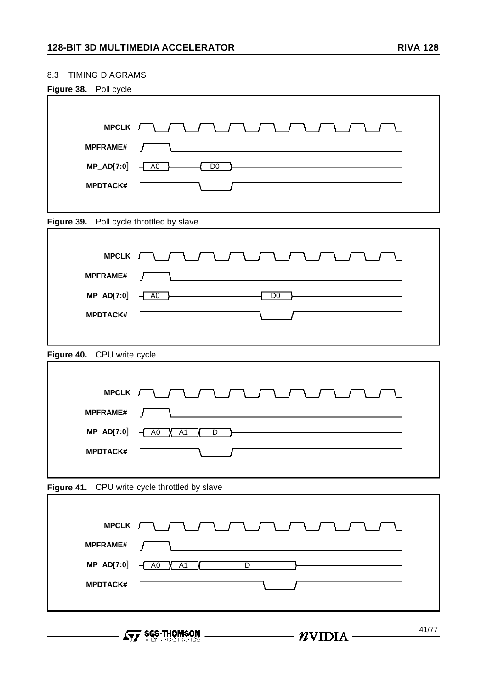# 8.3 TIMING DIAGRAMS

| Figure 38. Poll cycle                    |                                                             |
|------------------------------------------|-------------------------------------------------------------|
|                                          |                                                             |
| MPCLK /                                  |                                                             |
| <b>MPFRAME#</b>                          |                                                             |
| MP_AD[7:0]                               | D <sub>0</sub><br>A <sub>0</sub>                            |
| <b>MPDTACK#</b>                          |                                                             |
|                                          |                                                             |
| Figure 39. Poll cycle throttled by slave |                                                             |
|                                          |                                                             |
| MPCLK [                                  |                                                             |
| <b>MPFRAME#</b>                          | Ι                                                           |
| MP_AD[7:0]                               | D <sub>0</sub><br>A <sub>0</sub>                            |
| <b>MPDTACK#</b>                          |                                                             |
|                                          |                                                             |
| Figure 40. CPU write cycle               |                                                             |
|                                          |                                                             |
| <b>MPCLK</b>                             |                                                             |
|                                          |                                                             |
| <b>MPFRAME#</b>                          |                                                             |
| MP_AD[7:0]                               | A <sub>0</sub><br>A <sub>1</sub><br>$\overline{\mathsf{D}}$ |
| <b>MPDTACK#</b>                          |                                                             |
|                                          |                                                             |
| Figure 41.                               | CPU write cycle throttled by slave                          |
|                                          |                                                             |
| MPCLK /                                  |                                                             |
| <b>MPFRAME#</b>                          |                                                             |
| <b>MP_AD[7:0]</b>                        | AO X<br>A1<br>$\overline{D}$<br>⊣                           |

**For SGS-THOMSON** 

**MPDTACK#**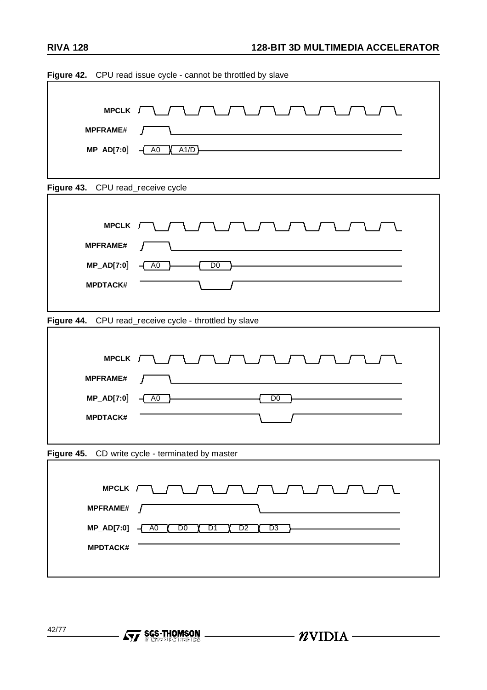42/77

**Formation SCS-THOMSON**<br>*Contention CS* 

| <b>MPCLK</b>                      |                                                                                  |
|-----------------------------------|----------------------------------------------------------------------------------|
| <b>MPFRAME#</b>                   |                                                                                  |
| MP_AD[7:0]                        | A0<br>A1/D<br>4                                                                  |
|                                   |                                                                                  |
| Figure 43. CPU read_receive cycle |                                                                                  |
|                                   |                                                                                  |
| <b>MPCLK</b>                      |                                                                                  |
| <b>MPFRAME#</b>                   |                                                                                  |
| MP_AD[7:0]                        | A <sub>0</sub><br>D <sub>0</sub>                                                 |
| <b>MPDTACK#</b>                   |                                                                                  |
|                                   |                                                                                  |
|                                   | Figure 44. CPU read_receive cycle - throttled by slave                           |
|                                   |                                                                                  |
| <b>MPCLK</b>                      |                                                                                  |
| <b>MPFRAME#</b>                   |                                                                                  |
| MP_AD[7:0]                        | A <sub>0</sub><br>D <sub>0</sub>                                                 |
| <b>MPDTACK#</b>                   |                                                                                  |
|                                   |                                                                                  |
|                                   | Figure 45. CD write cycle - terminated by master                                 |
|                                   |                                                                                  |
|                                   | MPCLK $\Box$                                                                     |
| <b>MPFRAME#</b>                   |                                                                                  |
| <b>MP_AD[7:0]</b>                 | D <sub>0</sub><br>D <sub>2</sub><br>D <sub>3</sub><br>A0<br>D1<br>$\overline{A}$ |
| <b>MPDTACK#</b>                   |                                                                                  |
|                                   |                                                                                  |
|                                   |                                                                                  |
|                                   |                                                                                  |

 $\longrightarrow$   $\gamma$ VIDIA  $-$ 

**Figure 42.** CPU read issue cycle - cannot be throttled by slave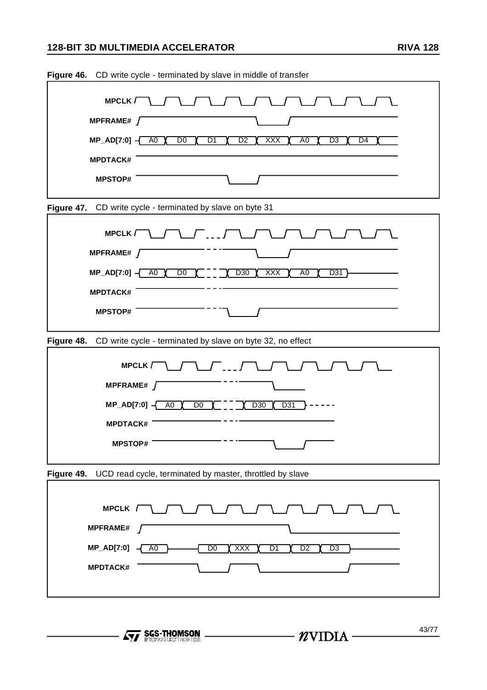# **128-BIT 3D MULTIMEDIA ACCELERATOR RIVA 128**

| Figure 46.<br>CD write cycle - terminated by slave in middle of transfer                                                                                 |  |  |  |  |
|----------------------------------------------------------------------------------------------------------------------------------------------------------|--|--|--|--|
| <b>MPCLK</b><br>MPFRAME# $\sqrt{ }$                                                                                                                      |  |  |  |  |
| $MP_AD[7:0] -$<br>A <sub>0</sub><br>$\overline{D0}$<br>$\overline{D1}$<br>$\overline{D2}$<br>$\overline{D3}$<br>$\overline{D4}$<br>A <sub>0</sub><br>XXX |  |  |  |  |
| <b>MPDTACK#</b>                                                                                                                                          |  |  |  |  |
| <b>MPSTOP#</b>                                                                                                                                           |  |  |  |  |
| Figure 47.<br>CD write cycle - terminated by slave on byte 31                                                                                            |  |  |  |  |
| <b>MPCLK</b>                                                                                                                                             |  |  |  |  |
| MPFRAME# $\int$                                                                                                                                          |  |  |  |  |
| $MP_AD[7:0] -$<br>A <sub>0</sub><br>$\overline{D0}$<br>D <sub>30</sub><br><b>XXX</b><br>A <sub>0</sub><br>D31                                            |  |  |  |  |
| <b>MPDTACK#</b>                                                                                                                                          |  |  |  |  |
| <b>MPSTOP#</b>                                                                                                                                           |  |  |  |  |
| Figure 48.<br>CD write cycle - terminated by slave on byte 32, no effect                                                                                 |  |  |  |  |
| <b>MPCLK</b>                                                                                                                                             |  |  |  |  |
| MPFRAME# $\int$                                                                                                                                          |  |  |  |  |
| $MP_AD[7:0] -$<br>A <sub>0</sub><br>D <sub>0</sub><br>D30<br>D31                                                                                         |  |  |  |  |
| <b>MPDTACK#</b>                                                                                                                                          |  |  |  |  |
| <b>MPSTOP#</b>                                                                                                                                           |  |  |  |  |
| Figure 49.<br>UCD read cycle, terminated by master, throttled by slave                                                                                   |  |  |  |  |
| MPCLK /                                                                                                                                                  |  |  |  |  |
| <b>MPFRAME#</b>                                                                                                                                          |  |  |  |  |
| MP_AD[7:0]<br>D <sub>0</sub><br>XXX<br>D <sub>1</sub><br>D <sub>2</sub><br>$\overline{D3}$<br>A <sub>0</sub>                                             |  |  |  |  |
| <b>MPDTACK#</b>                                                                                                                                          |  |  |  |  |
|                                                                                                                                                          |  |  |  |  |

**Figure 46.** CD write cycle - terminated by slave in middle of transfer

- **Ayy SGS-THOMSON** -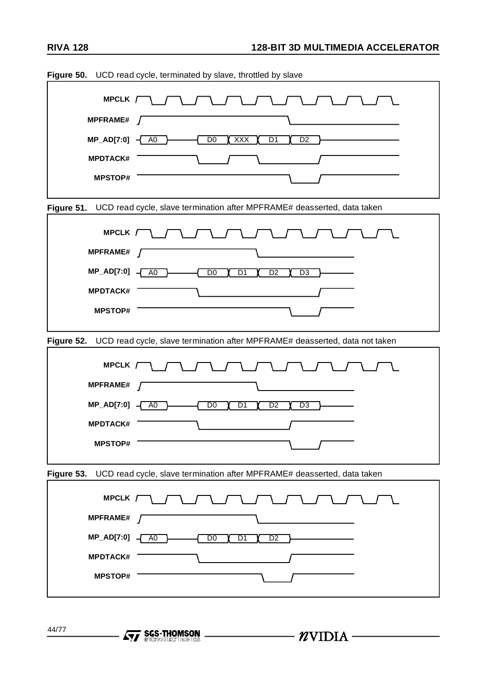| Figure 50.        | UCD read cycle, terminated by slave, throttled by slave                                |
|-------------------|----------------------------------------------------------------------------------------|
| MPCLK /           |                                                                                        |
| <b>MPFRAME#</b>   |                                                                                        |
| <b>MP_AD[7:0]</b> | D <sub>0</sub><br><b>XXX</b><br>D <sub>1</sub><br>A <sub>0</sub><br>D <sub>2</sub>     |
| <b>MPDTACK#</b>   |                                                                                        |
| <b>MPSTOP#</b>    |                                                                                        |
| Figure 51.        | UCD read cycle, slave termination after MPFRAME# deasserted, data taken                |
|                   |                                                                                        |
| MPCLK /           |                                                                                        |
| <b>MPFRAME#</b>   |                                                                                        |
| <b>MP_AD[7:0]</b> | D <sub>0</sub><br>D1<br>A <sub>0</sub><br>D <sub>2</sub><br>D <sub>3</sub>             |
| <b>MPDTACK#</b>   |                                                                                        |
| <b>MPSTOP#</b>    |                                                                                        |
|                   | Figure 52. UCD read cycle, slave termination after MPFRAME# deasserted, data not taken |
| MPCLK /           |                                                                                        |
| <b>MPFRAME#</b>   |                                                                                        |
| <b>MP_AD[7:0]</b> | D <sub>0</sub><br>D1<br>A <sub>0</sub><br>D2<br>D <sub>3</sub>                         |
| <b>MPDTACK#</b>   |                                                                                        |
| <b>MPSTOP#</b>    |                                                                                        |
| Figure 53.        | UCD read cycle, slave termination after MPFRAME# deasserted, data taken                |
| MPCLK /           |                                                                                        |
| <b>MPFRAME#</b>   |                                                                                        |
| MP_AD[7:0]        | $\overline{D0}$<br>D1<br>A0<br>D <sub>2</sub>                                          |
| <b>MPDTACK#</b>   |                                                                                        |
| <b>MPSTOP#</b>    |                                                                                        |
|                   |                                                                                        |

 $\longrightarrow$  *N*VIDIA –

44/77

- **Ayy SGS-THOMSON** .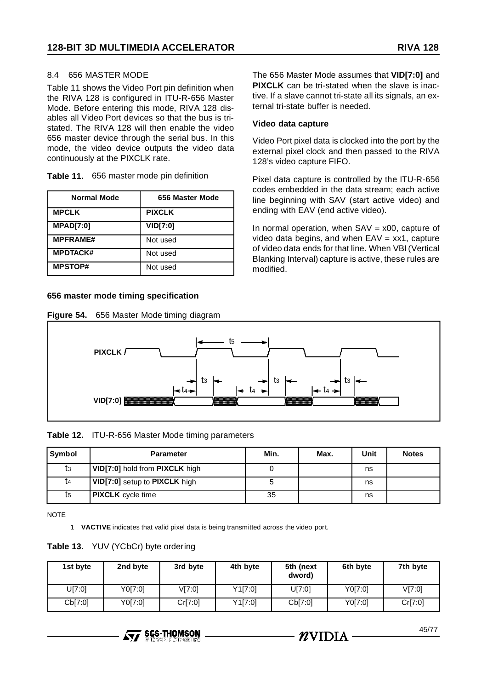45/77

#### 8.4 656 MASTER MODE

Table 11 shows the Video Port pin definition when the RIVA 128 is configured in ITU-R-656 Master Mode. Before entering this mode, RIVA 128 disables all Video Port devices so that the bus is tristated. The RIVA 128 will then enable the video 656 master device through the serial bus. In this mode, the video device outputs the video data continuously at the PIXCLK rate.

| Table 11. | 656 master mode pin definition |  |
|-----------|--------------------------------|--|
|-----------|--------------------------------|--|

| <b>Normal Mode</b> | 656 Master Mode |
|--------------------|-----------------|
| <b>MPCLK</b>       | <b>PIXCLK</b>   |
| <b>MPAD[7:0]</b>   | VID[7:0]        |
| <b>MPFRAME#</b>    | Not used        |
| <b>MPDTACK#</b>    | Not used        |
| <b>MPSTOP#</b>     | Not used        |

#### **656 master mode timing specification**

|  | Figure 54. |  |  |  |  | 656 Master Mode timing diagram |
|--|------------|--|--|--|--|--------------------------------|
|--|------------|--|--|--|--|--------------------------------|

The 656 Master Mode assumes that **VID[7:0]** and **PIXCLK** can be tri-stated when the slave is inactive. If a slave cannot tri-state all its signals, an external tri-state buffer is needed.

#### **Video data capture**

Video Port pixel data is clocked into the port by the external pixel clock and then passed to the RIVA 128's video capture FIFO.

Pixel data capture is controlled by the ITU-R-656 codes embedded in the data stream; each active line beginning with SAV (start active video) and ending with EAV (end active video).

In normal operation, when  $SAV = x00$ , capture of video data begins, and when EAV = xx1, capture of video data ends for that line. When VBI (Vertical Blanking Interval) capture is active, these rules are modified.



#### **Table 12.** ITU-R-656 Master Mode timing parameters

| Symbol | <b>Parameter</b>               | Min. | Max. | Unit | <b>Notes</b> |
|--------|--------------------------------|------|------|------|--------------|
| tз     | VID[7:0] hold from PIXCLK high |      |      | ns   |              |
| Ţ4     | VID[7:0] setup to PIXCLK high  |      |      | ns   |              |
| t5     | <b>PIXCLK</b> cycle time       | 35   |      | ns   |              |

NOTE

1 **VACTIVE** indicates that valid pixel data is being transmitted across the video port.

#### **Table 13.** YUV (YCbCr) byte ordering

| 1st byte | 2nd byte | 3rd byte | 4th byte | 5th (next<br>dword) | 6th byte | 7th byte |
|----------|----------|----------|----------|---------------------|----------|----------|
| U[7:0]   | Y0[7:0]  | V[7:0]   | Y1[7:0]  | U[7:0]              | Y0[7:0]  | V[7:0]   |
| Cb[7:0]  | Y0[7:0]  | Cr[7:0]  | Y1[7:0]  | Cb[7:0]             | Y0[7:0]  | Cr[7:0]  |

 $\mathbf{Z}$ VIDIA -

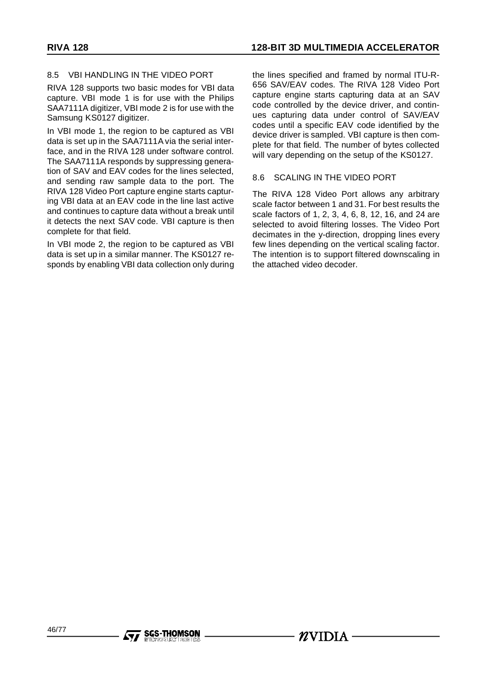### 8.5 VBI HANDLING IN THE VIDEO PORT

RIVA 128 supports two basic modes for VBI data capture. VBI mode 1 is for use with the Philips SAA7111A digitizer, VBI mode 2 is for use with the Samsung KS0127 digitizer.

In VBI mode 1, the region to be captured as VBI data is set up in the SAA7111A via the serial interface, and in the RIVA 128 under software control. The SAA7111A responds by suppressing generation of SAV and EAV codes for the lines selected, and sending raw sample data to the port. The RIVA 128 Video Port capture engine starts capturing VBI data at an EAV code in the line last active and continues to capture data without a break until it detects the next SAV code. VBI capture is then complete for that field.

In VBI mode 2, the region to be captured as VBI data is set up in a similar manner. The KS0127 responds by enabling VBI data collection only during the lines specified and framed by normal ITU-R-656 SAV/EAV codes. The RIVA 128 Video Port capture engine starts capturing data at an SAV code controlled by the device driver, and continues capturing data under control of SAV/EAV codes until a specific EAV code identified by the device driver is sampled. VBI capture is then complete for that field. The number of bytes collected will vary depending on the setup of the KS0127.

#### 8.6 SCALING IN THE VIDEO PORT

The RIVA 128 Video Port allows any arbitrary scale factor between 1 and 31. For best results the scale factors of 1, 2, 3, 4, 6, 8, 12, 16, and 24 are selected to avoid filtering losses. The Video Port decimates in the y-direction, dropping lines every few lines depending on the vertical scaling factor. The intention is to support filtered downscaling in the attached video decoder.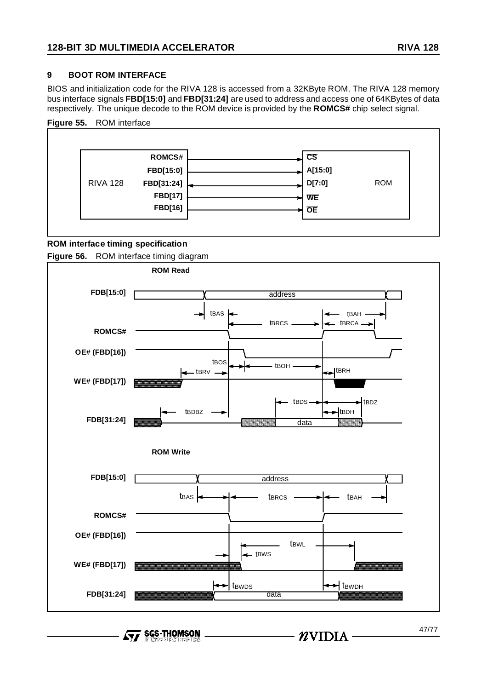## **9 BOOT ROM INTERFACE**

BIOS and initialization code for the RIVA 128 is accessed from a 32KByte ROM. The RIVA 128 memory bus interface signals **FBD[15:0]** and **FBD[31:24]** are used to address and access one of 64KBytes of data respectively. The unique decode to the ROM device is provided by the **ROMCS#** chip select signal.

## **Figure 55.** ROM interface



### **ROM interface timing specification**

**Figure 56.** ROM interface timing diagram



**SGS-THOMSON**  $\sqrt{M}$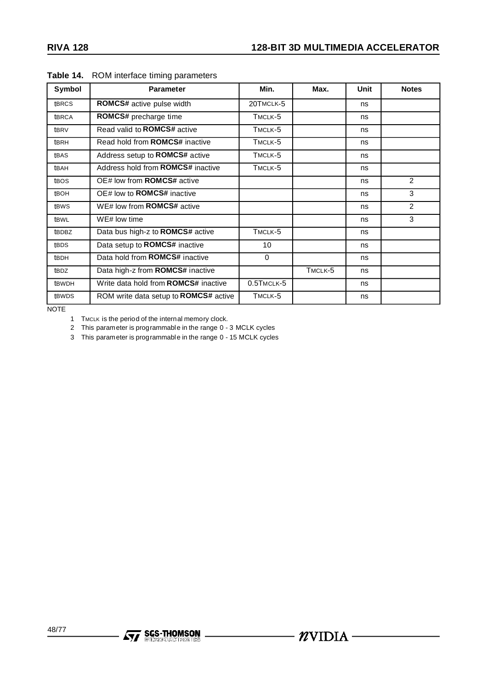| <b>Symbol</b>    | <b>Parameter</b>                            | Min.             | Max.    | Unit | <b>Notes</b> |
|------------------|---------------------------------------------|------------------|---------|------|--------------|
| <b>tBRCS</b>     | <b>ROMCS#</b> active pulse width            | 20TMCLK-5        |         | ns   |              |
| <b>tBRCA</b>     | ROMCS# precharge time                       | TMCLK-5          |         | ns   |              |
| t <sub>BRV</sub> | Read valid to <b>ROMCS#</b> active          | TMCLK-5          |         | ns   |              |
| t <sub>BRH</sub> | Read hold from <b>ROMCS#</b> inactive       | TMCLK-5          |         | ns   |              |
| tBAS             | Address setup to ROMCS# active              | TMCLK-5          |         | ns   |              |
| tBAH             | Address hold from <b>ROMCS#</b> inactive    | TMCLK-5          |         | ns   |              |
| t <sub>BOS</sub> | OE# low from <b>ROMCS#</b> active           |                  |         | ns   | 2            |
| <b>tBOH</b>      | OE# low to <b>ROMCS#</b> inactive           |                  |         | ns   | 3            |
| tBWS             | WE# low from <b>ROMCS#</b> active           |                  |         | ns   | 2            |
| tBWL             | WE# low time                                |                  |         | ns   | 3            |
| tBDBZ            | Data bus high-z to ROMCS# active            | TMCLK-5          |         | ns   |              |
| tBDS             | Data setup to ROMCS# inactive               | 10               |         | ns   |              |
| <b>tBDH</b>      | Data hold from <b>ROMCS#</b> inactive       | $\mathbf{0}$     |         | ns   |              |
| tBDZ             | Data high-z from ROMCS# inactive            |                  | TMCLK-5 | ns   |              |
| <b>tBWDH</b>     | Write data hold from <b>ROMCS#</b> inactive | $0.5$ TMCLK- $5$ |         | ns   |              |
| <b>tBWDS</b>     | ROM write data setup to ROMCS# active       | TMCLK-5          |         | ns   |              |

#### **Table 14.** ROM interface timing parameters

**NOTE** 

1 TMCLK is the period of the internal memory clock.

2 This parameter is programmable in the range 0 - 3 MCLK cycles

3 This parameter is programmable in the range 0 - 15 MCLK cycles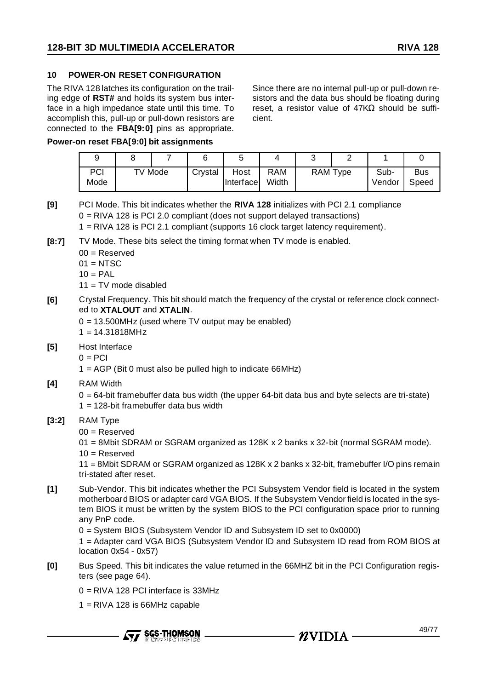### **10 POWER-ON RESET CONFIGURATION**

The RIVA 128 latches its configuration on the trailing edge of **RST#** and holds its system bus interface in a high impedance state until this time. To accomplish this, pull-up or pull-down resistors are connected to the **FBA[9:0]** pins as appropriate.

Since there are no internal pull-up or pull-down resistors and the data bus should be floating during reset, a resistor value of 47KΩ should be sufficient.

#### **Power-on reset FBA[9:0] bit assignments**

| PCI<br>Mode | TV Mode | Crystal | Host<br><b>Interfacel</b> | <b>RAM</b><br>Width | RAM Type | Sub-<br>Vendor | <b>Bus</b><br>Speed |
|-------------|---------|---------|---------------------------|---------------------|----------|----------------|---------------------|

- **[9]** PCI Mode. This bit indicates whether the **RIVA 128** initializes with PCI 2.1 compliance 0 = RIVA 128 is PCI 2.0 compliant (does not support delayed transactions)
	- 1 = RIVA 128 is PCI 2.1 compliant (supports 16 clock target latency requirement).
- **[8:7]** TV Mode. These bits select the timing format when TV mode is enabled.
	- 00 = Reserved
	- $01 = NTSC$
	- $10 = PAL$
	- $11 = TV$  mode disabled
- **[6]** Crystal Frequency. This bit should match the frequency of the crystal or reference clock connected to **XTALOUT** and **XTALIN**.
	- $0 = 13.500$ MHz (used where TV output may be enabled)  $1 = 14.31818MHz$
- **[5]** Host Interface
	- $0 = PCI$
	- $1 = AGP$  (Bit 0 must also be pulled high to indicate 66MHz)
- **[4]** RAM Width
	- $0 = 64$ -bit framebuffer data bus width (the upper  $64$ -bit data bus and byte selects are tri-state)  $1 = 128$ -bit framebuffer data bus width

#### **[3:2]** RAM Type

- 00 = Reserved
- 01 = 8Mbit SDRAM or SGRAM organized as 128K x 2 banks x 32-bit (normal SGRAM mode).
- $10 =$ Reserved

11 = 8Mbit SDRAM or SGRAM organized as 128K x 2 banks x 32-bit, framebuffer I/O pins remain tri-stated after reset.

**[1]** Sub-Vendor. This bit indicates whether the PCI Subsystem Vendor field is located in the system motherboard BIOS or adapter card VGA BIOS. If the Subsystem Vendor field is located in the system BIOS it must be written by the system BIOS to the PCI configuration space prior to running any PnP code.

0 = System BIOS (Subsystem Vendor ID and Subsystem ID set to 0x0000)

1 = Adapter card VGA BIOS (Subsystem Vendor ID and Subsystem ID read from ROM BIOS at location 0x54 - 0x57)

- **[0]** Bus Speed. This bit indicates the value returned in the 66MHZ bit in the PCI Configuration registers (see page 64).
	- 0 = RIVA 128 PCI interface is 33MHz
	- 1 = RIVA 128 is 66MHz capable

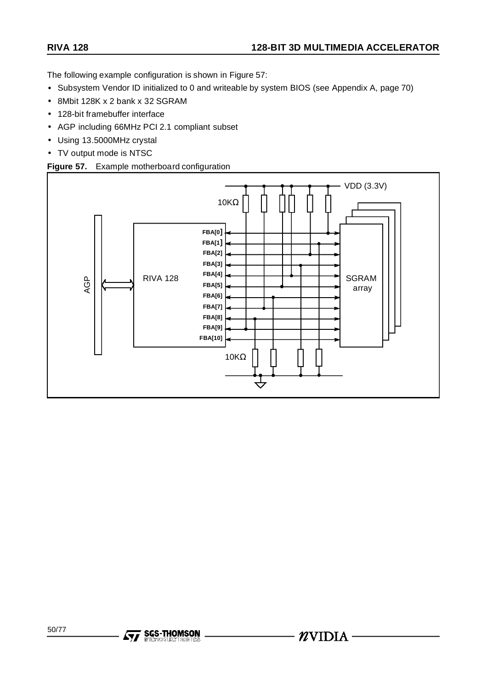The following example configuration is shown in Figure 57:

- Subsystem Vendor ID initialized to 0 and writeable by system BIOS (see Appendix A, page 70)
- 8Mbit 128K x 2 bank x 32 SGRAM
- 128-bit framebuffer interface
- AGP including 66MHz PCI 2.1 compliant subset
- Using 13.5000MHz crystal
- TV output mode is NTSC

# **Figure 57.** Example motherboard configuration

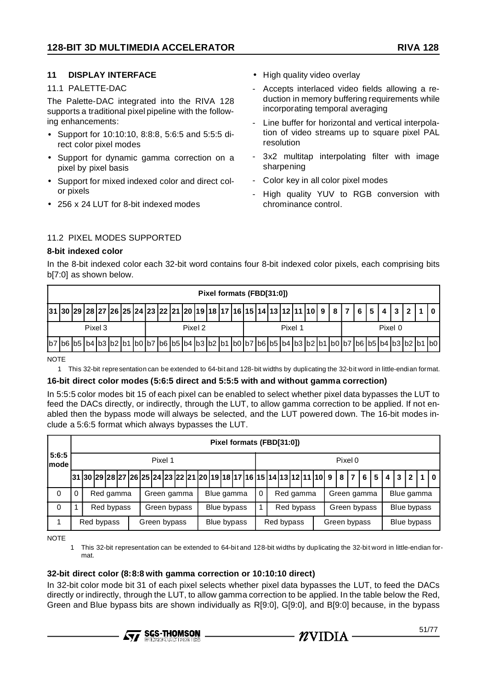# **11 DISPLAY INTERFACE**

#### 11.1 PALETTE-DAC

The Palette-DAC integrated into the RIVA 128 supports a traditional pixel pipeline with the following enhancements:

- Support for 10:10:10, 8:8:8, 5:6:5 and 5:5:5 direct color pixel modes
- Support for dynamic gamma correction on a pixel by pixel basis
- Support for mixed indexed color and direct color pixels
- 256 x 24 LUT for 8-bit indexed modes
- High quality video overlay
- Accepts interlaced video fields allowing a reduction in memory buffering requirements while incorporating temporal averaging
- Line buffer for horizontal and vertical interpolation of video streams up to square pixel PAL resolution
- 3x2 multitap interpolating filter with image sharpening
- Color key in all color pixel modes
- High quality YUV to RGB conversion with chrominance control.

### 11.2 PIXEL MODES SUPPORTED

#### **8-bit indexed color**

In the 8-bit indexed color each 32-bit word contains four 8-bit indexed color pixels, each comprising bits b[7:0] as shown below.

|                                                                                      |         |  |  |  |         |  |  | Pixel formats (FBD[31:0]) |  |         |  |  |  |         |  |  |
|--------------------------------------------------------------------------------------|---------|--|--|--|---------|--|--|---------------------------|--|---------|--|--|--|---------|--|--|
| $31$  30 29 28 27 26 25 24 23 22 21 20 19 18 17 16 15 14 13 12 11 10 9 8 7 6 5 4 3 2 |         |  |  |  |         |  |  |                           |  |         |  |  |  |         |  |  |
|                                                                                      | Pixel 3 |  |  |  | Pixel 2 |  |  |                           |  | Pixel 1 |  |  |  | Pixel 0 |  |  |
|                                                                                      |         |  |  |  |         |  |  |                           |  |         |  |  |  |         |  |  |
|                                                                                      |         |  |  |  |         |  |  |                           |  |         |  |  |  |         |  |  |

**NOTE** 

1 This 32-bit representation can be extended to 64-bit and 128-bit widths by duplicating the 32-bit word in little-endian format.

#### **16-bit direct color modes (5:6:5 direct and 5:5:5 with and without gamma correction)**

In 5:5:5 color modes bit 15 of each pixel can be enabled to select whether pixel data bypasses the LUT to feed the DACs directly, or indirectly, through the LUT, to allow gamma correction to be applied. If not enabled then the bypass mode will always be selected, and the LUT powered down. The 16-bit modes include a 5:6:5 format which always bypasses the LUT.

|                |            |            |  |              |  |         |              |                                                                                                            |             | Pixel formats (FBD[31:0]) |            |  |            |              |  |              |     |   |   |             |             |         |
|----------------|------------|------------|--|--------------|--|---------|--------------|------------------------------------------------------------------------------------------------------------|-------------|---------------------------|------------|--|------------|--------------|--|--------------|-----|---|---|-------------|-------------|---------|
| 5:6:5<br> mode |            |            |  |              |  | Pixel 1 |              |                                                                                                            |             |                           |            |  |            |              |  | Pixel 0      |     |   |   |             |             |         |
|                |            |            |  |              |  |         |              | 31  30  29  28  27  26   25   24   23   22   21   20   19   18   17   16   15   14   13   12   11   10   9 |             |                           |            |  |            |              |  | $ 8 7 $      | 6 I | 5 | 4 | 3           |             | $21110$ |
| 0              |            | Red gamma  |  |              |  |         | Green gamma  |                                                                                                            | Blue gamma  |                           | $\Omega$   |  | Red gamma  |              |  | Green gamma  |     |   |   |             | Blue gamma  |         |
| 0              |            | Red bypass |  |              |  |         | Green bypass |                                                                                                            | Blue bypass |                           |            |  | Red bypass |              |  | Green bypass |     |   |   |             | Blue bypass |         |
|                | Red bypass |            |  | Green bypass |  |         |              | Blue bypass                                                                                                |             |                           | Red bypass |  |            | Green bypass |  |              |     |   |   | Blue bypass |             |         |

**NOTE** 

1 This 32-bit representation can be extended to 64-bit and 128-bit widths by duplicating the 32-bit word in little-endian format.

#### **32-bit direct color (8:8:8 with gamma correction or 10:10:10 direct)**

In 32-bit color mode bit 31 of each pixel selects whether pixel data bypasses the LUT, to feed the DACs directly or indirectly, through the LUT, to allow gamma correction to be applied. In the table below the Red, Green and Blue bypass bits are shown individually as R[9:0], G[9:0], and B[9:0] because, in the bypass



 $\cdot$   $n$ vidia -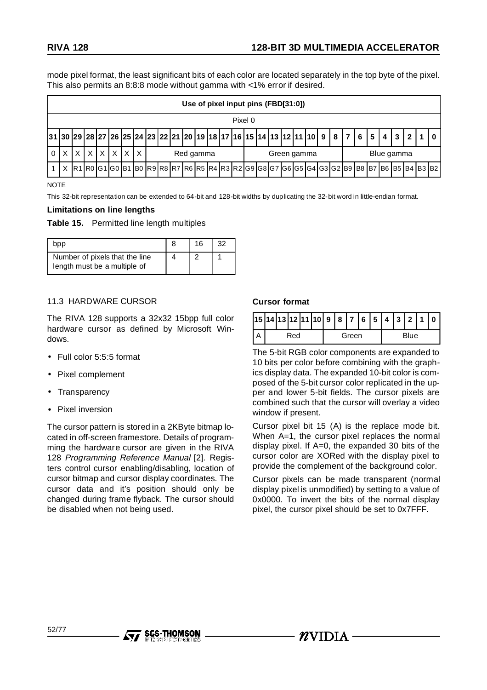mode pixel format, the least significant bits of each color are located separately in the top byte of the pixel. This also permits an 8:8:8 mode without gamma with <1% error if desired.

|                                                                           |  |    |    |  |  |   |  |  |  | Use of pixel input pins (FBD[31:0])                          |  |  |  |  |             |  |  |                |           |                |     |  |  |
|---------------------------------------------------------------------------|--|----|----|--|--|---|--|--|--|--------------------------------------------------------------|--|--|--|--|-------------|--|--|----------------|-----------|----------------|-----|--|--|
| Pixel 0                                                                   |  |    |    |  |  |   |  |  |  |                                                              |  |  |  |  |             |  |  |                |           |                |     |  |  |
| $ 31 30 29 28 27 26 25 24 23 22 21 20 19 18 17 16 15 14 13 12 11 10 9 8 $ |  |    |    |  |  |   |  |  |  |                                                              |  |  |  |  |             |  |  | $\overline{7}$ | <b>65</b> | 4 <sup>1</sup> | 3 I |  |  |
|                                                                           |  | X. | ΧI |  |  | X |  |  |  | Red gamma                                                    |  |  |  |  | Green gamma |  |  |                |           | Blue gamma     |     |  |  |
| x                                                                         |  |    |    |  |  |   |  |  |  | R1R0G1G0B1B0R9R8R7R6R5R4R3R2G9G8G7G6G5G4G3G2B9B8B7B6B5B4B3B2 |  |  |  |  |             |  |  |                |           |                |     |  |  |

#### **NOTE**

This 32-bit representation can be extended to 64-bit and 128-bit widths by duplicating the 32-bit word in little-endian format.

#### **Limitations on line lengths**

#### **Table 15.** Permitted line length multiples

| aac                                                            | 16 | つつ |
|----------------------------------------------------------------|----|----|
| Number of pixels that the line<br>length must be a multiple of |    |    |

### 11.3 HARDWARE CURSOR

The RIVA 128 supports a 32x32 15bpp full color hardware cursor as defined by Microsoft Windows.

- Full color 5:5:5 format
- Pixel complement
- Transparency
- Pixel inversion

The cursor pattern is stored in a 2KByte bitmap located in off-screen framestore. Details of programming the hardware cursor are given in the RIVA 128 Programming Reference Manual [2]. Registers control cursor enabling/disabling, location of cursor bitmap and cursor display coordinates. The cursor data and it's position should only be changed during frame flyback. The cursor should be disabled when not being used.

**SGS-THOMSON** 

### **Cursor format**

|     |  |  |  | 15 14 13 12 11 10  9   8   7   6   5   4   3   2   1   0 |  |       |  |  |      |  |
|-----|--|--|--|----------------------------------------------------------|--|-------|--|--|------|--|
| Red |  |  |  |                                                          |  | Green |  |  | Blue |  |

The 5-bit RGB color components are expanded to 10 bits per color before combining with the graphics display data. The expanded 10-bit color is composed of the 5-bit cursor color replicated in the upper and lower 5-bit fields. The cursor pixels are combined such that the cursor will overlay a video window if present.

Cursor pixel bit 15 (A) is the replace mode bit. When A=1, the cursor pixel replaces the normal display pixel. If A=0, the expanded 30 bits of the cursor color are XORed with the display pixel to provide the complement of the background color.

Cursor pixels can be made transparent (normal display pixel is unmodified) by setting to a value of 0x0000. To invert the bits of the normal display pixel, the cursor pixel should be set to 0x7FFF.

 $\mathbf{Z}$ VIDIA -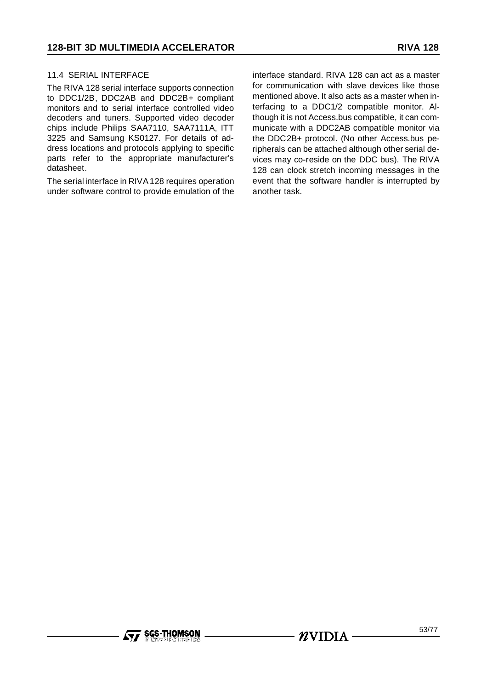### 11.4 SERIAL INTERFACE

The RIVA 128 serial interface supports connection to DDC1/2B, DDC2AB and DDC2B+ compliant monitors and to serial interface controlled video decoders and tuners. Supported video decoder chips include Philips SAA7110, SAA7111A, ITT 3225 and Samsung KS0127. For details of address locations and protocols applying to specific parts refer to the appropriate manufacturer's datasheet.

The serial interface in RIVA128 requires operation under software control to provide emulation of the interface standard. RIVA 128 can act as a master for communication with slave devices like those mentioned above. It also acts as a master when interfacing to a DDC1/2 compatible monitor. Although it is not Access.bus compatible, it can communicate with a DDC2AB compatible monitor via the DDC2B+ protocol. (No other Access.bus peripherals can be attached although other serial devices may co-reside on the DDC bus). The RIVA 128 can clock stretch incoming messages in the event that the software handler is interrupted by another task.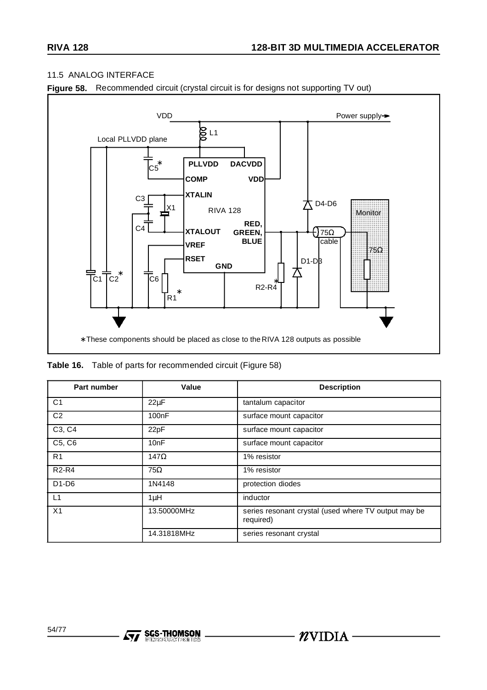### 11.5 ANALOG INTERFACE





**Table 16.** Table of parts for recommended circuit (Figure 58)

| Part number                     | Value              | <b>Description</b>                                                |
|---------------------------------|--------------------|-------------------------------------------------------------------|
| C <sub>1</sub>                  | $22\mu F$          | tantalum capacitor                                                |
| C <sub>2</sub>                  | 100 <sub>n</sub> F | surface mount capacitor                                           |
| C3, C4                          | 22pF               | surface mount capacitor                                           |
| C <sub>5</sub> , C <sub>6</sub> | 10nF               | surface mount capacitor                                           |
| R <sub>1</sub>                  | $147\Omega$        | 1% resistor                                                       |
| <b>R2-R4</b>                    | $75\Omega$         | 1% resistor                                                       |
| $D1-D6$                         | 1N4148             | protection diodes                                                 |
| L1                              | $1\mu$ H           | inductor                                                          |
| X <sub>1</sub>                  | 13.50000MHz        | series resonant crystal (used where TV output may be<br>required) |
|                                 | 14.31818MHz        | series resonant crystal                                           |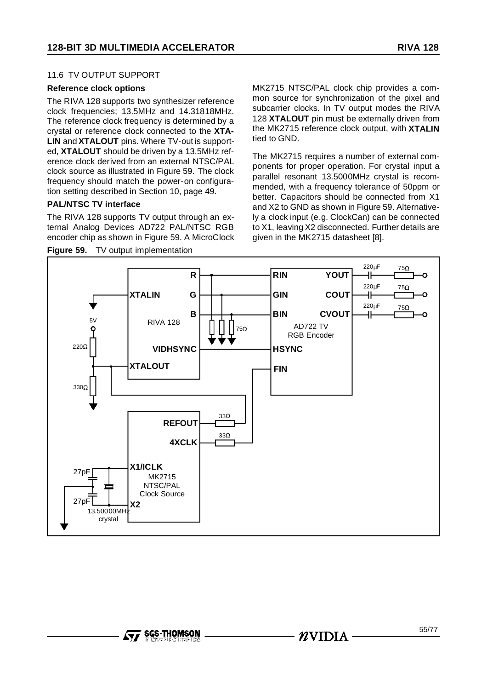## 11.6 TV OUTPUT SUPPORT

#### **Reference clock options**

The RIVA 128 supports two synthesizer reference clock frequencies; 13.5MHz and 14.31818MHz. The reference clock frequency is determined by a crystal or reference clock connected to the **XTA-LIN** and **XTALOUT** pins. Where TV-out is supported, **XTALOUT** should be driven by a 13.5MHz reference clock derived from an external NTSC/PAL clock source as illustrated in Figure 59. The clock frequency should match the power-on configuration setting described in Section 10, page 49.

### **PAL/NTSC TV interface**

The RIVA 128 supports TV output through an external Analog Devices AD722 PAL/NTSC RGB encoder chip as shown in Figure 59. A MicroClock

**Figure 59.** TV output implementation

MK2715 NTSC/PAL clock chip provides a common source for synchronization of the pixel and subcarrier clocks. In TV output modes the RIVA 128 **XTALOUT** pin must be externally driven from the MK2715 reference clock output, with **XTALIN** tied to GND.

The MK2715 requires a number of external components for proper operation. For crystal input a parallel resonant 13.5000MHz crystal is recommended, with a frequency tolerance of 50ppm or better. Capacitors should be connected from X1 and X2 to GND as shown in Figure 59. Alternatively a clock input (e.g. ClockCan) can be connected to X1, leaving X2 disconnected. Further details are given in the MK2715 datasheet [8].

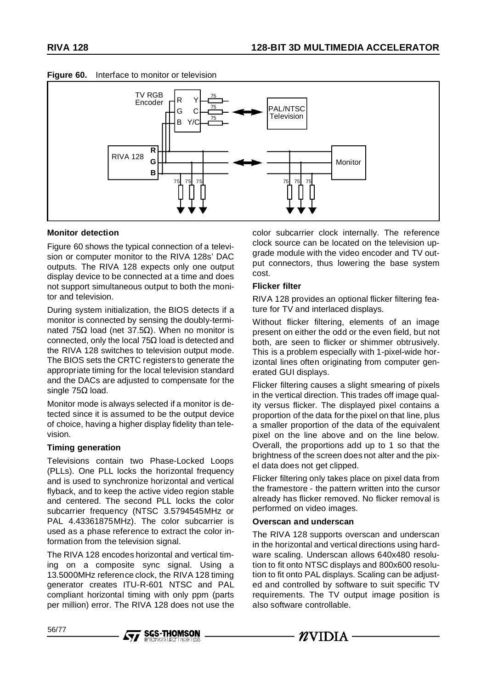



### **Figure 60.** Interface to monitor or television

### **Monitor detection**

Figure 60 shows the typical connection of a television or computer monitor to the RIVA 128s' DAC outputs. The RIVA 128 expects only one output display device to be connected at a time and does not support simultaneous output to both the monitor and television.

During system initialization, the BIOS detects if a monitor is connected by sensing the doubly-terminated 75Ω load (net 37.5Ω). When no monitor is connected, only the local 75Ω load is detected and the RIVA 128 switches to television output mode. The BIOS sets the CRTC registers to generate the appropriate timing for the local television standard and the DACs are adjusted to compensate for the single 75Ω load.

Monitor mode is always selected if a monitor is detected since it is assumed to be the output device of choice, having a higher display fidelity than television.

#### **Timing generation**

Televisions contain two Phase-Locked Loops (PLLs). One PLL locks the horizontal frequency and is used to synchronize horizontal and vertical flyback, and to keep the active video region stable and centered. The second PLL locks the color subcarrier frequency (NTSC 3.5794545MHz or PAL 4.43361875MHz). The color subcarrier is used as a phase reference to extract the color information from the television signal.

The RIVA 128 encodes horizontal and vertical timing on a composite sync signal. Using a 13.5000MHz reference clock, the RIVA 128 timing generator creates ITU-R-601 NTSC and PAL compliant horizontal timing with only ppm (parts per million) error. The RIVA 128 does not use the

**Ayy SGS-THOMSON** 

color subcarrier clock internally. The reference clock source can be located on the television upgrade module with the video encoder and TV output connectors, thus lowering the base system cost.

#### **Flicker filter**

RIVA 128 provides an optional flicker filtering feature for TV and interlaced displays.

Without flicker filtering, elements of an image present on either the odd or the even field, but not both, are seen to flicker or shimmer obtrusively. This is a problem especially with 1-pixel-wide horizontal lines often originating from computer generated GUI displays.

Flicker filtering causes a slight smearing of pixels in the vertical direction. This trades off image quality versus flicker. The displayed pixel contains a proportion of the data for the pixel on that line, plus a smaller proportion of the data of the equivalent pixel on the line above and on the line below. Overall, the proportions add up to 1 so that the brightness of the screen does not alter and the pixel data does not get clipped.

Flicker filtering only takes place on pixel data from the framestore - the pattern written into the cursor already has flicker removed. No flicker removal is performed on video images.

#### **Overscan and underscan**

The RIVA 128 supports overscan and underscan in the horizontal and vertical directions using hardware scaling. Underscan allows 640x480 resolution to fit onto NTSC displays and 800x600 resolution to fit onto PAL displays. Scaling can be adjusted and controlled by software to suit specific TV requirements. The TV output image position is also software controllable.

 $\mathbf{Z}$ VIDIA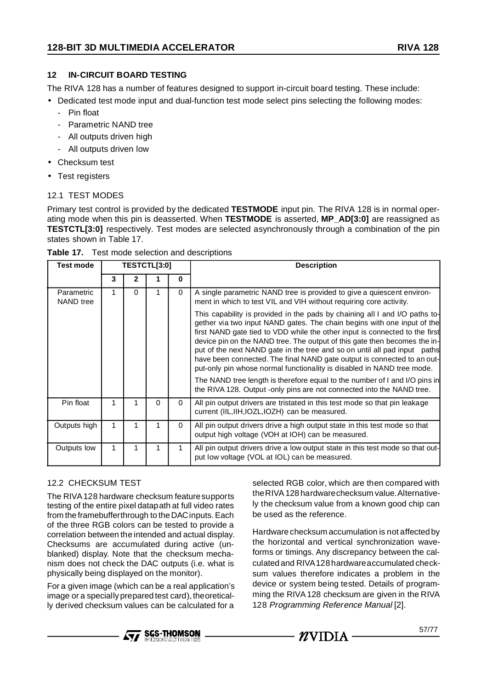# **12 IN-CIRCUIT BOARD TESTING**

The RIVA 128 has a number of features designed to support in-circuit board testing. These include:

• Dedicated test mode input and dual-function test mode select pins selecting the following modes:

- Pin float
- Parametric NAND tree
- All outputs driven high
- All outputs driven low
- Checksum test
- Test registers

# 12.1 TEST MODES

Primary test control is provided by the dedicated **TESTMODE** input pin. The RIVA 128 is in normal operating mode when this pin is deasserted. When **TESTMODE** is asserted, **MP\_AD[3:0]** are reassigned as **TESTCTL[3:0]** respectively. Test modes are selected asynchronously through a combination of the pin states shown in Table 17.

| <b>Test mode</b>        |   |          | TESTCTL[3:0] |          | <b>Description</b>                                                                                                                                                                                                                                                                                                                                                                                                                                                                                                                                                                                                                                                                                          |
|-------------------------|---|----------|--------------|----------|-------------------------------------------------------------------------------------------------------------------------------------------------------------------------------------------------------------------------------------------------------------------------------------------------------------------------------------------------------------------------------------------------------------------------------------------------------------------------------------------------------------------------------------------------------------------------------------------------------------------------------------------------------------------------------------------------------------|
|                         | 3 | 2        |              | $\bf{0}$ |                                                                                                                                                                                                                                                                                                                                                                                                                                                                                                                                                                                                                                                                                                             |
| Parametric<br>NAND tree |   | $\Omega$ |              | $\Omega$ | A single parametric NAND tree is provided to give a quiescent environ-<br>ment in which to test VIL and VIH without requiring core activity.                                                                                                                                                                                                                                                                                                                                                                                                                                                                                                                                                                |
|                         |   |          |              |          | This capability is provided in the pads by chaining all I and I/O paths to-<br>gether via two input NAND gates. The chain begins with one input of the<br>first NAND gate tied to VDD while the other input is connected to the first<br>device pin on the NAND tree. The output of this gate then becomes the in-<br>put of the next NAND gate in the tree and so on until all pad input paths<br>have been connected. The final NAND gate output is connected to an out-<br>put-only pin whose normal functionality is disabled in NAND tree mode.<br>The NAND tree length is therefore equal to the number of I and I/O pins in<br>the RIVA 128. Output -only pins are not connected into the NAND tree. |
| Pin float               | 1 | 1        | 0            | $\Omega$ | All pin output drivers are tristated in this test mode so that pin leakage<br>current (IIL, IIH, IOZL, IOZH) can be measured.                                                                                                                                                                                                                                                                                                                                                                                                                                                                                                                                                                               |
| Outputs high            |   |          |              | $\Omega$ | All pin output drivers drive a high output state in this test mode so that<br>output high voltage (VOH at IOH) can be measured.                                                                                                                                                                                                                                                                                                                                                                                                                                                                                                                                                                             |
| Outputs low             |   |          |              | 1        | All pin output drivers drive a low output state in this test mode so that out-<br>put low voltage (VOL at IOL) can be measured.                                                                                                                                                                                                                                                                                                                                                                                                                                                                                                                                                                             |

**Table 17.** Test mode selection and descriptions

# 12.2 CHECKSUM TEST

The RIVA128 hardware checksum feature supports testing of the entire pixel datapath at full video rates from the framebufferthrough to the DACinputs. Each of the three RGB colors can be tested to provide a correlation between the intended and actual display. Checksums are accumulated during active (unblanked) display. Note that the checksum mechanism does not check the DAC outputs (i.e. what is physically being displayed on the monitor).

For a given image (which can be a real application's image or a specially prepared test card), theoretically derived checksum values can be calculated for a

selected RGB color, which are then compared with theRIVA 128 hardwarechecksum value.Alternatively the checksum value from a known good chip can be used as the reference.

Hardware checksum accumulation is not affected by the horizontal and vertical synchronization waveforms or timings. Any discrepancy between the calculated and RIVA128hardwareaccumulated checksum values therefore indicates a problem in the device or system being tested. Details of programming the RIVA 128 checksum are given in the RIVA 128 Programming Reference Manual [2].



 $n$ vidia –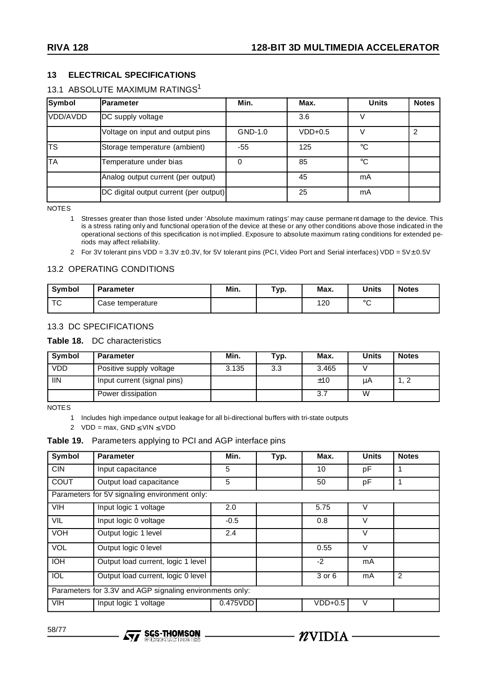### **13 ELECTRICAL SPECIFICATIONS**

# 13.1 ABSOLUTE MAXIMUM RATINGS<sup>1</sup>

| Symbol    | <b>Parameter</b>                       | Min.    | Max.      | <b>Units</b> | <b>Notes</b> |
|-----------|----------------------------------------|---------|-----------|--------------|--------------|
| VDD/AVDD  | DC supply voltage                      |         | 3.6       |              |              |
|           | Voltage on input and output pins       | GND-1.0 | $VDD+0.5$ | V            | 2            |
| <b>TS</b> | Storage temperature (ambient)          | -55     | 125       | ℃            |              |
| <b>TA</b> | Temperature under bias                 | 0       | 85        | ℃            |              |
|           | Analog output current (per output)     |         | 45        | mA           |              |
|           | DC digital output current (per output) |         | 25        | mA           |              |

NOTES

1 Stresses greater than those listed under 'Absolute maximum ratings' may cause permanent damage to the device. This is a stress rating only and functional operation of the device at these or any other conditions above those indicated in the operational sections of this specification is not implied. Exposure to absolute maximum rating conditions for extended periods may affect reliability.

2 For 3V tolerant pins VDD =  $3.3V \pm 0.3V$ , for 5V tolerant pins (PCI, Video Port and Serial interfaces) VDD =  $5V \pm 0.5V$ 

#### 13.2 OPERATING CONDITIONS

| Symbol  | <b>Parameter</b> | Min. | Typ. | Max. | <b>Units</b> | <b>Notes</b> |
|---------|------------------|------|------|------|--------------|--------------|
| --<br>ັ | Case temperature |      |      | 120  | $\circ$      |              |

#### 13.3 DC SPECIFICATIONS

#### **Table 18.** DC characteristics

| Symbol     | <b>Parameter</b>            | Min.  | Typ. | Max.  | Units | <b>Notes</b> |
|------------|-----------------------------|-------|------|-------|-------|--------------|
| VDD        | Positive supply voltage     | 3.135 | 3.3  | 3.465 |       |              |
| <b>IIN</b> | Input current (signal pins) |       |      | ±10   | μA    | ے , ا        |
|            | Power dissipation           |       |      | 3.7   | W     |              |

**NOTES** 

1 Includes high impedance output leakage for all bi-directional buffers with tri-state outputs

2 VDD = max,  $GND \leq$  VIN  $\leq$  VDD

#### **Table 19.** Parameters applying to PCI and AGP interface pins

| Symbol      | <b>Parameter</b>                                         | Min.     | Typ. | Max.      | <b>Units</b> | <b>Notes</b>   |
|-------------|----------------------------------------------------------|----------|------|-----------|--------------|----------------|
| <b>CIN</b>  | Input capacitance                                        | 5        |      | 10        | рF           | 1              |
| <b>COUT</b> | Output load capacitance                                  | 5        |      | 50        | pF           | 1              |
|             | Parameters for 5V signaling environment only:            |          |      |           |              |                |
| <b>VIH</b>  | Input logic 1 voltage                                    | 2.0      |      | 5.75      | $\vee$       |                |
| VIL         | Input logic 0 voltage                                    | $-0.5$   |      | 0.8       | $\vee$       |                |
| <b>VOH</b>  | Output logic 1 level                                     | 2.4      |      |           | $\vee$       |                |
| <b>VOL</b>  | Output logic 0 level                                     |          |      | 0.55      | $\vee$       |                |
| <b>IOH</b>  | Output load current, logic 1 level                       |          |      | $-2$      | mA           |                |
| <b>IOL</b>  | Output load current, logic 0 level                       |          |      | 3 or 6    | mA           | $\overline{2}$ |
|             | Parameters for 3.3V and AGP signaling environments only: |          |      |           |              |                |
| <b>VIH</b>  | Input logic 1 voltage                                    | 0.475VDD |      | $VDD+0.5$ | $\vee$       |                |



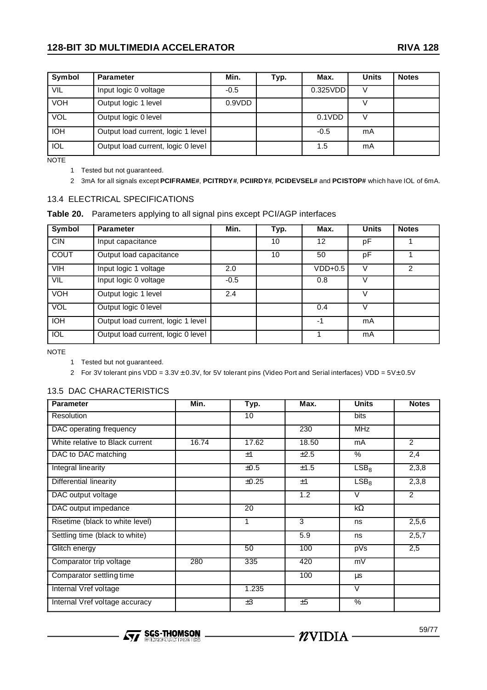# **128-BIT 3D MULTIMEDIA ACCELERATOR RIVA 128**

| Symbol     | <b>Parameter</b>                   | Min.   | Typ. | Max.     | <b>Units</b> | <b>Notes</b> |
|------------|------------------------------------|--------|------|----------|--------------|--------------|
| VIL        | Input logic 0 voltage              | $-0.5$ |      | 0.325VDD |              |              |
| <b>VOH</b> | Output logic 1 level               | 0.9VDD |      |          |              |              |
| VOL        | Output logic 0 level               |        |      | 0.1VDD   |              |              |
| <b>IOH</b> | Output load current, logic 1 level |        |      | $-0.5$   | mA           |              |
| <b>IOL</b> | Output load current, logic 0 level |        |      | 1.5      | mA           |              |

NOTE

1 Tested but not guaranteed.

2 3mA for all signals except **PCIFRAME#**, **PCITRDY#**, **PCIIRDY#**, **PCIDEVSEL#** and **PCISTOP#** which have IOL of 6mA.

#### 13.4 ELECTRICAL SPECIFICATIONS

| Table 20. Parameters applying to all signal pins except PCI/AGP interfaces |  |
|----------------------------------------------------------------------------|--|
|----------------------------------------------------------------------------|--|

| Symbol      | <b>Parameter</b>                   | Min.   | Typ. | Max.              | <b>Units</b> | <b>Notes</b>  |
|-------------|------------------------------------|--------|------|-------------------|--------------|---------------|
| <b>CIN</b>  | Input capacitance                  |        | 10   | $12 \overline{ }$ | рF           |               |
| <b>COUT</b> | Output load capacitance            |        | 10   | 50                | рF           |               |
| <b>VIH</b>  | Input logic 1 voltage              | 2.0    |      | $VDD+0.5$         |              | $\mathcal{P}$ |
| VIL         | Input logic 0 voltage              | $-0.5$ |      | 0.8               |              |               |
| <b>VOH</b>  | Output logic 1 level               | 2.4    |      |                   | v            |               |
| VOL         | Output logic 0 level               |        |      | 0.4               |              |               |
| <b>IOH</b>  | Output load current, logic 1 level |        |      | -1                | mA           |               |
| IOL         | Output load current, logic 0 level |        |      |                   | mA           |               |

NOTE

1 Tested but not guaranteed.

2 For 3V tolerant pins VDD =  $3.3V \pm 0.3V$ , for 5V tolerant pins (Video Port and Serial interfaces) VDD =  $5V\pm 0.5V$ 

## 13.5 DAC CHARACTERISTICS

| <b>Parameter</b>                      | Min.  | Typ.  | Max.             | <b>Units</b>     | <b>Notes</b>   |
|---------------------------------------|-------|-------|------------------|------------------|----------------|
| Resolution                            |       | 10    |                  | bits             |                |
| DAC operating frequency               |       |       | 230              | <b>MHz</b>       |                |
| White relative to Black current       | 16.74 | 17.62 | 18.50            | mA               | $\overline{2}$ |
| DAC to DAC matching                   |       | ±1    | ±2.5             | %                | 2,4            |
| Integral linearity                    |       | ±0.5  | ±1.5             | LSB <sub>8</sub> | 2,3,8          |
| Differential linearity                |       | ±0.25 | ±1               | LSB <sub>8</sub> | 2,3,8          |
| DAC output voltage                    |       |       | 1.2              | $\vee$           | $\overline{2}$ |
| DAC output impedance                  |       | 20    |                  | k $\Omega$       |                |
| Risetime (black to white level)       |       | 1     | 3                | ns               | 2,5,6          |
| Settling time (black to white)        |       |       | $\overline{5.9}$ | ns               | 2,5,7          |
| Glitch energy                         |       | 50    | 100              | pVs              | 2,5            |
| Comparator trip voltage               | 280   | 335   | 420              | mV               |                |
| Comparator settling time              |       |       | 100              | μs               |                |
| Internal Vref voltage                 |       | 1.235 |                  | $\vee$           |                |
| <b>Internal Vref voltage accuracy</b> |       | ±3    | ±5               | $\%$             |                |



 $-$  *n* VIDIA –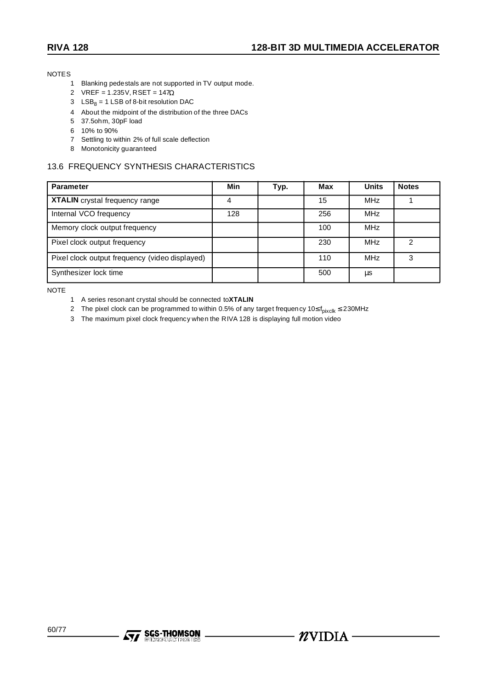NOTES

- 1 Blanking pedestals are not supported in TV output mode.
- 2 VREF = 1.235V, RSET = 147Ω
- 3  $LSB_8 = 1$  LSB of 8-bit resolution DAC
- 4 About the midpoint of the distribution of the three DACs
- 5 37.5ohm, 30pF load
- 6 10% to 90%
- 7 Settling to within 2% of full scale deflection
- 8 Monotonicity guaranteed

# 13.6 FREQUENCY SYNTHESIS CHARACTERISTICS

| <b>Parameter</b>                               | Min | Typ. | Max | <b>Units</b> | <b>Notes</b> |
|------------------------------------------------|-----|------|-----|--------------|--------------|
| XTALIN crystal frequency range                 | 4   |      | 15  | <b>MHz</b>   |              |
| Internal VCO frequency                         | 128 |      | 256 | <b>MHz</b>   |              |
| Memory clock output frequency                  |     |      | 100 | <b>MHz</b>   |              |
| Pixel clock output frequency                   |     |      | 230 | <b>MHz</b>   | າ            |
| Pixel clock output frequency (video displayed) |     |      | 110 | <b>MHz</b>   | З            |
| Synthesizer lock time                          |     |      | 500 | μs           |              |

NOTE

- 1 A series resonant crystal should be connected to**XTALIN**
- 2 The pixel clock can be programmed to within 0.5% of any target frequency 10≤ f<sub>pixclk</sub> ≤ 230MHz
- 3 The maximum pixel clock frequency when the RIVA 128 is displaying full motion video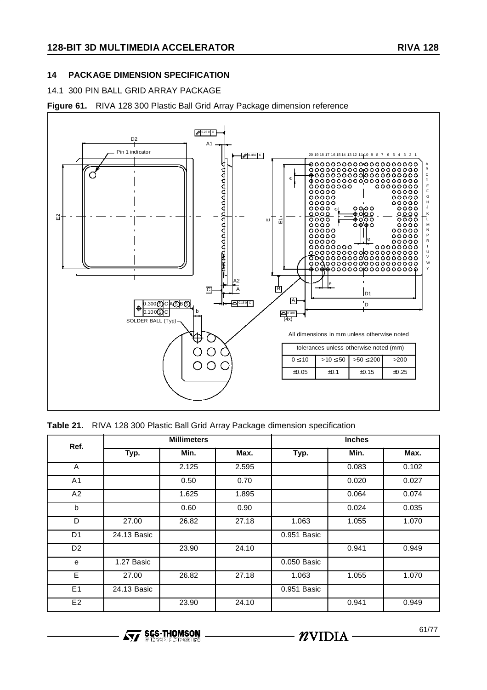# **14 PACKAGE DIMENSION SPECIFICATION**

## 14.1 300 PIN BALL GRID ARRAY PACKAGE

**Figure 61.** RIVA 128 300 Plastic Ball Grid Array Package dimension reference



|  |  |  |  |  |  |  |  |  | Table 21. RIVA 128 300 Plastic Ball Grid Array Package dimension specification |
|--|--|--|--|--|--|--|--|--|--------------------------------------------------------------------------------|
|--|--|--|--|--|--|--|--|--|--------------------------------------------------------------------------------|

| Ref.           |             | <b>Millimeters</b> |       |             | <b>Inches</b> |       |  |  |
|----------------|-------------|--------------------|-------|-------------|---------------|-------|--|--|
|                | Typ.        | Min.               | Max.  | Typ.        | Min.          | Max.  |  |  |
| A              |             | 2.125              | 2.595 |             | 0.083         | 0.102 |  |  |
| A <sub>1</sub> |             | 0.50               | 0.70  |             | 0.020         | 0.027 |  |  |
| A2             |             | 1.625              | 1.895 |             | 0.064         | 0.074 |  |  |
| $\mathsf{b}$   |             | 0.60               | 0.90  |             | 0.024         | 0.035 |  |  |
| D              | 27.00       | 26.82              | 27.18 | 1.063       | 1.055         | 1.070 |  |  |
| D <sub>1</sub> | 24.13 Basic |                    |       | 0.951 Basic |               |       |  |  |
| D <sub>2</sub> |             | 23.90              | 24.10 |             | 0.941         | 0.949 |  |  |
| e              | 1.27 Basic  |                    |       | 0.050 Basic |               |       |  |  |
| E              | 27.00       | 26.82              | 27.18 | 1.063       | 1.055         | 1.070 |  |  |
| E1             | 24.13 Basic |                    |       | 0.951 Basic |               |       |  |  |
| E2             |             | 23.90              | 24.10 |             | 0.941         | 0.949 |  |  |

**Ayy SGS-THOMSON** 

 $\cdot$   $n$ vidia $\cdot$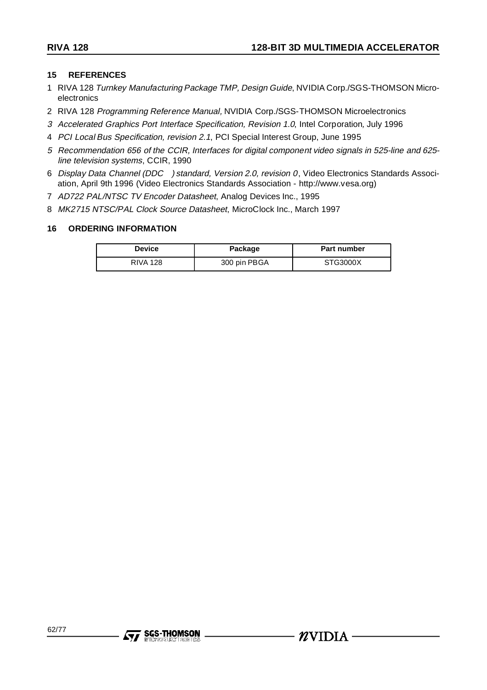#### **15 REFERENCES**

- 1 RIVA 128 Turnkey Manufacturing Package TMP, Design Guide, NVIDIA Corp./SGS-THOMSON Microelectronics
- 2 RIVA 128 Programming Reference Manual, NVIDIA Corp./SGS-THOMSON Microelectronics
- 3 Accelerated Graphics Port Interface Specification, Revision 1.0, Intel Corporation, July 1996
- 4 PCI Local Bus Specification, revision 2.1, PCI Special Interest Group, June 1995
- 5 Recommendation 656 of the CCIR, Interfaces for digital component video signals in 525-line and 625 line television systems, CCIR, 1990
- 6 Display Data Channel (DDC<sup>TM</sup>) standard, Version 2.0, revision 0, Video Electronics Standards Association, April 9th 1996 (Video Electronics Standards Association - http://www.vesa.org)
- 7 AD722 PAL/NTSC TV Encoder Datasheet, Analog Devices Inc., 1995
- 8 MK2715 NTSC/PAL Clock Source Datasheet, MicroClock Inc., March 1997

### **16 ORDERING INFORMATION**

| <b>Device</b>   | Package      | Part number |
|-----------------|--------------|-------------|
| <b>RIVA 128</b> | 300 pin PBGA | STG3000X    |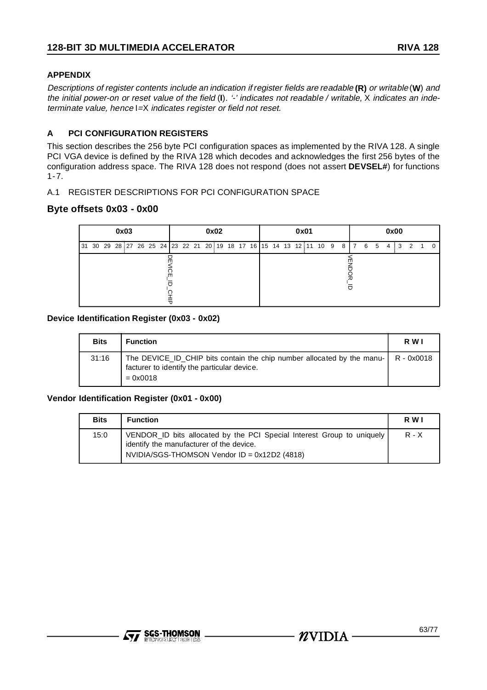# **APPENDIX**

Descriptions of register contents include an indication if register fields are readable **(R)** or writable (**W**) and the initial power-on or reset value of the field (**I**). '-' indicates not readable / writable, X indicates an indeterminate value, hence I=X indicates register or field not reset.

# **A PCI CONFIGURATION REGISTERS**

This section describes the 256 byte PCI configuration spaces as implemented by the RIVA 128. A single PCI VGA device is defined by the RIVA 128 which decodes and acknowledges the first 256 bytes of the configuration address space. The RIVA 128 does not respond (does not assert **DEVSEL#**) for functions 1-7.

### A.1 REGISTER DESCRIPTIONS FOR PCI CONFIGURATION SPACE

# **Byte offsets 0x03 - 0x00**

| 0x03                                                                                              | 0x02 | 0x01 | 0x00 |  |  |  |  |  |  |  |
|---------------------------------------------------------------------------------------------------|------|------|------|--|--|--|--|--|--|--|
| 31 30 29 28 27 26 25 24    23 22 21 20    19 18 17 16    15 14 13 12    11 10 9 8    7 6 5 4    3 |      |      | 2    |  |  |  |  |  |  |  |
| ш                                                                                                 |      |      |      |  |  |  |  |  |  |  |

### **Device Identification Register (0x03 - 0x02)**

| <b>Bits</b> | <b>Function</b>                                                                                                                                        | R W I |
|-------------|--------------------------------------------------------------------------------------------------------------------------------------------------------|-------|
| 31:16       | The DEVICE_ID_CHIP bits contain the chip number allocated by the manu- $\vert$ R - 0x0018<br>facturer to identify the particular device.<br>$= 0x0018$ |       |

#### **Vendor Identification Register (0x01 - 0x00)**

| <b>Bits</b> | <b>Function</b>                                                                                                                                                    | R W I   |
|-------------|--------------------------------------------------------------------------------------------------------------------------------------------------------------------|---------|
| 15:0        | VENDOR ID bits allocated by the PCI Special Interest Group to uniquely<br>identify the manufacturer of the device.<br>NVIDIA/SGS-THOMSON Vendor ID = 0x12D2 (4818) | $R - X$ |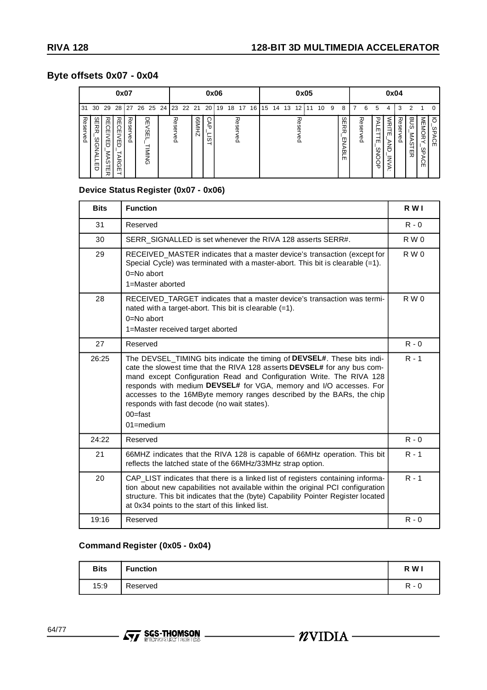# **Byte offsets 0x07 - 0x04**

|                  | 0x07                                        |                                                |                                                |                        |  |                          |  | 0x06     |                      |                                |                       |    |    |          |    | 0x05 |    |    |        |    |    |   | 0x04                                        |  |                         |                                          |                                                |                     |                     |                                   |                                    |
|------------------|---------------------------------------------|------------------------------------------------|------------------------------------------------|------------------------|--|--------------------------|--|----------|----------------------|--------------------------------|-----------------------|----|----|----------|----|------|----|----|--------|----|----|---|---------------------------------------------|--|-------------------------|------------------------------------------|------------------------------------------------|---------------------|---------------------|-----------------------------------|------------------------------------|
| 31               | 30                                          | 29                                             | 28                                             |                        |  |                          |  |          | 27 26 25 24 23 22 21 |                                | - 20 }                | 19 | 18 | 17       | 16 | I 15 | 14 | 13 | 12     | -1 | 10 | 9 | 8                                           |  | 6                       | 5                                        | 4                                              | 3                   | 2                   |                                   | n                                  |
| 观<br>eser<br>λêα | n  <br>m<br>ᅎ<br>ᅎ<br>≌<br>ᠺ<br>⊵<br>m<br>ヮ | 祒<br><b>GEI</b><br>NED<br><b>MAS</b><br>Ä<br>观 | 观<br>m<br>റ<br>m<br>m<br>ヮ<br>⋗<br>ᆽ<br>ດ<br>m | 观<br>ΘS<br>ሟ<br>Φ<br>O |  | 몪<br>ЗEI<br><b>IMING</b> |  | Reserved |                      | R6M<br>$\overline{\mathsf{N}}$ | റ<br>₹<br>–<br>ω<br>ᅴ |    |    | Reserved |    |      |    |    | 观<br>ဥ |    |    |   | $\omega$<br>m<br>ᅔ<br>观<br>ੲ<br>ъ<br>쯔<br>m |  | <b>Reser</b><br><<br>நீ | ᠊ᠣ<br>⋗<br>m<br>m<br>S<br>$\overline{U}$ | <b>NRITI</b><br>m<br><b>AND</b><br><b>INVA</b> | <b>Reser</b><br>Neq | BUS<br>ŠΪ<br>S<br>띴 | <b>MEMORY</b><br>ഗ<br>ъ<br>⋗<br>m | ਠ<br>്ഗ<br>Ō<br>λÇ<br>$\mathsf{m}$ |

# **Device Status Register (0x07 - 0x06)**

| <b>Bits</b> | <b>Function</b>                                                                                                                                                                                                                                                                                                                                                                                                                                          | R W I   |
|-------------|----------------------------------------------------------------------------------------------------------------------------------------------------------------------------------------------------------------------------------------------------------------------------------------------------------------------------------------------------------------------------------------------------------------------------------------------------------|---------|
| 31          | Reserved                                                                                                                                                                                                                                                                                                                                                                                                                                                 | $R - 0$ |
| 30          | SERR_SIGNALLED is set whenever the RIVA 128 asserts SERR#.                                                                                                                                                                                                                                                                                                                                                                                               | R W 0   |
| 29          | RECEIVED_MASTER indicates that a master device's transaction (except for<br>Special Cycle) was terminated with a master-abort. This bit is clearable (=1).<br>0=No abort<br>1=Master aborted                                                                                                                                                                                                                                                             | R W 0   |
| 28          | RECEIVED TARGET indicates that a master device's transaction was termi-<br>nated with a target-abort. This bit is clearable (=1).<br>$0 = No$ abort<br>1=Master received target aborted                                                                                                                                                                                                                                                                  | R W 0   |
| 27          | Reserved                                                                                                                                                                                                                                                                                                                                                                                                                                                 | $R - 0$ |
| 26:25       | The DEVSEL_TIMING bits indicate the timing of DEVSEL#. These bits indi-<br>cate the slowest time that the RIVA 128 asserts DEVSEL# for any bus com-<br>mand except Configuration Read and Configuration Write. The RIVA 128<br>responds with medium DEVSEL# for VGA, memory and I/O accesses. For<br>accesses to the 16MByte memory ranges described by the BARs, the chip<br>responds with fast decode (no wait states).<br>$00 =$ fast<br>$01$ =medium | $R - 1$ |
| 24:22       | Reserved                                                                                                                                                                                                                                                                                                                                                                                                                                                 | $R - 0$ |
| 21          | 66MHZ indicates that the RIVA 128 is capable of 66MHz operation. This bit<br>reflects the latched state of the 66MHz/33MHz strap option.                                                                                                                                                                                                                                                                                                                 | $R - 1$ |
| 20          | CAP_LIST indicates that there is a linked list of registers containing informa-<br>tion about new capabilities not available within the original PCI configuration<br>structure. This bit indicates that the (byte) Capability Pointer Register located<br>at 0x34 points to the start of this linked list.                                                                                                                                              | $R - 1$ |
| 19:16       | Reserved                                                                                                                                                                                                                                                                                                                                                                                                                                                 | $R - 0$ |

# **Command Register (0x05 - 0x04)**

| <b>Bits</b> | <b>Function</b> | R W                                 |
|-------------|-----------------|-------------------------------------|
| 15:9        | Reserved        | D<br>$\overline{\phantom{0}}$<br>ъ. |

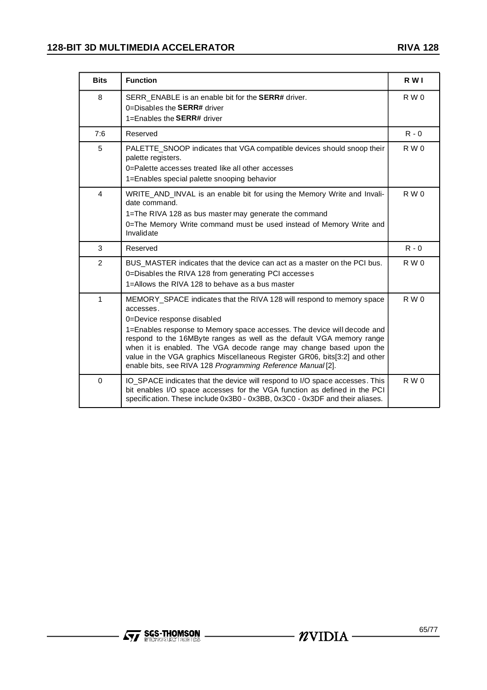| <b>Bits</b>    | <b>Function</b>                                                                                                                                                                                                                                                                                                                                                                                                                                                                         | R W I          |  |  |  |  |  |  |
|----------------|-----------------------------------------------------------------------------------------------------------------------------------------------------------------------------------------------------------------------------------------------------------------------------------------------------------------------------------------------------------------------------------------------------------------------------------------------------------------------------------------|----------------|--|--|--|--|--|--|
| 8              | SERR ENABLE is an enable bit for the <b>SERR#</b> driver.<br>0=Disables the $SERR#$ driver<br>1=Enables the <b>SERR#</b> driver                                                                                                                                                                                                                                                                                                                                                         | R W 0          |  |  |  |  |  |  |
| 7:6            | Reserved                                                                                                                                                                                                                                                                                                                                                                                                                                                                                | $R - 0$        |  |  |  |  |  |  |
| 5              | PALETTE_SNOOP indicates that VGA compatible devices should snoop their<br>palette registers.<br>0=Palette accesses treated like all other accesses<br>1=Enables special palette snooping behavior                                                                                                                                                                                                                                                                                       | R W 0          |  |  |  |  |  |  |
| 4              | WRITE_AND_INVAL is an enable bit for using the Memory Write and Invali-<br>date command.<br>1=The RIVA 128 as bus master may generate the command<br>0=The Memory Write command must be used instead of Memory Write and<br>Invalidate                                                                                                                                                                                                                                                  |                |  |  |  |  |  |  |
| 3              | Reserved                                                                                                                                                                                                                                                                                                                                                                                                                                                                                | $R - 0$        |  |  |  |  |  |  |
| $\overline{2}$ | BUS MASTER indicates that the device can act as a master on the PCI bus.<br>0=Disables the RIVA 128 from generating PCI accesses<br>1=Allows the RIVA 128 to behave as a bus master                                                                                                                                                                                                                                                                                                     | R W 0          |  |  |  |  |  |  |
| 1              | MEMORY_SPACE indicates that the RIVA 128 will respond to memory space<br>accesses.<br>0=Device response disabled<br>1=Enables response to Memory space accesses. The device will decode and<br>respond to the 16MByte ranges as well as the default VGA memory range<br>when it is enabled. The VGA decode range may change based upon the<br>value in the VGA graphics Miscellaneous Register GR06, bits[3:2] and other<br>enable bits, see RIVA 128 Programming Reference Manual [2]. | R W 0          |  |  |  |  |  |  |
| $\Omega$       | IO_SPACE indicates that the device will respond to I/O space accesses. This<br>bit enables I/O space accesses for the VGA function as defined in the PCI<br>specification. These include 0x3B0 - 0x3BB, 0x3C0 - 0x3DF and their aliases.                                                                                                                                                                                                                                                | $R$ W $\Omega$ |  |  |  |  |  |  |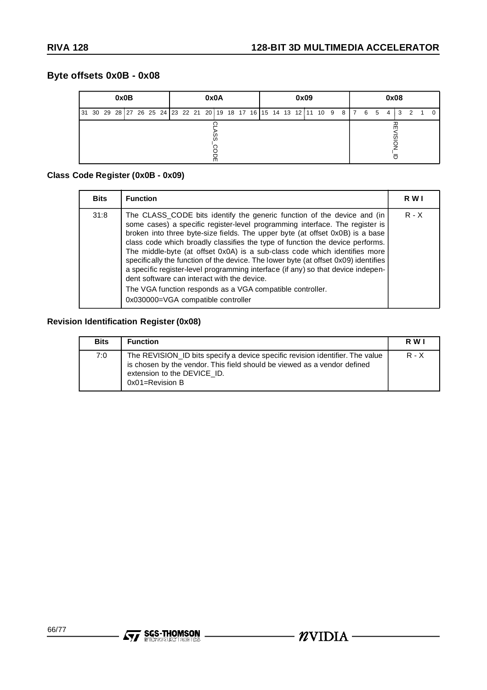# **Byte offsets 0x0B - 0x08**

|                                                                             | 0x0B<br>0x0A |  |  |  |  |  |  |  | 0x09 |   |  |  |  |  |  | 0x08 |  |  |  |  |   |   |   |    |   |  |  |
|-----------------------------------------------------------------------------|--------------|--|--|--|--|--|--|--|------|---|--|--|--|--|--|------|--|--|--|--|---|---|---|----|---|--|--|
| 31 30 29 28 27 26 25 24  23 22 21 20 19 18 17 16  15 14 13 12 11 10 9 8   7 |              |  |  |  |  |  |  |  |      |   |  |  |  |  |  |      |  |  |  |  | 6 | 5 | 4 | -3 | 2 |  |  |
|                                                                             |              |  |  |  |  |  |  |  |      | 몪 |  |  |  |  |  |      |  |  |  |  |   |   |   | □  |   |  |  |

# **Class Code Register (0x0B - 0x09)**

| <b>Bits</b> | <b>Function</b>                                                                                                                                                                                                                                                                                                                                                                                                                                                                                                                                                                                                                                                                                                                      | R W I   |
|-------------|--------------------------------------------------------------------------------------------------------------------------------------------------------------------------------------------------------------------------------------------------------------------------------------------------------------------------------------------------------------------------------------------------------------------------------------------------------------------------------------------------------------------------------------------------------------------------------------------------------------------------------------------------------------------------------------------------------------------------------------|---------|
| 31:8        | The CLASS_CODE bits identify the generic function of the device and (in<br>some cases) a specific register-level programming interface. The register is<br>broken into three byte-size fields. The upper byte (at offset 0x0B) is a base<br>class code which broadly classifies the type of function the device performs.<br>The middle-byte (at offset 0x0A) is a sub-class code which identifies more<br>specifically the function of the device. The lower byte (at offset 0x09) identifies<br>a specific register-level programming interface (if any) so that device indepen-<br>dent software can interact with the device.<br>The VGA function responds as a VGA compatible controller.<br>0x030000=VGA compatible controller | $R - X$ |

# **Revision Identification Register (0x08)**

| <b>Bits</b> | <b>Function</b>                                                                                                                                                                                                 | R W I   |
|-------------|-----------------------------------------------------------------------------------------------------------------------------------------------------------------------------------------------------------------|---------|
| 7:0         | The REVISION ID bits specify a device specific revision identifier. The value<br>is chosen by the vendor. This field should be viewed as a vendor defined<br>extension to the DEVICE_ID.<br>$0x01 =$ Revision B | $R - X$ |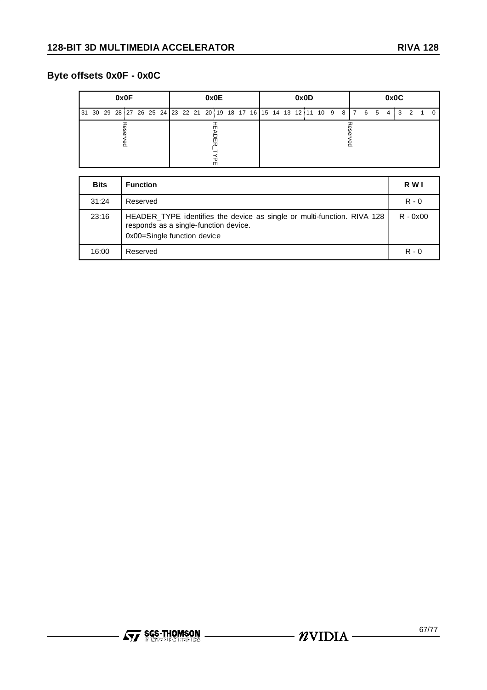# **Byte offsets 0x0F - 0x0C**

| 0x0F                                                                               | 0x0E | 0x0D | 0x0C         |  |  |  |  |  |  |  |  |
|------------------------------------------------------------------------------------|------|------|--------------|--|--|--|--|--|--|--|--|
| 31 30 29 28  27 26 25 24  23 22 21 20  19 18 17 16  15 14 13 12  11 10 9 8   7 6 5 |      |      | 2<br>3<br>-4 |  |  |  |  |  |  |  |  |
|                                                                                    | m    |      |              |  |  |  |  |  |  |  |  |

| <b>Bits</b> | <b>Function</b>                                                                                                                                 | R W I      |
|-------------|-------------------------------------------------------------------------------------------------------------------------------------------------|------------|
| 31:24       | Reserved                                                                                                                                        | $R - 0$    |
| 23:16       | HEADER_TYPE identifies the device as single or multi-function. RIVA 128<br>responds as a single-function device.<br>0x00=Single function device | $R - 0x00$ |
| 16:00       | Reserved                                                                                                                                        | $R - 0$    |

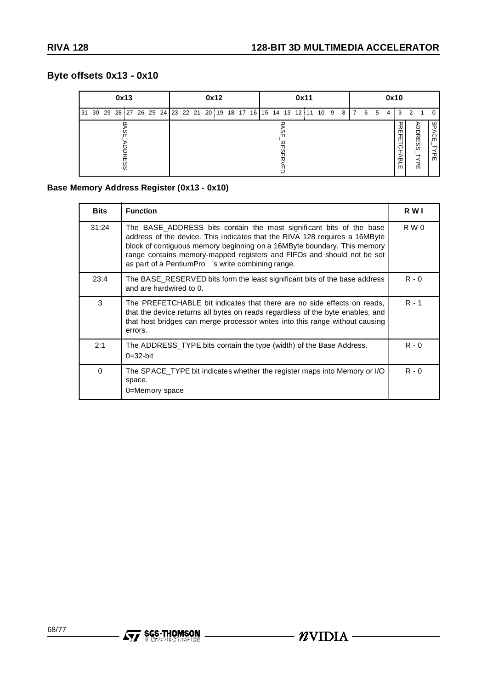# **Byte offsets 0x13 - 0x10**

| 0x13             | 0x12                                                             | 0x11         | 0x10                                                                    |
|------------------|------------------------------------------------------------------|--------------|-------------------------------------------------------------------------|
| 31               | 30 29 28 27 26 25 24 23 22 21 20 19 18 17 16 15 14 13 12 11 10 9 | 8            | 2<br>6<br>5<br>3<br>7<br>4<br>$\Omega$                                  |
| m<br>m<br>ဖ<br>ဖ |                                                                  | ш<br>ЯS<br>冎 | 又<br>မ္မ<br><b>ADDRESS</b><br>⋗<br>곪<br>႙<br>ö<br>소<br>연<br>몪<br>人<br>m |

# **Base Memory Address Register (0x13 - 0x10)**

| <b>Bits</b> | <b>Function</b>                                                                                                                                                                                                                                                                                                                                             | R W I   |  |  |  |  |  |  |  |
|-------------|-------------------------------------------------------------------------------------------------------------------------------------------------------------------------------------------------------------------------------------------------------------------------------------------------------------------------------------------------------------|---------|--|--|--|--|--|--|--|
| 31:24       | The BASE ADDRESS bits contain the most significant bits of the base<br>address of the device. This indicates that the RIVA 128 requires a 16MByte<br>block of contiguous memory beginning on a 16MByte boundary. This memory<br>range contains memory-mapped registers and FIFOs and should not be set<br>as part of a PentiumPro™'s write combining range. | R W 0   |  |  |  |  |  |  |  |
| 23:4        | The BASE_RESERVED bits form the least significant bits of the base address<br>and are hardwired to 0.                                                                                                                                                                                                                                                       |         |  |  |  |  |  |  |  |
| 3           | The PREFETCHABLE bit indicates that there are no side effects on reads,<br>that the device returns all bytes on reads regardless of the byte enables, and<br>that host bridges can merge processor writes into this range without causing<br>errors.                                                                                                        | $R - 1$ |  |  |  |  |  |  |  |
| 2:1         | The ADDRESS TYPE bits contain the type (width) of the Base Address.<br>$0=32$ -bit                                                                                                                                                                                                                                                                          | $R - 0$ |  |  |  |  |  |  |  |
| 0           | The SPACE TYPE bit indicates whether the register maps into Memory or I/O<br>space.<br>0=Memory space                                                                                                                                                                                                                                                       |         |  |  |  |  |  |  |  |

**Ayy SGS-THOMSON**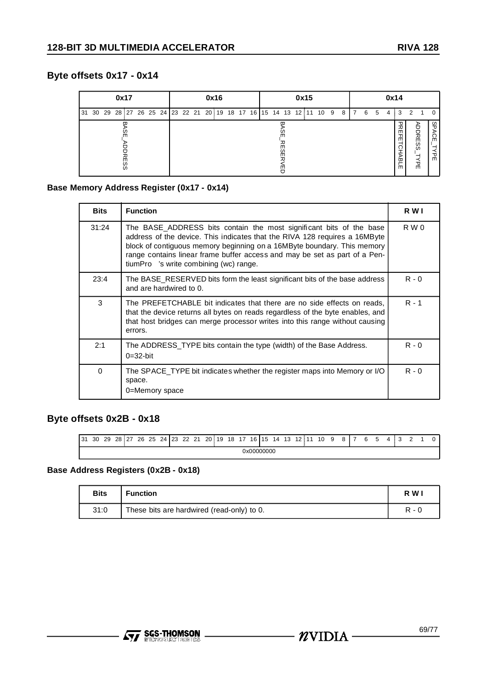# **Byte offsets 0x17 - 0x14**

| 0x17                                                                   |                         |  |  | 0x16 |  | 0x15 |  |               |  |  |  |  |      | 0x14           |   |   |   |                                             |                         |  |                    |
|------------------------------------------------------------------------|-------------------------|--|--|------|--|------|--|---------------|--|--|--|--|------|----------------|---|---|---|---------------------------------------------|-------------------------|--|--------------------|
| 30 29 28 27 26 25 24 23 22 21 20 19 18 17 16 15 14 13 12 11 10 9<br>31 |                         |  |  |      |  |      |  |               |  |  |  |  | -8 I | $\overline{7}$ | 6 | 5 | 4 | 3                                           | $\mathcal{P}$           |  |                    |
|                                                                        | m<br>m<br>ဖ<br>$\omega$ |  |  |      |  |      |  | m<br>ပ္က<br>ш |  |  |  |  |      |                |   |   |   | 又<br>곪<br>ਨੁੱ<br><b>ABL</b><br>$\mathsf{m}$ | <b>ADDRE</b><br>SS<br>人 |  | 9<br>⋗<br>င္က<br>곢 |

# **Base Memory Address Register (0x17 - 0x14)**

| <b>Bits</b> | <b>Function</b>                                                                                                                                                                                                                                                                                                                                           | R W I   |  |  |  |  |  |  |
|-------------|-----------------------------------------------------------------------------------------------------------------------------------------------------------------------------------------------------------------------------------------------------------------------------------------------------------------------------------------------------------|---------|--|--|--|--|--|--|
| 31:24       | The BASE_ADDRESS bits contain the most significant bits of the base<br>address of the device. This indicates that the RIVA 128 requires a 16MByte<br>block of contiguous memory beginning on a 16MByte boundary. This memory<br>range contains linear frame buffer access and may be set as part of a Pen-<br>tiumPro $TM$ 's write combining (wc) range. | R W 0   |  |  |  |  |  |  |
| 23:4        | The BASE_RESERVED bits form the least significant bits of the base address<br>and are hardwired to 0.                                                                                                                                                                                                                                                     |         |  |  |  |  |  |  |
| 3           | The PREFETCHABLE bit indicates that there are no side effects on reads,<br>that the device returns all bytes on reads regardless of the byte enables, and<br>that host bridges can merge processor writes into this range without causing<br>errors.                                                                                                      |         |  |  |  |  |  |  |
| 2:1         | The ADDRESS TYPE bits contain the type (width) of the Base Address.<br>$0=32$ -bit                                                                                                                                                                                                                                                                        | $R - 0$ |  |  |  |  |  |  |
| $\Omega$    | The SPACE_TYPE bit indicates whether the register maps into Memory or I/O<br>space.<br>0=Memory space                                                                                                                                                                                                                                                     | $R - 0$ |  |  |  |  |  |  |

# **Byte offsets 0x2B - 0x18**

| 31 | 30         | 29 | 28 | ່າ<br>z. | 26 | 25 | 24 | 123 | 22 | 21<br><u>.</u> | $20^{\frac{5}{2}}$ | 19 | 18 | -17 | 16 | 115 | 14 | 13 | 12 |  | 10 | a |  |  | ค |  |  |  |  |  |  |
|----|------------|----|----|----------|----|----|----|-----|----|----------------|--------------------|----|----|-----|----|-----|----|----|----|--|----|---|--|--|---|--|--|--|--|--|--|
|    | 0x00000000 |    |    |          |    |    |    |     |    |                |                    |    |    |     |    |     |    |    |    |  |    |   |  |  |   |  |  |  |  |  |  |

# **Base Address Registers (0x2B - 0x18)**

| <b>Bits</b> | <b>Function</b>                            | R W   |
|-------------|--------------------------------------------|-------|
| 31:0        | These bits are hardwired (read-only) to 0. | R - N |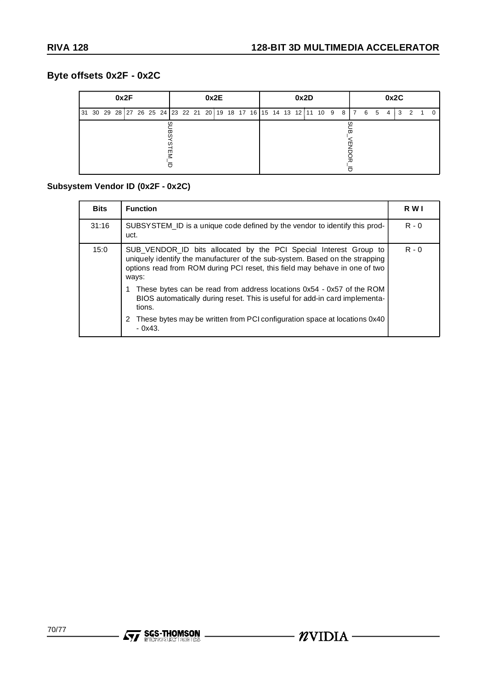# **Byte offsets 0x2F - 0x2C**

| 0x2F                                                                          | 0x2E | 0x2D | 0x2C                |
|-------------------------------------------------------------------------------|------|------|---------------------|
| 31 30 29 28 27 26 25 24 23 22 21 20 19 18 17 16 15 14 13 12 11 10 9 8 7 6 5 4 |      |      | 3<br>$\overline{2}$ |
|                                                                               | m    |      |                     |

# **Subsystem Vendor ID (0x2F - 0x2C)**

| <b>Bits</b> | <b>Function</b>                                                                                                                                                                                                                           | R W I   |  |  |  |  |
|-------------|-------------------------------------------------------------------------------------------------------------------------------------------------------------------------------------------------------------------------------------------|---------|--|--|--|--|
| 31:16       | SUBSYSTEM_ID is a unique code defined by the vendor to identify this prod-<br>uct.                                                                                                                                                        | $R - 0$ |  |  |  |  |
| 15:0        | SUB_VENDOR_ID bits allocated by the PCI Special Interest Group to<br>uniquely identify the manufacturer of the sub-system. Based on the strapping<br>options read from ROM during PCI reset, this field may behave in one of two<br>ways: | $R - 0$ |  |  |  |  |
|             | These bytes can be read from address locations 0x54 - 0x57 of the ROM<br>BIOS automatically during reset. This is useful for add-in card implementa-<br>tions.                                                                            |         |  |  |  |  |
|             | These bytes may be written from PCI configuration space at locations 0x40<br>$-0x43$                                                                                                                                                      |         |  |  |  |  |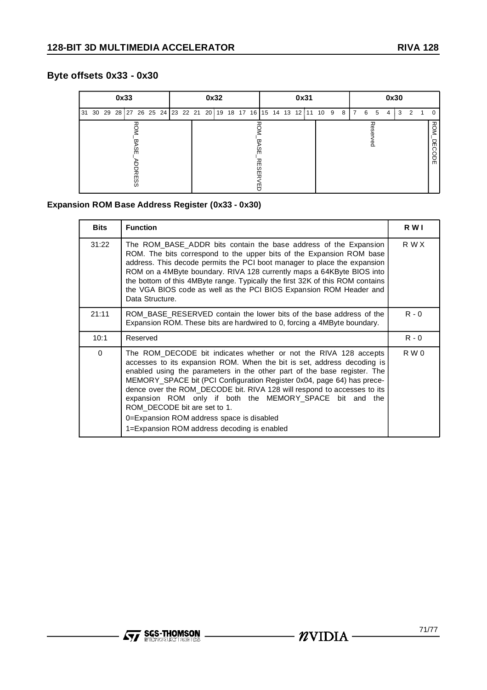# **Byte offsets 0x33 - 0x30**

|  |  | 0x33 |                                                                         |  | 0x32 |  |  |  |  | 0x31        |  |  |  |   |                |   | 0x30        |   |   |               |                             |
|--|--|------|-------------------------------------------------------------------------|--|------|--|--|--|--|-------------|--|--|--|---|----------------|---|-------------|---|---|---------------|-----------------------------|
|  |  |      | 31 30 29 28 27 26 25 24   23 22 21 20 18 18 17 16   15 14 13 12 11 10 9 |  |      |  |  |  |  |             |  |  |  | 8 | $\overline{7}$ | 6 | 5           | 4 | 3 | $\mathcal{P}$ | $\Omega$                    |
|  |  |      | Ψ<br><b>RESS</b>                                                        |  |      |  |  |  |  | m<br>m<br>т |  |  |  |   |                |   | 观<br>ၷ<br>႙ |   |   |               | <b>ROM</b><br>옦<br>ဂ<br>SDE |

# **Expansion ROM Base Address Register (0x33 - 0x30)**

| <b>Bits</b> | <b>Function</b>                                                                                                                                                                                                                                                                                                                                                                                                                                                                                                                                                     | R W I   |
|-------------|---------------------------------------------------------------------------------------------------------------------------------------------------------------------------------------------------------------------------------------------------------------------------------------------------------------------------------------------------------------------------------------------------------------------------------------------------------------------------------------------------------------------------------------------------------------------|---------|
| 31:22       | The ROM_BASE_ADDR bits contain the base address of the Expansion<br>ROM. The bits correspond to the upper bits of the Expansion ROM base<br>address. This decode permits the PCI boot manager to place the expansion<br>ROM on a 4MByte boundary. RIVA 128 currently maps a 64KByte BIOS into<br>the bottom of this 4MByte range. Typically the first 32K of this ROM contains<br>the VGA BIOS code as well as the PCI BIOS Expansion ROM Header and<br>Data Structure.                                                                                             | R W X   |
| 21:11       | ROM BASE RESERVED contain the lower bits of the base address of the<br>Expansion ROM. These bits are hardwired to 0, forcing a 4MByte boundary.                                                                                                                                                                                                                                                                                                                                                                                                                     | $R - 0$ |
| 10:1        | Reserved                                                                                                                                                                                                                                                                                                                                                                                                                                                                                                                                                            | $R - 0$ |
| $\Omega$    | The ROM_DECODE bit indicates whether or not the RIVA 128 accepts<br>accesses to its expansion ROM. When the bit is set, address decoding is<br>enabled using the parameters in the other part of the base register. The<br>MEMORY_SPACE bit (PCI Configuration Register 0x04, page 64) has prece-<br>dence over the ROM DECODE bit. RIVA 128 will respond to accesses to its<br>expansion ROM only if both the MEMORY SPACE bit and the<br>ROM DECODE bit are set to 1.<br>0=Expansion ROM address space is disabled<br>1=Expansion ROM address decoding is enabled | R W 0   |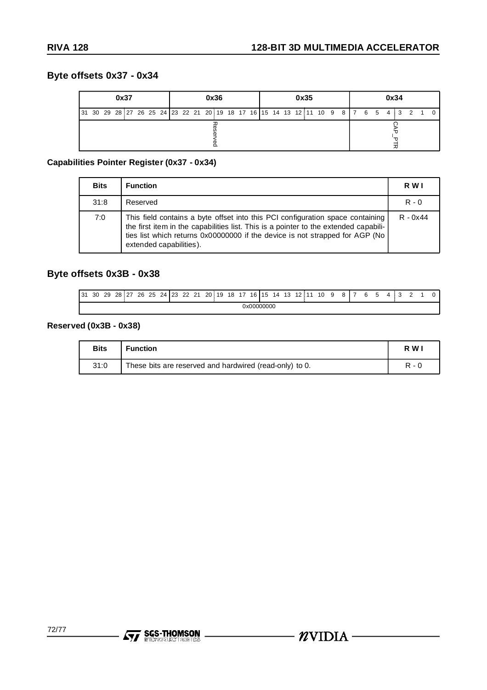# **Byte offsets 0x37 - 0x34**

| 0x37<br> 31 30 29 28 27 26 25 24  23 22 21 20 19 18 17 16  15 14 13 12 11 10 9 8   7 6 5 4   3 |  |  |  |  |  |  |  |  |  |  | 0x36 |  |  |  |  | 0x35 |  |  |  | 0x34 |       |  |
|------------------------------------------------------------------------------------------------|--|--|--|--|--|--|--|--|--|--|------|--|--|--|--|------|--|--|--|------|-------|--|
|                                                                                                |  |  |  |  |  |  |  |  |  |  |      |  |  |  |  |      |  |  |  |      | 2 1 0 |  |
|                                                                                                |  |  |  |  |  |  |  |  |  |  |      |  |  |  |  |      |  |  |  |      |       |  |

# **Capabilities Pointer Register (0x37 - 0x34)**

| <b>Bits</b> | <b>Function</b>                                                                                                                                                                                                                                                                   | R W I      |
|-------------|-----------------------------------------------------------------------------------------------------------------------------------------------------------------------------------------------------------------------------------------------------------------------------------|------------|
| 31:8        | Reserved                                                                                                                                                                                                                                                                          | $R - 0$    |
| 7:0         | This field contains a byte offset into this PCI configuration space containing<br>the first item in the capabilities list. This is a pointer to the extended capabili-<br>ties list which returns 0x00000000 if the device is not strapped for AGP (No<br>extended capabilities). | $R - 0x44$ |

# **Byte offsets 0x3B - 0x38**

| l 31 | 30 | 29 | 28 27 | 26 | 25 | 24   23 | 22 | 21 | 20 <sub>3</sub> | 19 | 18 | 17 | 16   15    | 14 | 13 | 12 <sub>1</sub> | 344 | 10 | a |  | а | 5 | $\cdot$ |  |  |
|------|----|----|-------|----|----|---------|----|----|-----------------|----|----|----|------------|----|----|-----------------|-----|----|---|--|---|---|---------|--|--|
|      |    |    |       |    |    |         |    |    |                 |    |    |    | 0x00000000 |    |    |                 |     |    |   |  |   |   |         |  |  |

# **Reserved (0x3B - 0x38)**

| <b>Bits</b> | <b>Function</b>                                         | R W   |
|-------------|---------------------------------------------------------|-------|
| 31:0        | These bits are reserved and hardwired (read-only) to 0. | R - 0 |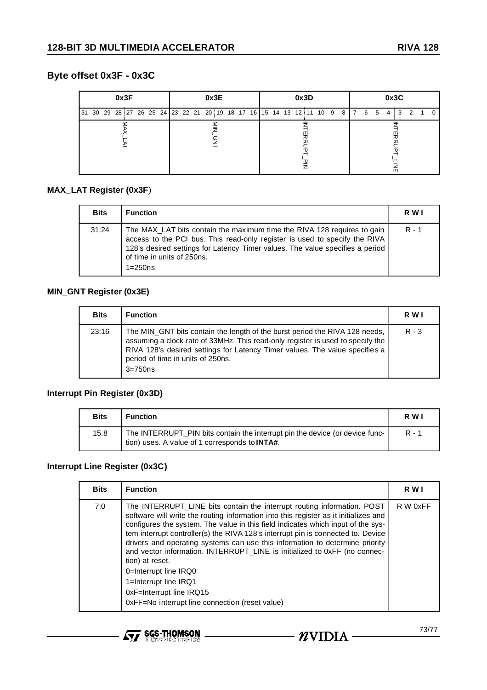# **Byte offset 0x3F - 0x3C**

| 0x3F                                                                              | 0x3E | 0x3D | 0x3C                           |  |  |  |  |  |  |  |  |  |
|-----------------------------------------------------------------------------------|------|------|--------------------------------|--|--|--|--|--|--|--|--|--|
| 31 30 29 28 27 26 25 24  23 22 21 20 19 18 17 16  15 14 13 12 11 10 9 8   7 6 5 4 |      |      | 3<br>$\mathcal{P}$<br>1<br>- 0 |  |  |  |  |  |  |  |  |  |
|                                                                                   |      |      |                                |  |  |  |  |  |  |  |  |  |

#### **MAX\_LAT Register (0x3F**)

| <b>Bits</b> | <b>Function</b>                                                                                                                                                                                                                                                                   | R W I   |
|-------------|-----------------------------------------------------------------------------------------------------------------------------------------------------------------------------------------------------------------------------------------------------------------------------------|---------|
| 31:24       | The MAX_LAT bits contain the maximum time the RIVA 128 requires to gain<br>access to the PCI bus. This read-only register is used to specify the RIVA<br>128's desired settings for Latency Timer values. The value specifies a period<br>of time in units of 250ns.<br>$1=250ns$ | $R - 1$ |

#### **MIN\_GNT Register (0x3E)**

| <b>Bits</b> | <b>Function</b>                                                                                                                                                                                                                                                                                   | R W I   |
|-------------|---------------------------------------------------------------------------------------------------------------------------------------------------------------------------------------------------------------------------------------------------------------------------------------------------|---------|
| 23:16       | The MIN_GNT bits contain the length of the burst period the RIVA 128 needs,<br>assuming a clock rate of 33MHz. This read-only register is used to specify the<br>RIVA 128's desired settings for Latency Timer values. The value specifies a<br>period of time in units of 250ns.<br>$3 = 750$ ns | $R - 3$ |

#### **Interrupt Pin Register (0x3D)**

| <b>Bits</b> | <b>Function</b>                                                                                                                        | R W I   |
|-------------|----------------------------------------------------------------------------------------------------------------------------------------|---------|
| 15:8        | The INTERRUPT_PIN bits contain the interrupt pin the device (or device func-<br>tion) uses. A value of 1 corresponds to <b>INTA#</b> . | $R - 1$ |

#### **Interrupt Line Register (0x3C)**

| <b>Bits</b> | <b>Function</b>                                                                                                                                                                                                                                                                                                                                                                                                                                                                                                                                                                                                                                          | R W      |
|-------------|----------------------------------------------------------------------------------------------------------------------------------------------------------------------------------------------------------------------------------------------------------------------------------------------------------------------------------------------------------------------------------------------------------------------------------------------------------------------------------------------------------------------------------------------------------------------------------------------------------------------------------------------------------|----------|
| 7:0         | The INTERRUPT_LINE bits contain the interrupt routing information. POST<br>software will write the routing information into this register as it initializes and<br>configures the system. The value in this field indicates which input of the sys-<br>tem interrupt controller(s) the RIVA 128's interrupt pin is connected to. Device<br>drivers and operating systems can use this information to determine priority<br>and vector information. INTERRUPT_LINE is initialized to 0xFF (no connec-<br>tion) at reset.<br>0=Interrupt line IRQ0<br>1=Interrupt line IRQ1<br>0xF=Interrupt line IRQ15<br>0xFF=No interrupt line connection (reset value) | R W 0xFF |

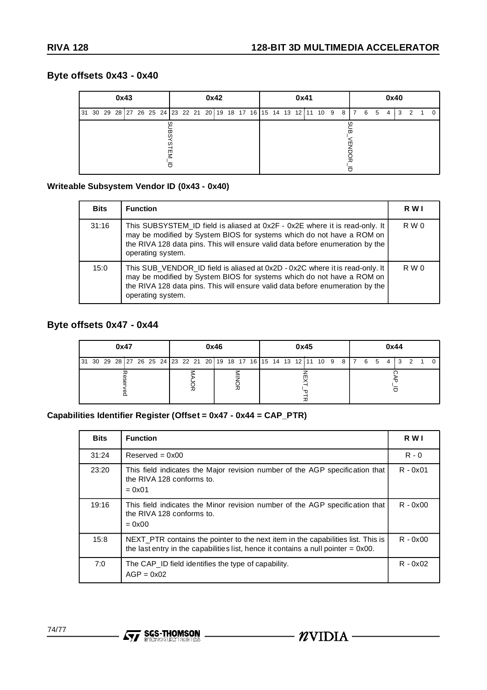## **Byte offsets 0x43 - 0x40**

| 0x43 |  |  |  |  |  |  |  | 0x42 |  |  |                                                                               |  |  |  |  | 0x41 |  |  |  |  |  |  |  | 0x40 |  |  |  |      |                |                |          |  |  |
|------|--|--|--|--|--|--|--|------|--|--|-------------------------------------------------------------------------------|--|--|--|--|------|--|--|--|--|--|--|--|------|--|--|--|------|----------------|----------------|----------|--|--|
|      |  |  |  |  |  |  |  |      |  |  | 31 30 29 28 27 26 25 24 23 22 21 20 19 18 17 16 15 14 13 12 11 10 9 8 7 6 5 4 |  |  |  |  |      |  |  |  |  |  |  |  |      |  |  |  | i 3⊦ | $\overline{2}$ | $\overline{1}$ | $\Omega$ |  |  |
|      |  |  |  |  |  |  |  | ш    |  |  |                                                                               |  |  |  |  |      |  |  |  |  |  |  |  | ш    |  |  |  |      |                |                |          |  |  |

#### **Writeable Subsystem Vendor ID (0x43 - 0x40)**

| <b>Bits</b> | <b>Function</b>                                                                                                                                                                                                                                             | R W I |
|-------------|-------------------------------------------------------------------------------------------------------------------------------------------------------------------------------------------------------------------------------------------------------------|-------|
| 31:16       | This SUBSYSTEM_ID field is aliased at 0x2F - 0x2E where it is read-only. It<br>may be modified by System BIOS for systems which do not have a ROM on<br>the RIVA 128 data pins. This will ensure valid data before enumeration by the<br>operating system.  | R W 0 |
| 15:0        | This SUB_VENDOR_ID field is aliased at 0x2D - 0x2C where it is read-only. It<br>may be modified by System BIOS for systems which do not have a ROM on<br>the RIVA 128 data pins. This will ensure valid data before enumeration by the<br>operating system. | R W 0 |

## **Byte offsets 0x47 - 0x44**

| 0x47 | 0x46                                                                                    | 0x45 | 0x44 |  |  |  |  |  |  |  |  |
|------|-----------------------------------------------------------------------------------------|------|------|--|--|--|--|--|--|--|--|
|      | 31 30 29 28 27 26 25 24  23 22 21 20  19 18 17 16  15 14 13 12  11 10 9 8   7 6 5 4   3 |      |      |  |  |  |  |  |  |  |  |
|      | 观                                                                                       |      |      |  |  |  |  |  |  |  |  |

#### **Capabilities Identifier Register (Offset = 0x47 - 0x44 = CAP\_PTR)**

| <b>Bits</b> | <b>Function</b>                                                                                                                                                          | R W I      |
|-------------|--------------------------------------------------------------------------------------------------------------------------------------------------------------------------|------------|
| 31:24       | $Reserved = 0x00$                                                                                                                                                        | $R - 0$    |
| 23:20       | This field indicates the Major revision number of the AGP specification that<br>the RIVA 128 conforms to.<br>$= 0x01$                                                    | $R - 0x01$ |
| 19:16       | This field indicates the Minor revision number of the AGP specification that<br>the RIVA 128 conforms to.<br>$= 0x00$                                                    | $R - 0x00$ |
| 15:8        | NEXT PTR contains the pointer to the next item in the capabilities list. This is<br>the last entry in the capabilities list, hence it contains a null pointer $= 0x00$ . | $R - 0x00$ |
| 7:0         | The CAP ID field identifies the type of capability.<br>$AGP = 0x02$                                                                                                      | $R - 0x02$ |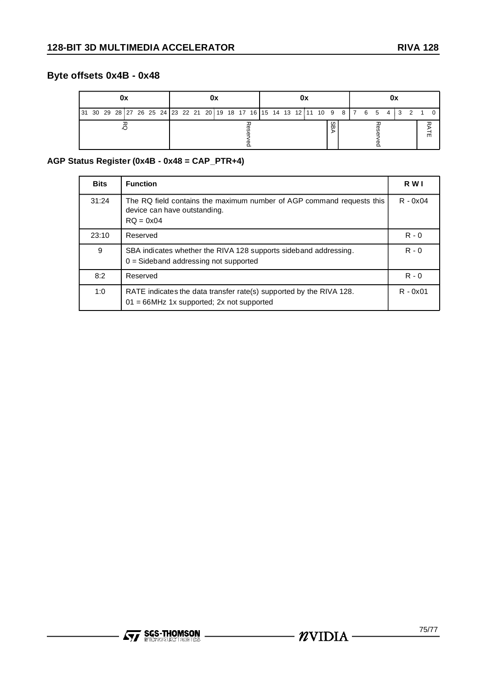# **Byte offsets 0x4B - 0x48**

|                                                                                           |  |  |  |  |  |  | 0x |  |  |  |  |  |  |  |  |  |  |  |  |   |  |  |  |  |  |  |  |  |  |  |  |  |
|-------------------------------------------------------------------------------------------|--|--|--|--|--|--|----|--|--|--|--|--|--|--|--|--|--|--|--|---|--|--|--|--|--|--|--|--|--|--|--|--|
| 31 30 29 28 27 26 25 24  23 22 21 20 19 18 17 16  15 14 13 12 11 10 9 8   7 6 5 4   3 2 1 |  |  |  |  |  |  |    |  |  |  |  |  |  |  |  |  |  |  |  |   |  |  |  |  |  |  |  |  |  |  |  |  |
|                                                                                           |  |  |  |  |  |  |    |  |  |  |  |  |  |  |  |  |  |  |  | æ |  |  |  |  |  |  |  |  |  |  |  |  |

#### **AGP Status Register (0x4B - 0x48 = CAP\_PTR+4)**

| <b>Bits</b> | <b>Function</b>                                                                                                        | R W I      |
|-------------|------------------------------------------------------------------------------------------------------------------------|------------|
| 31:24       | The RQ field contains the maximum number of AGP command requests this<br>device can have outstanding.<br>$RO = 0x04$   | $R - 0x04$ |
| 23:10       | Reserved                                                                                                               | $R - 0$    |
| 9           | SBA indicates whether the RIVA 128 supports sideband addressing.<br>$0 =$ Sideband addressing not supported            | $R - 0$    |
| 8:2         | Reserved                                                                                                               | $R - 0$    |
| 1:0         | RATE indicates the data transfer rate(s) supported by the RIVA 128.<br>$= 66$ MHz 1x supported; 2x not supported<br>01 | $R - 0x01$ |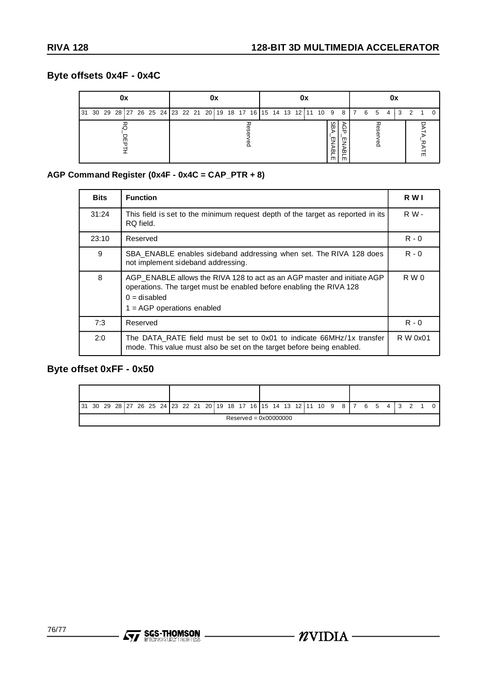# **Byte offsets 0x4F - 0x4C**

| 0x | 0x                                                                                | 0x          | 0x               |  |  |  |  |  |
|----|-----------------------------------------------------------------------------------|-------------|------------------|--|--|--|--|--|
|    | 31 30 29 28 27 26 25 24  23 22 21 20 19 18 17 16  15 14 13 12 11 10 9 8   7 6 5 4 |             |                  |  |  |  |  |  |
|    |                                                                                   | m<br>ѿ<br>m | መ<br>ვ<br>Ф<br>መ |  |  |  |  |  |

## **AGP Command Register (0x4F - 0x4C = CAP\_PTR + 8)**

| <b>Bits</b> | <b>Function</b>                                                                                                                                                                                  | R W I      |
|-------------|--------------------------------------------------------------------------------------------------------------------------------------------------------------------------------------------------|------------|
| 31:24       | This field is set to the minimum request depth of the target as reported in its<br>RQ field.                                                                                                     | <b>RW-</b> |
| 23:10       | Reserved                                                                                                                                                                                         | $R - 0$    |
| 9           | SBA_ENABLE enables sideband addressing when set. The RIVA 128 does<br>not implement sideband addressing.                                                                                         | $R - 0$    |
| 8           | AGP ENABLE allows the RIVA 128 to act as an AGP master and initiate AGP<br>operations. The target must be enabled before enabling the RIVA 128<br>$0 =$ disabled<br>$1 = AGP$ operations enabled | R W 0      |
| 7:3         | Reserved                                                                                                                                                                                         | $R - 0$    |
| 2:0         | The DATA RATE field must be set to 0x01 to indicate 66MHz/1x transfer<br>mode. This value must also be set on the target before being enabled.                                                   | R W 0x01   |

# **Byte offset 0xFF - 0x50**

|                         |  |  |  |  |  |  |  |  |  |  |  |  |  |  |  | $\begin{bmatrix} 31 & 30 & 29 & 28 & 27 & 26 & 25 & 24 & 23 & 22 & 21 & 20 & 19 & 18 & 17 & 16 & 15 & 14 & 13 & 12 & 11 & 10 & 9 & 8 & 7 & 6 & 5 & 4 & 3 & 2 & 1 \end{bmatrix}$ |  |  |  |  |  |  |
|-------------------------|--|--|--|--|--|--|--|--|--|--|--|--|--|--|--|---------------------------------------------------------------------------------------------------------------------------------------------------------------------------------|--|--|--|--|--|--|
| $Reserved = 0x00000000$ |  |  |  |  |  |  |  |  |  |  |  |  |  |  |  |                                                                                                                                                                                 |  |  |  |  |  |  |